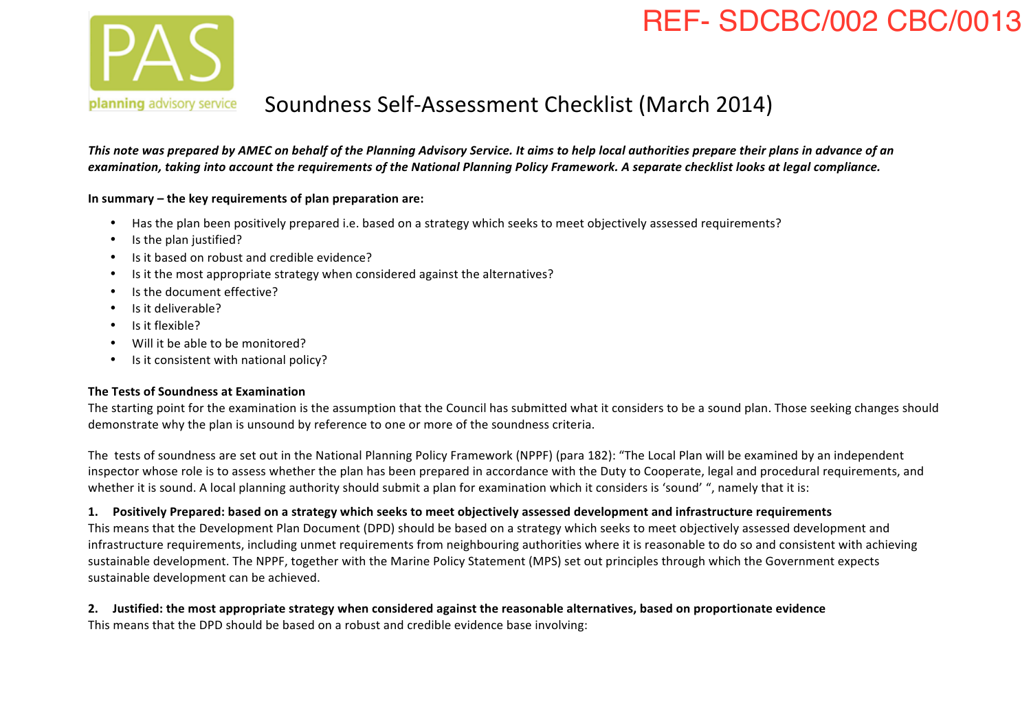# REF- SDCBC/002 CBC/0013



#### planning advisory service Soundness Self-Assessment Checklist (March 2014)

This note was prepared by AMEC on behalf of the Planning Advisory Service. It aims to help local authorities prepare their plans in advance of an examination, taking into account the requirements of the National Planning Policy Framework. A separate checklist looks at legal compliance.

**In summary – the key requirements of plan preparation are:**

- Has the plan been positively prepared i.e. based on a strategy which seeks to meet objectively assessed requirements?
- Is the plan justified?
- Is it based on robust and credible evidence?
- Is it the most appropriate strategy when considered against the alternatives?
- Is the document effective?
- Is it deliverable?
- Is it flexible?
- Will it be able to be monitored?
- $\cdot$  Is it consistent with national policy?

#### **The Tests of Soundness at Examination**

The starting point for the examination is the assumption that the Council has submitted what it considers to be a sound plan. Those seeking changes should demonstrate why the plan is unsound by reference to one or more of the soundness criteria.

The tests of soundness are set out in the National Planning Policy Framework (NPPF) (para 182): "The Local Plan will be examined by an independent inspector whose role is to assess whether the plan has been prepared in accordance with the Duty to Cooperate, legal and procedural requirements, and whether it is sound. A local planning authority should submit a plan for examination which it considers is 'sound' ", namely that it is:

#### **1. Positively Prepared: based on a strategy which seeks to meet objectively assessed development and infrastructure requirements**

This means that the Development Plan Document (DPD) should be based on a strategy which seeks to meet objectively assessed development and infrastructure requirements, including unmet requirements from neighbouring authorities where it is reasonable to do so and consistent with achieving sustainable development. The NPPF, together with the Marine Policy Statement (MPS) set out principles through which the Government expects sustainable development can be achieved.

2. Justified: the most appropriate strategy when considered against the reasonable alternatives, based on proportionate evidence This means that the DPD should be based on a robust and credible evidence base involving: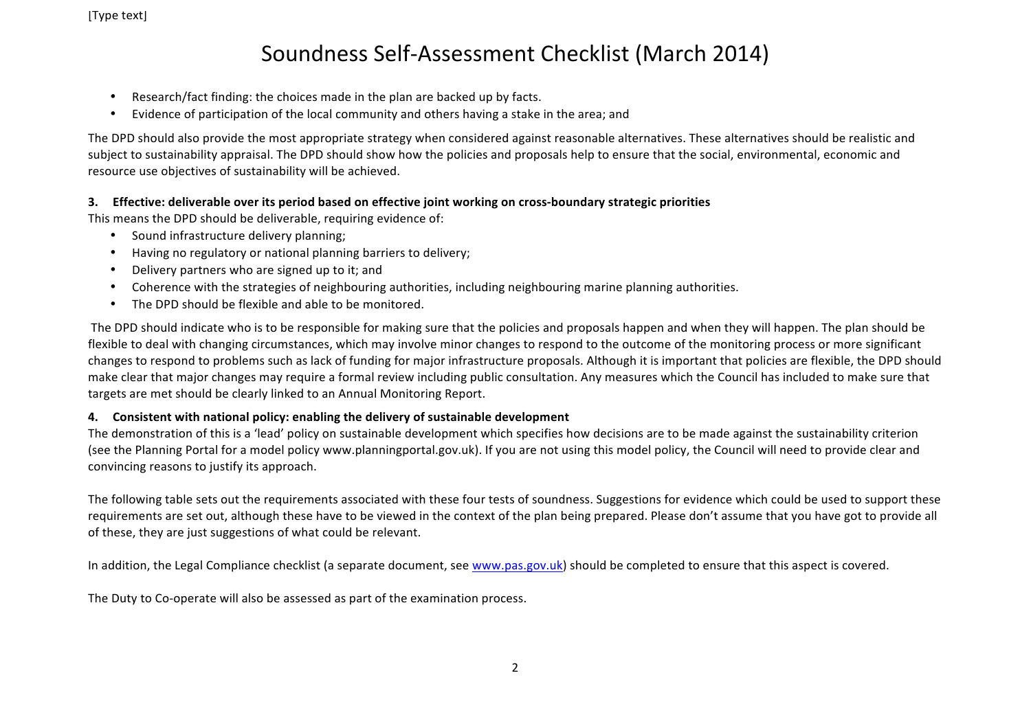- Research/fact finding: the choices made in the plan are backed up by facts.
- Evidence of participation of the local community and others having a stake in the area; and

The DPD should also provide the most appropriate strategy when considered against reasonable alternatives. These alternatives should be realistic and subject to sustainability appraisal. The DPD should show how the policies and proposals help to ensure that the social, environmental, economic and resource use objectives of sustainability will be achieved.

#### **3.** Effective: deliverable over its period based on effective joint working on cross-boundary strategic priorities

This means the DPD should be deliverable, requiring evidence of:

- Sound infrastructure delivery planning;
- Having no regulatory or national planning barriers to delivery;
- Delivery partners who are signed up to it; and
- Coherence with the strategies of neighbouring authorities, including neighbouring marine planning authorities.
- The DPD should be flexible and able to be monitored.

The DPD should indicate who is to be responsible for making sure that the policies and proposals happen and when they will happen. The plan should be flexible to deal with changing circumstances, which may involve minor changes to respond to the outcome of the monitoring process or more significant changes to respond to problems such as lack of funding for major infrastructure proposals. Although it is important that policies are flexible, the DPD should make clear that major changes may require a formal review including public consultation. Any measures which the Council has included to make sure that targets are met should be clearly linked to an Annual Monitoring Report.

#### **4.** Consistent with national policy: enabling the delivery of sustainable development

The demonstration of this is a 'lead' policy on sustainable development which specifies how decisions are to be made against the sustainability criterion (see the Planning Portal for a model policy www.planningportal.gov.uk). If you are not using this model policy, the Council will need to provide clear and convincing reasons to justify its approach.

The following table sets out the requirements associated with these four tests of soundness. Suggestions for evidence which could be used to support these requirements are set out, although these have to be viewed in the context of the plan being prepared. Please don't assume that you have got to provide all of these, they are just suggestions of what could be relevant.

In addition, the Legal Compliance checklist (a separate document, see www.pas.gov.uk) should be completed to ensure that this aspect is covered.

The Duty to Co-operate will also be assessed as part of the examination process.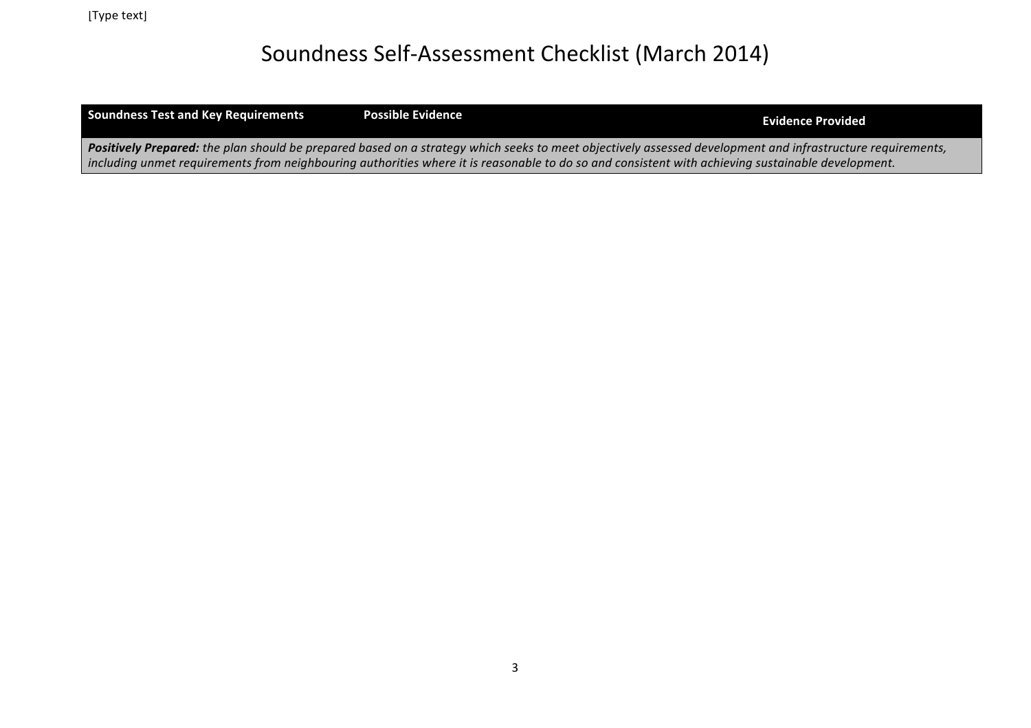Soundness Test and Key Requirements **Possible Evidence All and Soundness Test and Key Requirements Provided** 

Positively Prepared: the plan should be prepared based on a strategy which seeks to meet objectively assessed development and infrastructure requirements, *including* unmet requirements from neighbouring authorities where it is reasonable to do so and consistent with achieving sustainable development.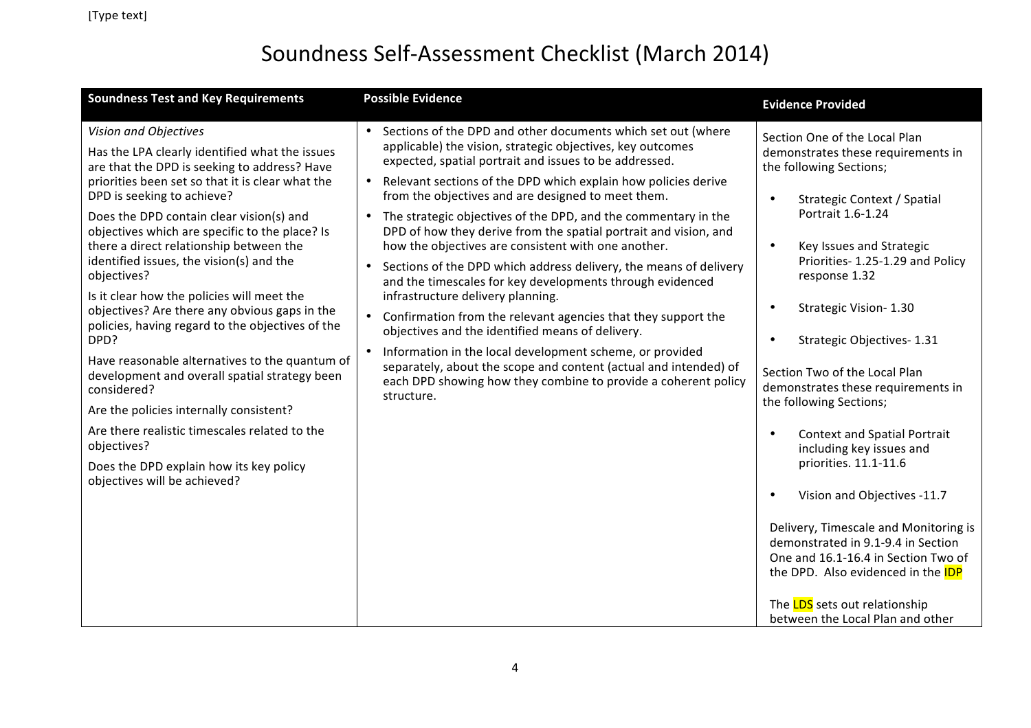| <b>Soundness Test and Key Requirements</b>                                                                                                                                  | <b>Possible Evidence</b>                                                                                                                                                                                                                                 | <b>Evidence Provided</b>                                                                                                                                 |
|-----------------------------------------------------------------------------------------------------------------------------------------------------------------------------|----------------------------------------------------------------------------------------------------------------------------------------------------------------------------------------------------------------------------------------------------------|----------------------------------------------------------------------------------------------------------------------------------------------------------|
| Vision and Objectives<br>Has the LPA clearly identified what the issues<br>are that the DPD is seeking to address? Have<br>priorities been set so that it is clear what the | • Sections of the DPD and other documents which set out (where<br>applicable) the vision, strategic objectives, key outcomes<br>expected, spatial portrait and issues to be addressed.<br>Relevant sections of the DPD which explain how policies derive | Section One of the Local Plan<br>demonstrates these requirements in<br>the following Sections;                                                           |
| DPD is seeking to achieve?<br>Does the DPD contain clear vision(s) and<br>objectives which are specific to the place? Is                                                    | from the objectives and are designed to meet them.<br>• The strategic objectives of the DPD, and the commentary in the<br>DPD of how they derive from the spatial portrait and vision, and                                                               | Strategic Context / Spatial<br>$\bullet$<br>Portrait 1.6-1.24                                                                                            |
| there a direct relationship between the<br>identified issues, the vision(s) and the<br>objectives?<br>Is it clear how the policies will meet the                            | how the objectives are consistent with one another.<br>Sections of the DPD which address delivery, the means of delivery<br>$\bullet$<br>and the timescales for key developments through evidenced<br>infrastructure delivery planning.                  | Key Issues and Strategic<br>$\bullet$<br>Priorities-1.25-1.29 and Policy<br>response 1.32                                                                |
| objectives? Are there any obvious gaps in the<br>policies, having regard to the objectives of the<br>DPD?                                                                   | Confirmation from the relevant agencies that they support the<br>$\bullet$<br>objectives and the identified means of delivery.<br>Information in the local development scheme, or provided                                                               | Strategic Vision-1.30<br>$\bullet$<br>Strategic Objectives- 1.31                                                                                         |
| Have reasonable alternatives to the quantum of<br>development and overall spatial strategy been<br>considered?<br>Are the policies internally consistent?                   | separately, about the scope and content (actual and intended) of<br>each DPD showing how they combine to provide a coherent policy<br>structure.                                                                                                         | Section Two of the Local Plan<br>demonstrates these requirements in<br>the following Sections;                                                           |
| Are there realistic timescales related to the<br>objectives?<br>Does the DPD explain how its key policy                                                                     |                                                                                                                                                                                                                                                          | <b>Context and Spatial Portrait</b><br>including key issues and<br>priorities. 11.1-11.6                                                                 |
| objectives will be achieved?                                                                                                                                                |                                                                                                                                                                                                                                                          | Vision and Objectives -11.7<br>$\bullet$                                                                                                                 |
|                                                                                                                                                                             |                                                                                                                                                                                                                                                          | Delivery, Timescale and Monitoring is<br>demonstrated in 9.1-9.4 in Section<br>One and 16.1-16.4 in Section Two of<br>the DPD. Also evidenced in the IDP |
|                                                                                                                                                                             |                                                                                                                                                                                                                                                          | The <b>LDS</b> sets out relationship<br>between the Local Plan and other                                                                                 |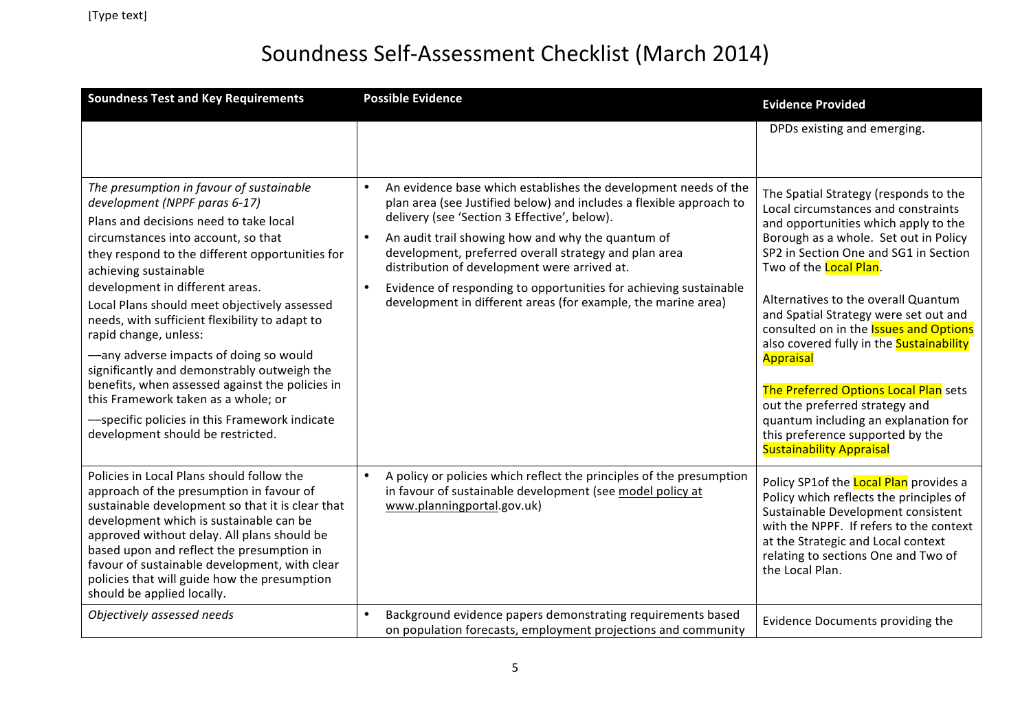| <b>Soundness Test and Key Requirements</b>                                                                                                                                                                                                                                                                                                                                                                                                                                                                                                                                                                                                                                    | <b>Possible Evidence</b>                                                                                                                                                                                                                                                                                                                                                                                                                                                                                | <b>Evidence Provided</b>                                                                                                                                                                                                                                                                                                                                                                                                                                                                                                                                                                                                     |
|-------------------------------------------------------------------------------------------------------------------------------------------------------------------------------------------------------------------------------------------------------------------------------------------------------------------------------------------------------------------------------------------------------------------------------------------------------------------------------------------------------------------------------------------------------------------------------------------------------------------------------------------------------------------------------|---------------------------------------------------------------------------------------------------------------------------------------------------------------------------------------------------------------------------------------------------------------------------------------------------------------------------------------------------------------------------------------------------------------------------------------------------------------------------------------------------------|------------------------------------------------------------------------------------------------------------------------------------------------------------------------------------------------------------------------------------------------------------------------------------------------------------------------------------------------------------------------------------------------------------------------------------------------------------------------------------------------------------------------------------------------------------------------------------------------------------------------------|
|                                                                                                                                                                                                                                                                                                                                                                                                                                                                                                                                                                                                                                                                               |                                                                                                                                                                                                                                                                                                                                                                                                                                                                                                         | DPDs existing and emerging.                                                                                                                                                                                                                                                                                                                                                                                                                                                                                                                                                                                                  |
| The presumption in favour of sustainable<br>development (NPPF paras 6-17)<br>Plans and decisions need to take local<br>circumstances into account, so that<br>they respond to the different opportunities for<br>achieving sustainable<br>development in different areas.<br>Local Plans should meet objectively assessed<br>needs, with sufficient flexibility to adapt to<br>rapid change, unless:<br>-any adverse impacts of doing so would<br>significantly and demonstrably outweigh the<br>benefits, when assessed against the policies in<br>this Framework taken as a whole; or<br>-specific policies in this Framework indicate<br>development should be restricted. | An evidence base which establishes the development needs of the<br>$\bullet$<br>plan area (see Justified below) and includes a flexible approach to<br>delivery (see 'Section 3 Effective', below).<br>An audit trail showing how and why the quantum of<br>development, preferred overall strategy and plan area<br>distribution of development were arrived at.<br>Evidence of responding to opportunities for achieving sustainable<br>development in different areas (for example, the marine area) | The Spatial Strategy (responds to the<br>Local circumstances and constraints<br>and opportunities which apply to the<br>Borough as a whole. Set out in Policy<br>SP2 in Section One and SG1 in Section<br>Two of the <b>Local Plan</b> .<br>Alternatives to the overall Quantum<br>and Spatial Strategy were set out and<br>consulted on in the <b>Issues and Options</b><br>also covered fully in the Sustainability<br>Appraisal<br>The Preferred Options Local Plan sets<br>out the preferred strategy and<br>quantum including an explanation for<br>this preference supported by the<br><b>Sustainability Appraisal</b> |
| Policies in Local Plans should follow the<br>approach of the presumption in favour of<br>sustainable development so that it is clear that<br>development which is sustainable can be<br>approved without delay. All plans should be<br>based upon and reflect the presumption in<br>favour of sustainable development, with clear<br>policies that will guide how the presumption<br>should be applied locally.                                                                                                                                                                                                                                                               | A policy or policies which reflect the principles of the presumption<br>$\bullet$<br>in favour of sustainable development (see model policy at<br>www.planningportal.gov.uk)                                                                                                                                                                                                                                                                                                                            | Policy SP1of the Local Plan provides a<br>Policy which reflects the principles of<br>Sustainable Development consistent<br>with the NPPF. If refers to the context<br>at the Strategic and Local context<br>relating to sections One and Two of<br>the Local Plan.                                                                                                                                                                                                                                                                                                                                                           |
| Objectively assessed needs                                                                                                                                                                                                                                                                                                                                                                                                                                                                                                                                                                                                                                                    | Background evidence papers demonstrating requirements based<br>on population forecasts, employment projections and community                                                                                                                                                                                                                                                                                                                                                                            | Evidence Documents providing the                                                                                                                                                                                                                                                                                                                                                                                                                                                                                                                                                                                             |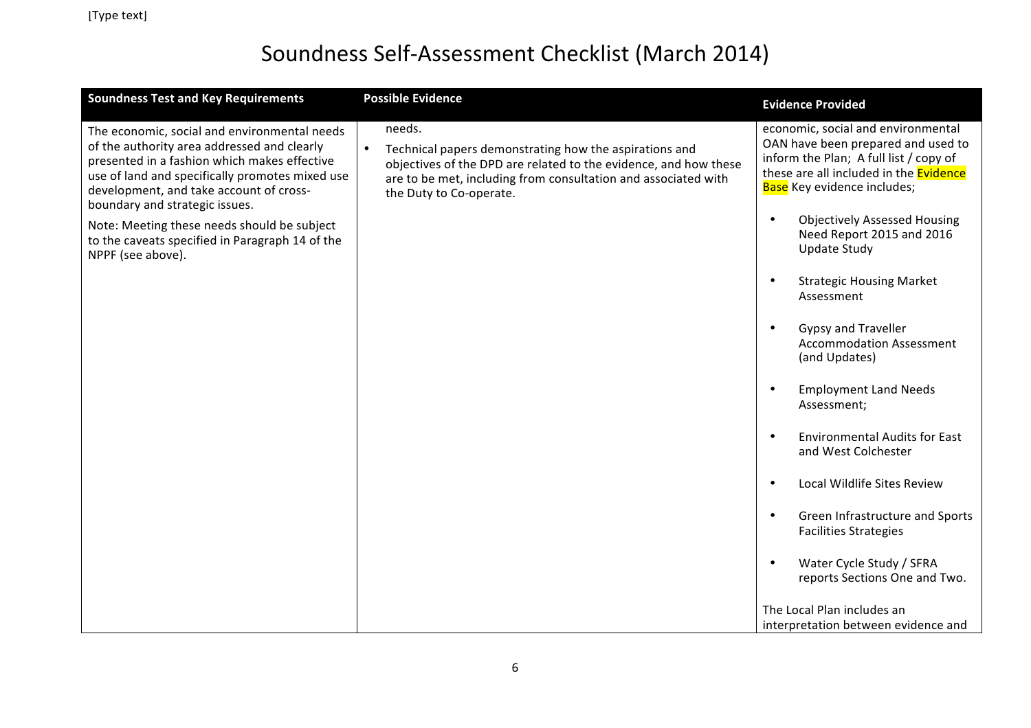| <b>Soundness Test and Key Requirements</b>                                                                                                                                                                                                                                                                                                                                                         | <b>Possible Evidence</b>                                                                                                                                                                                                          | <b>Evidence Provided</b>                                                                                                                                                                                                                                                                                                                                          |
|----------------------------------------------------------------------------------------------------------------------------------------------------------------------------------------------------------------------------------------------------------------------------------------------------------------------------------------------------------------------------------------------------|-----------------------------------------------------------------------------------------------------------------------------------------------------------------------------------------------------------------------------------|-------------------------------------------------------------------------------------------------------------------------------------------------------------------------------------------------------------------------------------------------------------------------------------------------------------------------------------------------------------------|
| The economic, social and environmental needs<br>of the authority area addressed and clearly<br>presented in a fashion which makes effective<br>use of land and specifically promotes mixed use<br>development, and take account of cross-<br>boundary and strategic issues.<br>Note: Meeting these needs should be subject<br>to the caveats specified in Paragraph 14 of the<br>NPPF (see above). | needs.<br>Technical papers demonstrating how the aspirations and<br>objectives of the DPD are related to the evidence, and how these<br>are to be met, including from consultation and associated with<br>the Duty to Co-operate. | economic, social and environmental<br>OAN have been prepared and used to<br>inform the Plan; A full list / copy of<br>these are all included in the Evidence<br>Base Key evidence includes;<br><b>Objectively Assessed Housing</b><br>$\bullet$<br>Need Report 2015 and 2016<br><b>Update Study</b><br><b>Strategic Housing Market</b><br>$\bullet$<br>Assessment |
|                                                                                                                                                                                                                                                                                                                                                                                                    |                                                                                                                                                                                                                                   | <b>Gypsy and Traveller</b><br>$\bullet$<br><b>Accommodation Assessment</b><br>(and Updates)                                                                                                                                                                                                                                                                       |
|                                                                                                                                                                                                                                                                                                                                                                                                    |                                                                                                                                                                                                                                   | <b>Employment Land Needs</b><br>$\bullet$<br>Assessment;                                                                                                                                                                                                                                                                                                          |
|                                                                                                                                                                                                                                                                                                                                                                                                    |                                                                                                                                                                                                                                   | <b>Environmental Audits for East</b><br>$\bullet$<br>and West Colchester                                                                                                                                                                                                                                                                                          |
|                                                                                                                                                                                                                                                                                                                                                                                                    |                                                                                                                                                                                                                                   | Local Wildlife Sites Review<br>$\bullet$                                                                                                                                                                                                                                                                                                                          |
|                                                                                                                                                                                                                                                                                                                                                                                                    |                                                                                                                                                                                                                                   | Green Infrastructure and Sports<br>$\bullet$<br><b>Facilities Strategies</b>                                                                                                                                                                                                                                                                                      |
|                                                                                                                                                                                                                                                                                                                                                                                                    |                                                                                                                                                                                                                                   | Water Cycle Study / SFRA<br>$\bullet$<br>reports Sections One and Two.                                                                                                                                                                                                                                                                                            |
|                                                                                                                                                                                                                                                                                                                                                                                                    |                                                                                                                                                                                                                                   | The Local Plan includes an                                                                                                                                                                                                                                                                                                                                        |
|                                                                                                                                                                                                                                                                                                                                                                                                    |                                                                                                                                                                                                                                   | interpretation between evidence and                                                                                                                                                                                                                                                                                                                               |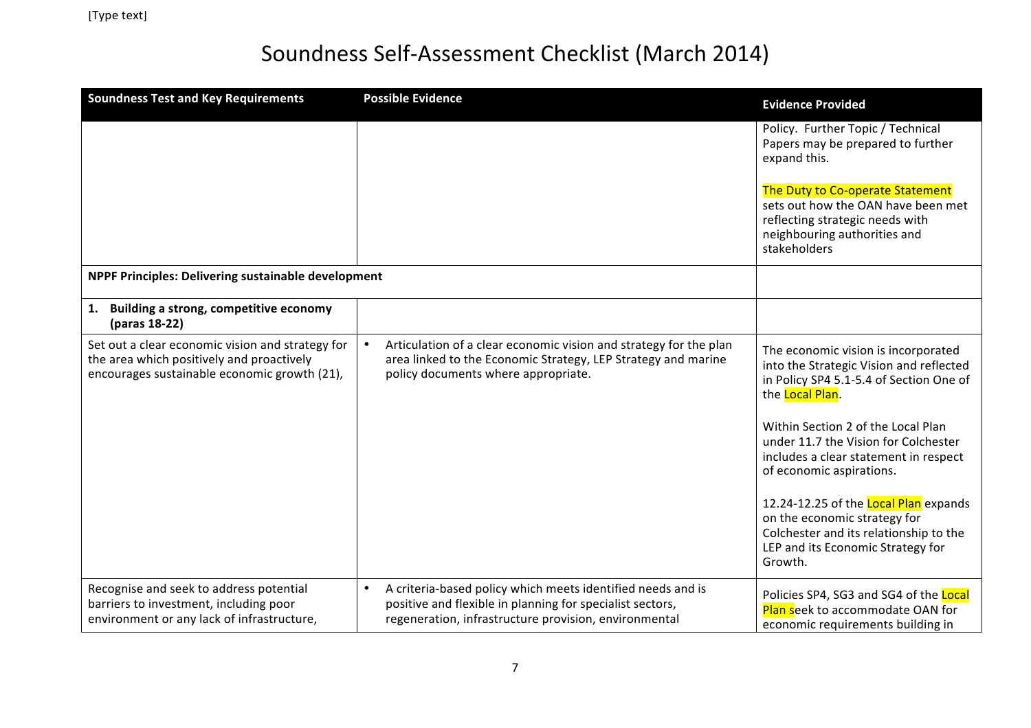| <b>Soundness Test and Key Requirements</b>                                                                                                    | <b>Possible Evidence</b>                                                                                                                                                                       | <b>Evidence Provided</b>                                                                                                                                        |
|-----------------------------------------------------------------------------------------------------------------------------------------------|------------------------------------------------------------------------------------------------------------------------------------------------------------------------------------------------|-----------------------------------------------------------------------------------------------------------------------------------------------------------------|
|                                                                                                                                               |                                                                                                                                                                                                | Policy. Further Topic / Technical<br>Papers may be prepared to further<br>expand this.                                                                          |
|                                                                                                                                               |                                                                                                                                                                                                | The Duty to Co-operate Statement<br>sets out how the OAN have been met<br>reflecting strategic needs with<br>neighbouring authorities and<br>stakeholders       |
| NPPF Principles: Delivering sustainable development                                                                                           |                                                                                                                                                                                                |                                                                                                                                                                 |
| Building a strong, competitive economy<br>1.<br>(paras 18-22)                                                                                 |                                                                                                                                                                                                |                                                                                                                                                                 |
| Set out a clear economic vision and strategy for<br>the area which positively and proactively<br>encourages sustainable economic growth (21), | Articulation of a clear economic vision and strategy for the plan<br>area linked to the Economic Strategy, LEP Strategy and marine<br>policy documents where appropriate.                      | The economic vision is incorporated<br>into the Strategic Vision and reflected<br>in Policy SP4 5.1-5.4 of Section One of<br>the Local Plan.                    |
|                                                                                                                                               |                                                                                                                                                                                                | Within Section 2 of the Local Plan<br>under 11.7 the Vision for Colchester<br>includes a clear statement in respect<br>of economic aspirations.                 |
|                                                                                                                                               |                                                                                                                                                                                                | 12.24-12.25 of the Local Plan expands<br>on the economic strategy for<br>Colchester and its relationship to the<br>LEP and its Economic Strategy for<br>Growth. |
| Recognise and seek to address potential<br>barriers to investment, including poor<br>environment or any lack of infrastructure,               | $\bullet$<br>A criteria-based policy which meets identified needs and is<br>positive and flexible in planning for specialist sectors,<br>regeneration, infrastructure provision, environmental | Policies SP4, SG3 and SG4 of the Local<br><b>Plan seek to accommodate OAN for</b><br>economic requirements building in                                          |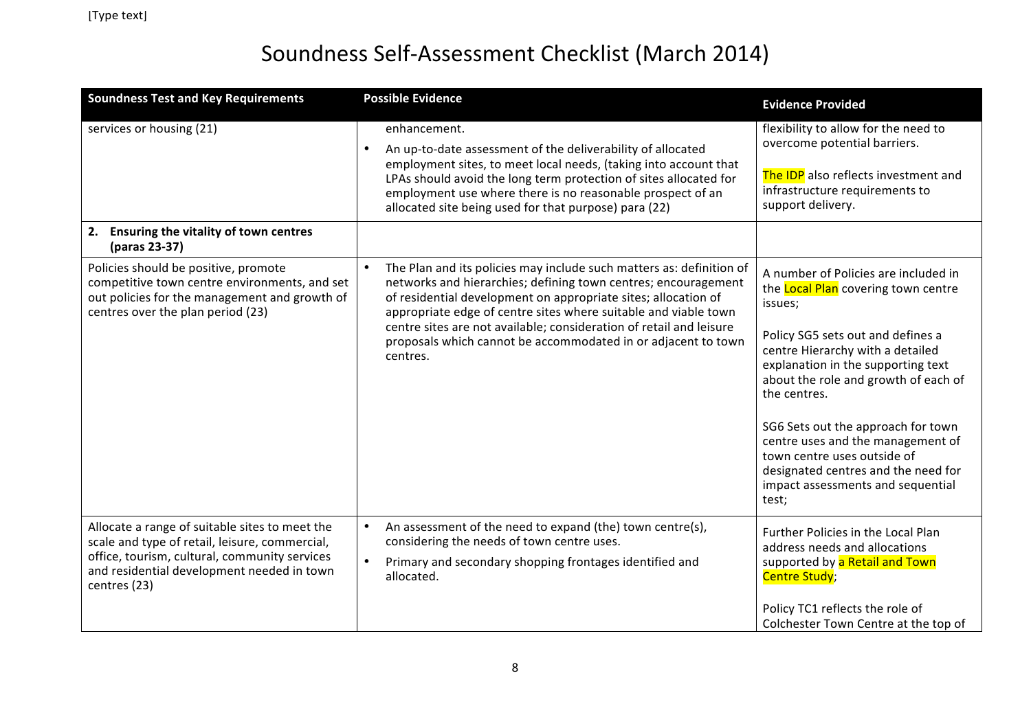| <b>Soundness Test and Key Requirements</b>                                                                                                                                                                      | <b>Possible Evidence</b>                                                                                                                                                                                                                                                                                                                                                                                                        | <b>Evidence Provided</b>                                                                                                                                                                                                                                                                                                                                                                                                                                     |
|-----------------------------------------------------------------------------------------------------------------------------------------------------------------------------------------------------------------|---------------------------------------------------------------------------------------------------------------------------------------------------------------------------------------------------------------------------------------------------------------------------------------------------------------------------------------------------------------------------------------------------------------------------------|--------------------------------------------------------------------------------------------------------------------------------------------------------------------------------------------------------------------------------------------------------------------------------------------------------------------------------------------------------------------------------------------------------------------------------------------------------------|
| services or housing (21)                                                                                                                                                                                        | enhancement.<br>An up-to-date assessment of the deliverability of allocated<br>$\bullet$<br>employment sites, to meet local needs, (taking into account that<br>LPAs should avoid the long term protection of sites allocated for<br>employment use where there is no reasonable prospect of an<br>allocated site being used for that purpose) para (22)                                                                        | flexibility to allow for the need to<br>overcome potential barriers.<br>The IDP also reflects investment and<br>infrastructure requirements to<br>support delivery.                                                                                                                                                                                                                                                                                          |
| 2. Ensuring the vitality of town centres<br>(paras 23-37)                                                                                                                                                       |                                                                                                                                                                                                                                                                                                                                                                                                                                 |                                                                                                                                                                                                                                                                                                                                                                                                                                                              |
| Policies should be positive, promote<br>competitive town centre environments, and set<br>out policies for the management and growth of<br>centres over the plan period (23)                                     | The Plan and its policies may include such matters as: definition of<br>networks and hierarchies; defining town centres; encouragement<br>of residential development on appropriate sites; allocation of<br>appropriate edge of centre sites where suitable and viable town<br>centre sites are not available; consideration of retail and leisure<br>proposals which cannot be accommodated in or adjacent to town<br>centres. | A number of Policies are included in<br>the Local Plan covering town centre<br>issues;<br>Policy SG5 sets out and defines a<br>centre Hierarchy with a detailed<br>explanation in the supporting text<br>about the role and growth of each of<br>the centres.<br>SG6 Sets out the approach for town<br>centre uses and the management of<br>town centre uses outside of<br>designated centres and the need for<br>impact assessments and sequential<br>test; |
| Allocate a range of suitable sites to meet the<br>scale and type of retail, leisure, commercial,<br>office, tourism, cultural, community services<br>and residential development needed in town<br>centres (23) | An assessment of the need to expand (the) town centre(s),<br>considering the needs of town centre uses.<br>Primary and secondary shopping frontages identified and<br>allocated.                                                                                                                                                                                                                                                | Further Policies in the Local Plan<br>address needs and allocations<br>supported by a Retail and Town<br><b>Centre Study;</b><br>Policy TC1 reflects the role of<br>Colchester Town Centre at the top of                                                                                                                                                                                                                                                     |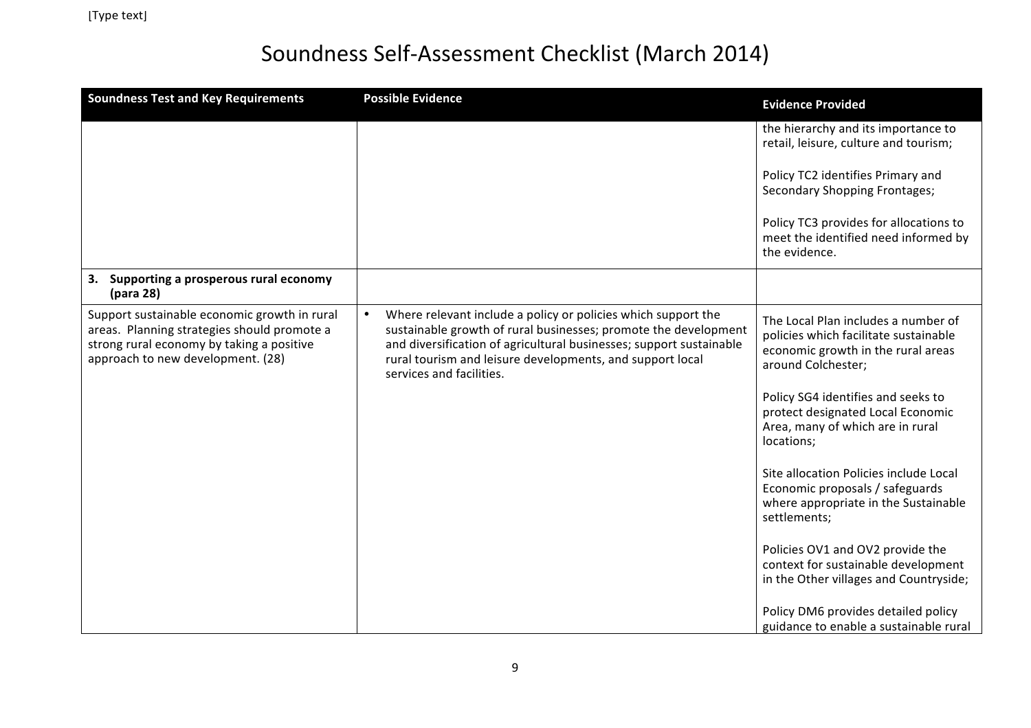| <b>Soundness Test and Key Requirements</b>                                                                                                                                    | <b>Possible Evidence</b>                                                                                                                                                                                                                                                                         | <b>Evidence Provided</b>                                                                                                                 |
|-------------------------------------------------------------------------------------------------------------------------------------------------------------------------------|--------------------------------------------------------------------------------------------------------------------------------------------------------------------------------------------------------------------------------------------------------------------------------------------------|------------------------------------------------------------------------------------------------------------------------------------------|
|                                                                                                                                                                               |                                                                                                                                                                                                                                                                                                  | the hierarchy and its importance to<br>retail, leisure, culture and tourism;                                                             |
|                                                                                                                                                                               |                                                                                                                                                                                                                                                                                                  | Policy TC2 identifies Primary and<br>Secondary Shopping Frontages;                                                                       |
|                                                                                                                                                                               |                                                                                                                                                                                                                                                                                                  | Policy TC3 provides for allocations to<br>meet the identified need informed by<br>the evidence.                                          |
| Supporting a prosperous rural economy<br>3.<br>(para 28)                                                                                                                      |                                                                                                                                                                                                                                                                                                  |                                                                                                                                          |
| Support sustainable economic growth in rural<br>areas. Planning strategies should promote a<br>strong rural economy by taking a positive<br>approach to new development. (28) | Where relevant include a policy or policies which support the<br>sustainable growth of rural businesses; promote the development<br>and diversification of agricultural businesses; support sustainable<br>rural tourism and leisure developments, and support local<br>services and facilities. | The Local Plan includes a number of<br>policies which facilitate sustainable<br>economic growth in the rural areas<br>around Colchester; |
|                                                                                                                                                                               |                                                                                                                                                                                                                                                                                                  | Policy SG4 identifies and seeks to<br>protect designated Local Economic<br>Area, many of which are in rural<br>locations;                |
|                                                                                                                                                                               |                                                                                                                                                                                                                                                                                                  | Site allocation Policies include Local<br>Economic proposals / safeguards<br>where appropriate in the Sustainable<br>settlements;        |
|                                                                                                                                                                               |                                                                                                                                                                                                                                                                                                  | Policies OV1 and OV2 provide the<br>context for sustainable development<br>in the Other villages and Countryside;                        |
|                                                                                                                                                                               |                                                                                                                                                                                                                                                                                                  | Policy DM6 provides detailed policy<br>guidance to enable a sustainable rural                                                            |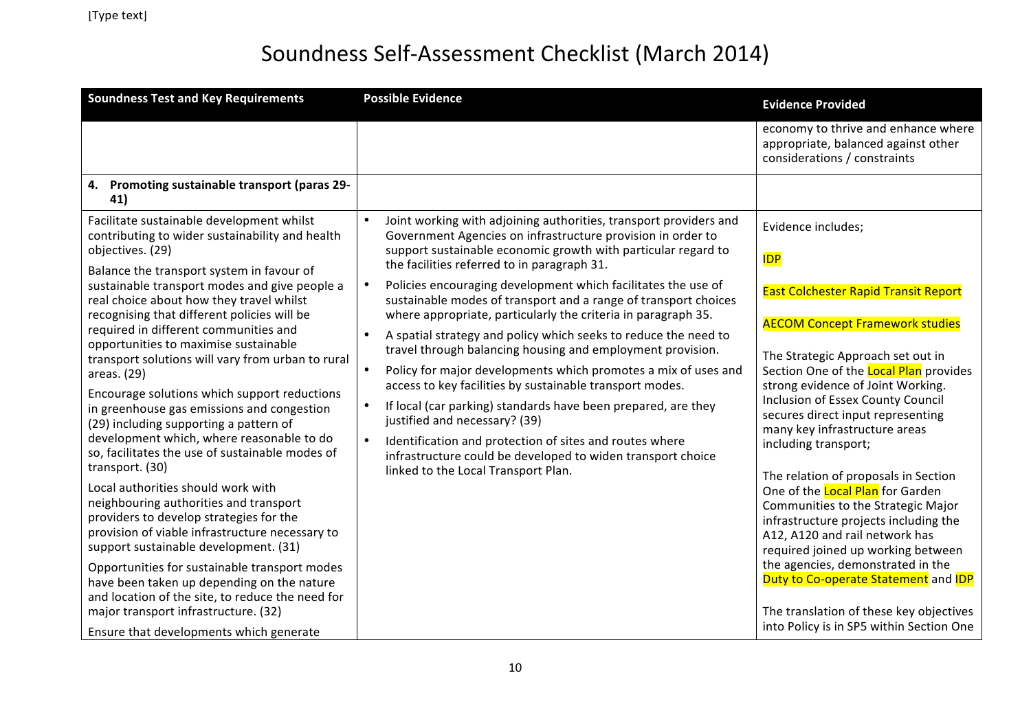| <b>Soundness Test and Key Requirements</b>                                                                                                                                                                                                                                                                                                                                                                                                                                                                                                                                                                                                   | <b>Possible Evidence</b>                                                                                                                                                                                                                                                                                                                                                                                                                                                                                                                                                                                                                                                                                                                                                                                                  | <b>Evidence Provided</b>                                                                                                                                                                                                                                                                                                                                                                                                        |
|----------------------------------------------------------------------------------------------------------------------------------------------------------------------------------------------------------------------------------------------------------------------------------------------------------------------------------------------------------------------------------------------------------------------------------------------------------------------------------------------------------------------------------------------------------------------------------------------------------------------------------------------|---------------------------------------------------------------------------------------------------------------------------------------------------------------------------------------------------------------------------------------------------------------------------------------------------------------------------------------------------------------------------------------------------------------------------------------------------------------------------------------------------------------------------------------------------------------------------------------------------------------------------------------------------------------------------------------------------------------------------------------------------------------------------------------------------------------------------|---------------------------------------------------------------------------------------------------------------------------------------------------------------------------------------------------------------------------------------------------------------------------------------------------------------------------------------------------------------------------------------------------------------------------------|
|                                                                                                                                                                                                                                                                                                                                                                                                                                                                                                                                                                                                                                              |                                                                                                                                                                                                                                                                                                                                                                                                                                                                                                                                                                                                                                                                                                                                                                                                                           | economy to thrive and enhance where<br>appropriate, balanced against other<br>considerations / constraints                                                                                                                                                                                                                                                                                                                      |
| 4. Promoting sustainable transport (paras 29-<br>41)                                                                                                                                                                                                                                                                                                                                                                                                                                                                                                                                                                                         |                                                                                                                                                                                                                                                                                                                                                                                                                                                                                                                                                                                                                                                                                                                                                                                                                           |                                                                                                                                                                                                                                                                                                                                                                                                                                 |
| Facilitate sustainable development whilst<br>contributing to wider sustainability and health<br>objectives. (29)                                                                                                                                                                                                                                                                                                                                                                                                                                                                                                                             | $\bullet$<br>Joint working with adjoining authorities, transport providers and<br>Government Agencies on infrastructure provision in order to<br>support sustainable economic growth with particular regard to                                                                                                                                                                                                                                                                                                                                                                                                                                                                                                                                                                                                            | Evidence includes;<br><b>IDP</b>                                                                                                                                                                                                                                                                                                                                                                                                |
| Balance the transport system in favour of<br>sustainable transport modes and give people a<br>real choice about how they travel whilst<br>recognising that different policies will be<br>required in different communities and<br>opportunities to maximise sustainable<br>transport solutions will vary from urban to rural<br>areas. (29)<br>Encourage solutions which support reductions<br>in greenhouse gas emissions and congestion<br>(29) including supporting a pattern of<br>development which, where reasonable to do<br>so, facilitates the use of sustainable modes of<br>transport. (30)<br>Local authorities should work with | the facilities referred to in paragraph 31.<br>Policies encouraging development which facilitates the use of<br>sustainable modes of transport and a range of transport choices<br>where appropriate, particularly the criteria in paragraph 35.<br>A spatial strategy and policy which seeks to reduce the need to<br>$\bullet$<br>travel through balancing housing and employment provision.<br>Policy for major developments which promotes a mix of uses and<br>access to key facilities by sustainable transport modes.<br>If local (car parking) standards have been prepared, are they<br>$\bullet$<br>justified and necessary? (39)<br>$\bullet$<br>Identification and protection of sites and routes where<br>infrastructure could be developed to widen transport choice<br>linked to the Local Transport Plan. | <b>East Colchester Rapid Transit Report</b><br><b>AECOM Concept Framework studies</b><br>The Strategic Approach set out in<br>Section One of the Local Plan provides<br>strong evidence of Joint Working.<br><b>Inclusion of Essex County Council</b><br>secures direct input representing<br>many key infrastructure areas<br>including transport;<br>The relation of proposals in Section<br>One of the Local Plan for Garden |
| neighbouring authorities and transport<br>providers to develop strategies for the<br>provision of viable infrastructure necessary to<br>support sustainable development. (31)<br>Opportunities for sustainable transport modes<br>have been taken up depending on the nature<br>and location of the site, to reduce the need for                                                                                                                                                                                                                                                                                                             |                                                                                                                                                                                                                                                                                                                                                                                                                                                                                                                                                                                                                                                                                                                                                                                                                           | Communities to the Strategic Major<br>infrastructure projects including the<br>A12, A120 and rail network has<br>required joined up working between<br>the agencies, demonstrated in the<br>Duty to Co-operate Statement and IDP                                                                                                                                                                                                |
| major transport infrastructure. (32)<br>Ensure that developments which generate                                                                                                                                                                                                                                                                                                                                                                                                                                                                                                                                                              |                                                                                                                                                                                                                                                                                                                                                                                                                                                                                                                                                                                                                                                                                                                                                                                                                           | The translation of these key objectives<br>into Policy is in SP5 within Section One                                                                                                                                                                                                                                                                                                                                             |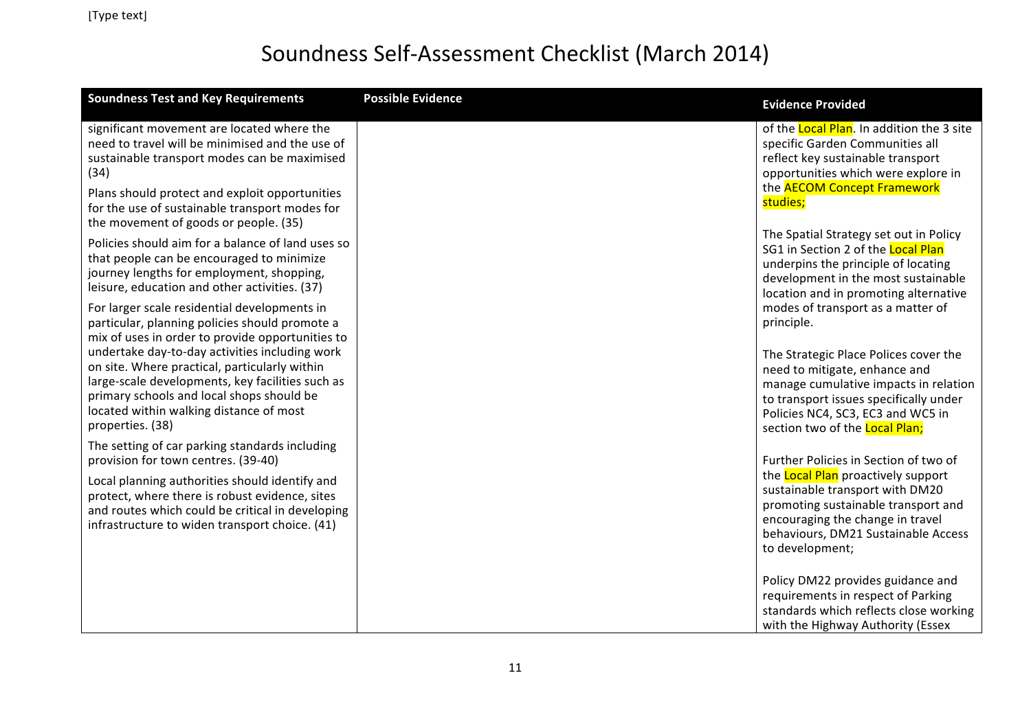| <b>Soundness Test and Key Requirements</b>                                                                                                                                                                    | <b>Possible Evidence</b> | <b>Evidence Provided</b>                                                                                                                                                                                   |
|---------------------------------------------------------------------------------------------------------------------------------------------------------------------------------------------------------------|--------------------------|------------------------------------------------------------------------------------------------------------------------------------------------------------------------------------------------------------|
| significant movement are located where the<br>need to travel will be minimised and the use of<br>sustainable transport modes can be maximised<br>(34)<br>Plans should protect and exploit opportunities       |                          | of the Local Plan. In addition the 3 site<br>specific Garden Communities all<br>reflect key sustainable transport<br>opportunities which were explore in<br>the <b>AECOM Concept Framework</b>             |
| for the use of sustainable transport modes for<br>the movement of goods or people. (35)                                                                                                                       |                          | studies;                                                                                                                                                                                                   |
| Policies should aim for a balance of land uses so<br>that people can be encouraged to minimize<br>journey lengths for employment, shopping,<br>leisure, education and other activities. (37)                  |                          | The Spatial Strategy set out in Policy<br>SG1 in Section 2 of the Local Plan<br>underpins the principle of locating<br>development in the most sustainable<br>location and in promoting alternative        |
| For larger scale residential developments in<br>particular, planning policies should promote a<br>mix of uses in order to provide opportunities to<br>undertake day-to-day activities including work          |                          | modes of transport as a matter of<br>principle.<br>The Strategic Place Polices cover the                                                                                                                   |
| on site. Where practical, particularly within<br>large-scale developments, key facilities such as<br>primary schools and local shops should be<br>located within walking distance of most<br>properties. (38) |                          | need to mitigate, enhance and<br>manage cumulative impacts in relation<br>to transport issues specifically under<br>Policies NC4, SC3, EC3 and WC5 in<br>section two of the <b>Local Plan;</b>             |
| The setting of car parking standards including<br>provision for town centres. (39-40)                                                                                                                         |                          | Further Policies in Section of two of                                                                                                                                                                      |
| Local planning authorities should identify and<br>protect, where there is robust evidence, sites<br>and routes which could be critical in developing<br>infrastructure to widen transport choice. (41)        |                          | the Local Plan proactively support<br>sustainable transport with DM20<br>promoting sustainable transport and<br>encouraging the change in travel<br>behaviours, DM21 Sustainable Access<br>to development; |
|                                                                                                                                                                                                               |                          | Policy DM22 provides guidance and<br>requirements in respect of Parking<br>standards which reflects close working<br>with the Highway Authority (Essex                                                     |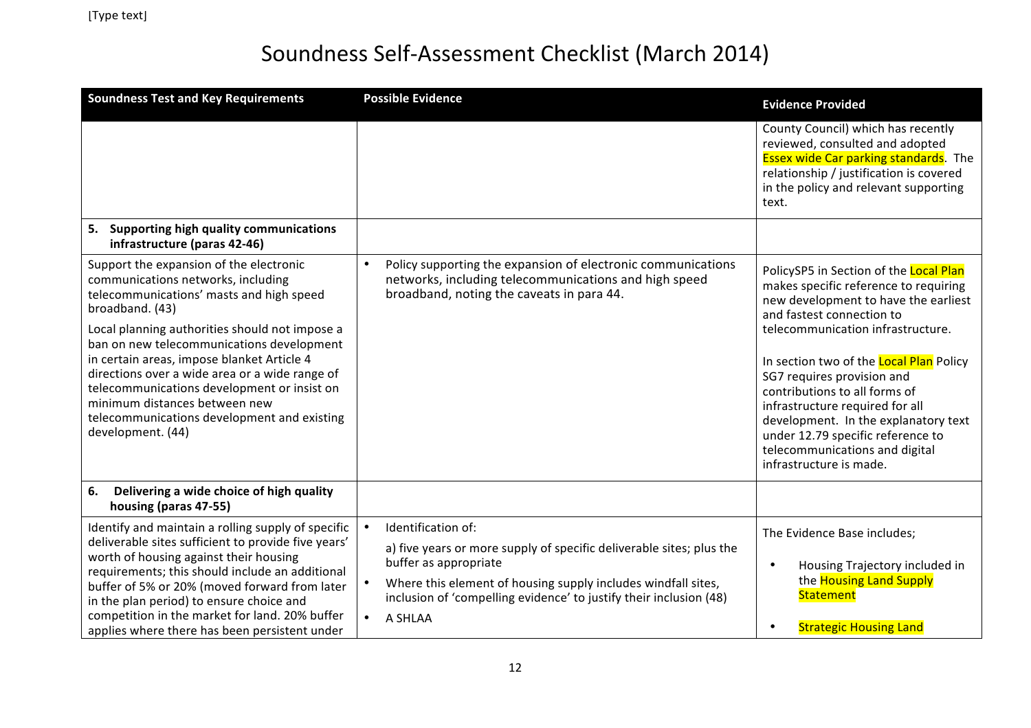| <b>Soundness Test and Key Requirements</b>                                                                                                                                                                                                                                                                                                                                                                                                                                                      | <b>Possible Evidence</b>                                                                                                                                                                                                                                                                        | <b>Evidence Provided</b>                                                                                                                                                                                                                                                                                                                                                                                                                                                         |
|-------------------------------------------------------------------------------------------------------------------------------------------------------------------------------------------------------------------------------------------------------------------------------------------------------------------------------------------------------------------------------------------------------------------------------------------------------------------------------------------------|-------------------------------------------------------------------------------------------------------------------------------------------------------------------------------------------------------------------------------------------------------------------------------------------------|----------------------------------------------------------------------------------------------------------------------------------------------------------------------------------------------------------------------------------------------------------------------------------------------------------------------------------------------------------------------------------------------------------------------------------------------------------------------------------|
|                                                                                                                                                                                                                                                                                                                                                                                                                                                                                                 |                                                                                                                                                                                                                                                                                                 | County Council) which has recently<br>reviewed, consulted and adopted<br><b>Essex wide Car parking standards</b> . The<br>relationship / justification is covered<br>in the policy and relevant supporting<br>text.                                                                                                                                                                                                                                                              |
| 5. Supporting high quality communications<br>infrastructure (paras 42-46)                                                                                                                                                                                                                                                                                                                                                                                                                       |                                                                                                                                                                                                                                                                                                 |                                                                                                                                                                                                                                                                                                                                                                                                                                                                                  |
| Support the expansion of the electronic<br>communications networks, including<br>telecommunications' masts and high speed<br>broadband. (43)<br>Local planning authorities should not impose a<br>ban on new telecommunications development<br>in certain areas, impose blanket Article 4<br>directions over a wide area or a wide range of<br>telecommunications development or insist on<br>minimum distances between new<br>telecommunications development and existing<br>development. (44) | Policy supporting the expansion of electronic communications<br>$\bullet$<br>networks, including telecommunications and high speed<br>broadband, noting the caveats in para 44.                                                                                                                 | PolicySP5 in Section of the Local Plan<br>makes specific reference to requiring<br>new development to have the earliest<br>and fastest connection to<br>telecommunication infrastructure.<br>In section two of the Local Plan Policy<br>SG7 requires provision and<br>contributions to all forms of<br>infrastructure required for all<br>development. In the explanatory text<br>under 12.79 specific reference to<br>telecommunications and digital<br>infrastructure is made. |
| Delivering a wide choice of high quality<br>6.<br>housing (paras 47-55)                                                                                                                                                                                                                                                                                                                                                                                                                         |                                                                                                                                                                                                                                                                                                 |                                                                                                                                                                                                                                                                                                                                                                                                                                                                                  |
| Identify and maintain a rolling supply of specific<br>deliverable sites sufficient to provide five years'<br>worth of housing against their housing<br>requirements; this should include an additional<br>buffer of 5% or 20% (moved forward from later<br>in the plan period) to ensure choice and<br>competition in the market for land. 20% buffer<br>applies where there has been persistent under                                                                                          | Identification of:<br>$\bullet$<br>a) five years or more supply of specific deliverable sites; plus the<br>buffer as appropriate<br>Where this element of housing supply includes windfall sites,<br>inclusion of 'compelling evidence' to justify their inclusion (48)<br>$\bullet$<br>A SHLAA | The Evidence Base includes;<br>Housing Trajectory included in<br>$\bullet$<br>the <b>Housing Land Supply</b><br><b>Statement</b><br><b>Strategic Housing Land</b>                                                                                                                                                                                                                                                                                                                |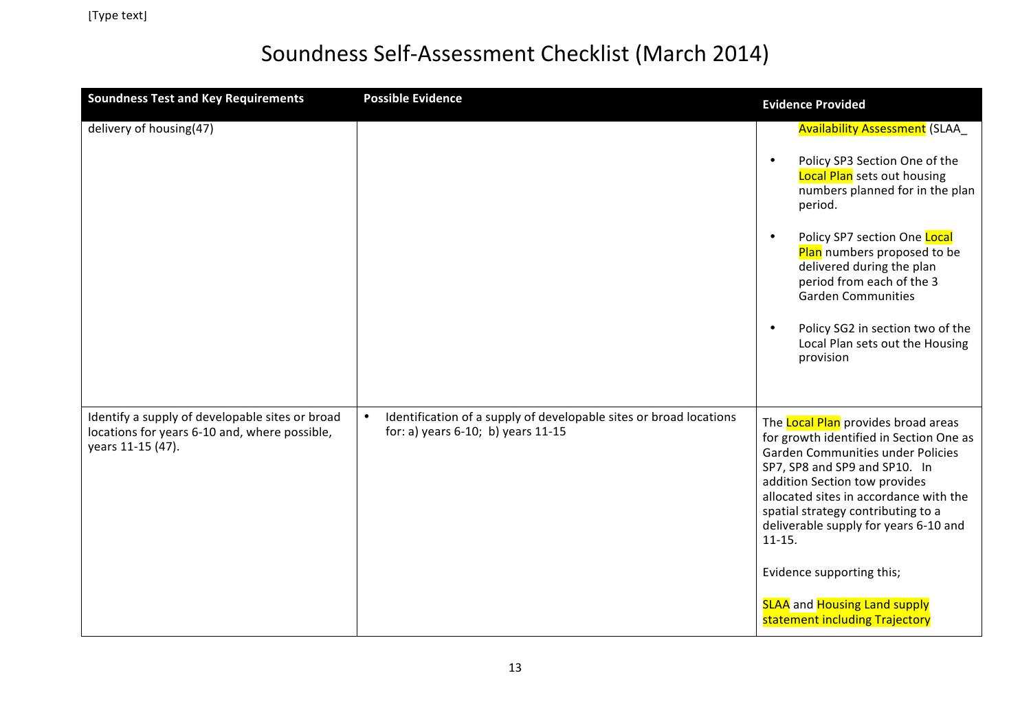| <b>Soundness Test and Key Requirements</b>                                                                            | <b>Possible Evidence</b>                                                                                 | <b>Evidence Provided</b>                                                                                                                                                                                                                                                                                                                                                                                                                         |
|-----------------------------------------------------------------------------------------------------------------------|----------------------------------------------------------------------------------------------------------|--------------------------------------------------------------------------------------------------------------------------------------------------------------------------------------------------------------------------------------------------------------------------------------------------------------------------------------------------------------------------------------------------------------------------------------------------|
| delivery of housing(47)                                                                                               |                                                                                                          | <b>Availability Assessment (SLAA_</b><br>Policy SP3 Section One of the<br>$\bullet$<br><b>Local Plan</b> sets out housing<br>numbers planned for in the plan<br>period.<br>Policy SP7 section One Local<br>$\bullet$<br>Plan numbers proposed to be<br>delivered during the plan<br>period from each of the 3<br><b>Garden Communities</b><br>Policy SG2 in section two of the<br>$\bullet$<br>Local Plan sets out the Housing<br>provision      |
| Identify a supply of developable sites or broad<br>locations for years 6-10 and, where possible,<br>years 11-15 (47). | Identification of a supply of developable sites or broad locations<br>for: a) years 6-10; b) years 11-15 | The Local Plan provides broad areas<br>for growth identified in Section One as<br><b>Garden Communities under Policies</b><br>SP7, SP8 and SP9 and SP10. In<br>addition Section tow provides<br>allocated sites in accordance with the<br>spatial strategy contributing to a<br>deliverable supply for years 6-10 and<br>$11 - 15.$<br>Evidence supporting this;<br><b>SLAA</b> and <b>Housing Land supply</b><br>statement including Trajectory |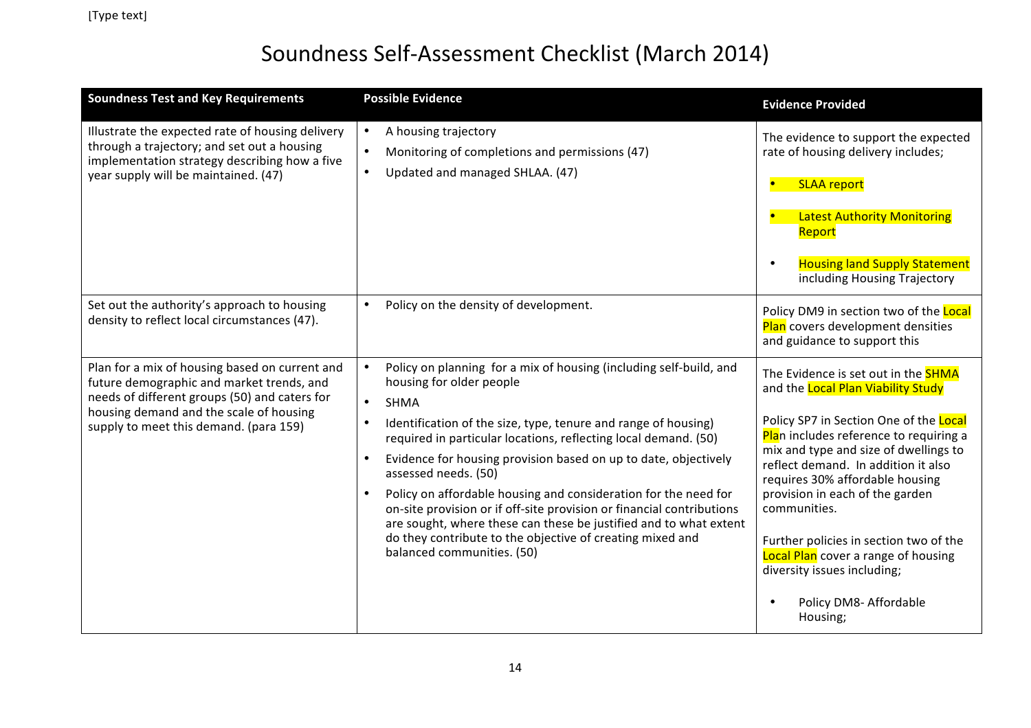| <b>Soundness Test and Key Requirements</b>                                                                                                                                                                                        | <b>Possible Evidence</b>                                                                                                                                                                                                                                                                                                                                                                                                                                                                                                                                                                                                                                                                         | <b>Evidence Provided</b>                                                                                                                                                                                                                                                                                                                                                                                                                                                                                             |
|-----------------------------------------------------------------------------------------------------------------------------------------------------------------------------------------------------------------------------------|--------------------------------------------------------------------------------------------------------------------------------------------------------------------------------------------------------------------------------------------------------------------------------------------------------------------------------------------------------------------------------------------------------------------------------------------------------------------------------------------------------------------------------------------------------------------------------------------------------------------------------------------------------------------------------------------------|----------------------------------------------------------------------------------------------------------------------------------------------------------------------------------------------------------------------------------------------------------------------------------------------------------------------------------------------------------------------------------------------------------------------------------------------------------------------------------------------------------------------|
| Illustrate the expected rate of housing delivery<br>through a trajectory; and set out a housing<br>implementation strategy describing how a five<br>year supply will be maintained. (47)                                          | A housing trajectory<br>Monitoring of completions and permissions (47)<br>Updated and managed SHLAA. (47)                                                                                                                                                                                                                                                                                                                                                                                                                                                                                                                                                                                        | The evidence to support the expected<br>rate of housing delivery includes;<br><b>SLAA report</b><br><b>Latest Authority Monitoring</b><br>Report<br><b>Housing land Supply Statement</b><br>$\bullet$<br>including Housing Trajectory                                                                                                                                                                                                                                                                                |
| Set out the authority's approach to housing<br>density to reflect local circumstances (47).                                                                                                                                       | Policy on the density of development.                                                                                                                                                                                                                                                                                                                                                                                                                                                                                                                                                                                                                                                            | Policy DM9 in section two of the Local<br>Plan covers development densities<br>and guidance to support this                                                                                                                                                                                                                                                                                                                                                                                                          |
| Plan for a mix of housing based on current and<br>future demographic and market trends, and<br>needs of different groups (50) and caters for<br>housing demand and the scale of housing<br>supply to meet this demand. (para 159) | Policy on planning for a mix of housing (including self-build, and<br>housing for older people<br><b>SHMA</b><br>$\bullet$<br>Identification of the size, type, tenure and range of housing)<br>required in particular locations, reflecting local demand. (50)<br>Evidence for housing provision based on up to date, objectively<br>$\bullet$<br>assessed needs. (50)<br>Policy on affordable housing and consideration for the need for<br>$\bullet$<br>on-site provision or if off-site provision or financial contributions<br>are sought, where these can these be justified and to what extent<br>do they contribute to the objective of creating mixed and<br>balanced communities. (50) | The Evidence is set out in the <b>SHMA</b><br>and the Local Plan Viability Study<br>Policy SP7 in Section One of the Local<br>Plan includes reference to requiring a<br>mix and type and size of dwellings to<br>reflect demand. In addition it also<br>requires 30% affordable housing<br>provision in each of the garden<br>communities.<br>Further policies in section two of the<br><b>Local Plan</b> cover a range of housing<br>diversity issues including;<br>Policy DM8- Affordable<br>$\bullet$<br>Housing; |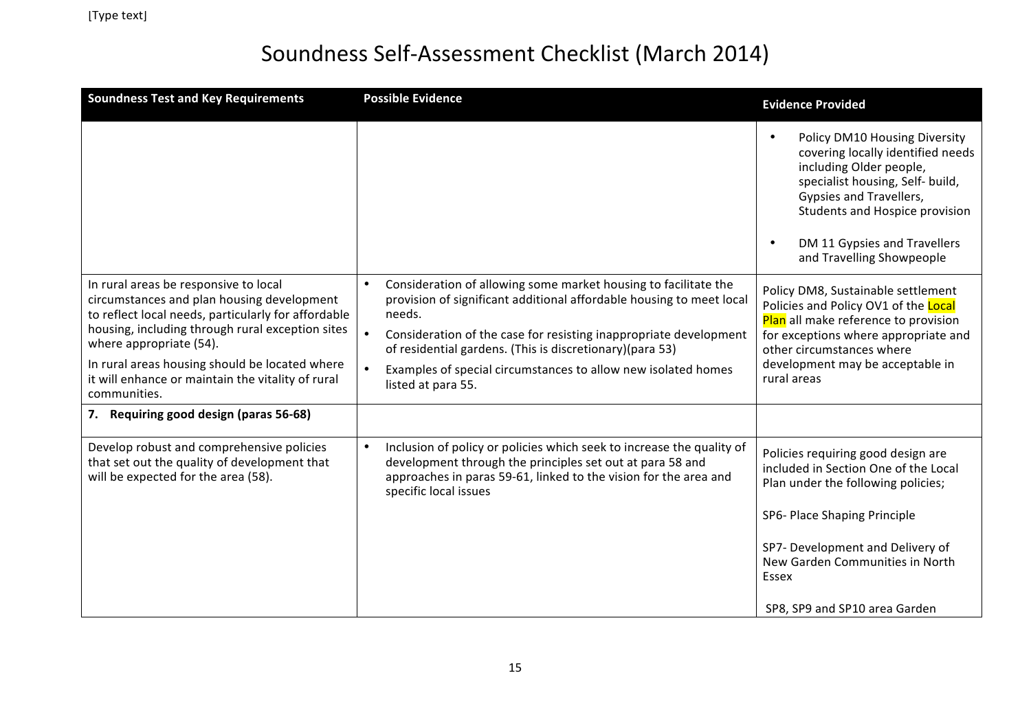| <b>Soundness Test and Key Requirements</b>                                                                                                                                                                                                                                                                                                       | <b>Possible Evidence</b>                                                                                                                                                                                                                                                                                                                                                               | <b>Evidence Provided</b>                                                                                                                                                                                                                                                              |
|--------------------------------------------------------------------------------------------------------------------------------------------------------------------------------------------------------------------------------------------------------------------------------------------------------------------------------------------------|----------------------------------------------------------------------------------------------------------------------------------------------------------------------------------------------------------------------------------------------------------------------------------------------------------------------------------------------------------------------------------------|---------------------------------------------------------------------------------------------------------------------------------------------------------------------------------------------------------------------------------------------------------------------------------------|
|                                                                                                                                                                                                                                                                                                                                                  |                                                                                                                                                                                                                                                                                                                                                                                        | Policy DM10 Housing Diversity<br>$\bullet$<br>covering locally identified needs<br>including Older people,<br>specialist housing, Self- build,<br>Gypsies and Travellers,<br>Students and Hospice provision<br>DM 11 Gypsies and Travellers<br>$\bullet$<br>and Travelling Showpeople |
| In rural areas be responsive to local<br>circumstances and plan housing development<br>to reflect local needs, particularly for affordable<br>housing, including through rural exception sites<br>where appropriate (54).<br>In rural areas housing should be located where<br>it will enhance or maintain the vitality of rural<br>communities. | Consideration of allowing some market housing to facilitate the<br>$\bullet$<br>provision of significant additional affordable housing to meet local<br>needs.<br>Consideration of the case for resisting inappropriate development<br>of residential gardens. (This is discretionary)(para 53)<br>Examples of special circumstances to allow new isolated homes<br>listed at para 55. | Policy DM8, Sustainable settlement<br>Policies and Policy OV1 of the Local<br>Plan all make reference to provision<br>for exceptions where appropriate and<br>other circumstances where<br>development may be acceptable in<br>rural areas                                            |
| 7. Requiring good design (paras 56-68)                                                                                                                                                                                                                                                                                                           |                                                                                                                                                                                                                                                                                                                                                                                        |                                                                                                                                                                                                                                                                                       |
| Develop robust and comprehensive policies<br>that set out the quality of development that<br>will be expected for the area (58).                                                                                                                                                                                                                 | Inclusion of policy or policies which seek to increase the quality of<br>$\bullet$<br>development through the principles set out at para 58 and<br>approaches in paras 59-61, linked to the vision for the area and<br>specific local issues                                                                                                                                           | Policies requiring good design are<br>included in Section One of the Local<br>Plan under the following policies;                                                                                                                                                                      |
|                                                                                                                                                                                                                                                                                                                                                  |                                                                                                                                                                                                                                                                                                                                                                                        | SP6- Place Shaping Principle                                                                                                                                                                                                                                                          |
|                                                                                                                                                                                                                                                                                                                                                  |                                                                                                                                                                                                                                                                                                                                                                                        | SP7- Development and Delivery of<br>New Garden Communities in North<br>Essex                                                                                                                                                                                                          |
|                                                                                                                                                                                                                                                                                                                                                  |                                                                                                                                                                                                                                                                                                                                                                                        | SP8, SP9 and SP10 area Garden                                                                                                                                                                                                                                                         |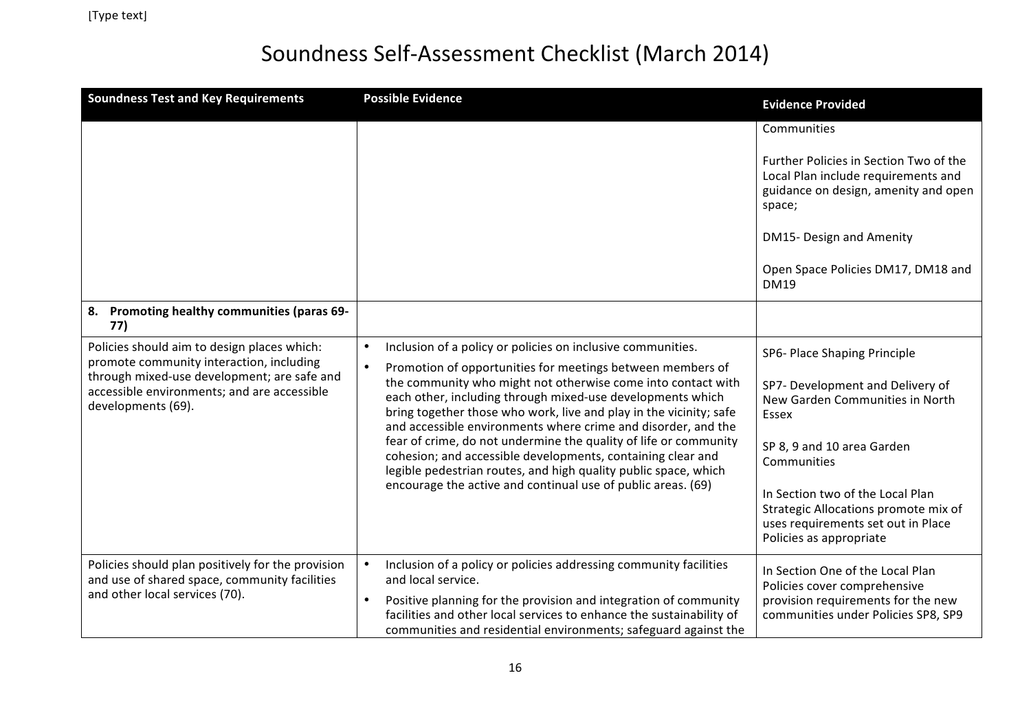| <b>Soundness Test and Key Requirements</b>                                                                                                                                                                  | <b>Possible Evidence</b>                                                                                                                                                                                                                                                                                                                                                                                                                                                                                                                                                                                          | <b>Evidence Provided</b>                                                                                                                  |
|-------------------------------------------------------------------------------------------------------------------------------------------------------------------------------------------------------------|-------------------------------------------------------------------------------------------------------------------------------------------------------------------------------------------------------------------------------------------------------------------------------------------------------------------------------------------------------------------------------------------------------------------------------------------------------------------------------------------------------------------------------------------------------------------------------------------------------------------|-------------------------------------------------------------------------------------------------------------------------------------------|
|                                                                                                                                                                                                             |                                                                                                                                                                                                                                                                                                                                                                                                                                                                                                                                                                                                                   | Communities                                                                                                                               |
|                                                                                                                                                                                                             |                                                                                                                                                                                                                                                                                                                                                                                                                                                                                                                                                                                                                   | Further Policies in Section Two of the<br>Local Plan include requirements and<br>guidance on design, amenity and open<br>space;           |
|                                                                                                                                                                                                             |                                                                                                                                                                                                                                                                                                                                                                                                                                                                                                                                                                                                                   | DM15- Design and Amenity                                                                                                                  |
|                                                                                                                                                                                                             |                                                                                                                                                                                                                                                                                                                                                                                                                                                                                                                                                                                                                   | Open Space Policies DM17, DM18 and<br><b>DM19</b>                                                                                         |
| Promoting healthy communities (paras 69-<br>8.<br>77)                                                                                                                                                       |                                                                                                                                                                                                                                                                                                                                                                                                                                                                                                                                                                                                                   |                                                                                                                                           |
| Policies should aim to design places which:<br>promote community interaction, including<br>through mixed-use development; are safe and<br>accessible environments; and are accessible<br>developments (69). | Inclusion of a policy or policies on inclusive communities.<br>$\bullet$<br>Promotion of opportunities for meetings between members of<br>the community who might not otherwise come into contact with<br>each other, including through mixed-use developments which<br>bring together those who work, live and play in the vicinity; safe<br>and accessible environments where crime and disorder, and the<br>fear of crime, do not undermine the quality of life or community<br>cohesion; and accessible developments, containing clear and<br>legible pedestrian routes, and high quality public space, which | SP6- Place Shaping Principle                                                                                                              |
|                                                                                                                                                                                                             |                                                                                                                                                                                                                                                                                                                                                                                                                                                                                                                                                                                                                   | SP7- Development and Delivery of<br>New Garden Communities in North<br>Essex                                                              |
|                                                                                                                                                                                                             |                                                                                                                                                                                                                                                                                                                                                                                                                                                                                                                                                                                                                   | SP 8, 9 and 10 area Garden<br>Communities                                                                                                 |
|                                                                                                                                                                                                             | encourage the active and continual use of public areas. (69)                                                                                                                                                                                                                                                                                                                                                                                                                                                                                                                                                      | In Section two of the Local Plan<br>Strategic Allocations promote mix of<br>uses requirements set out in Place<br>Policies as appropriate |
| Policies should plan positively for the provision<br>and use of shared space, community facilities                                                                                                          | Inclusion of a policy or policies addressing community facilities<br>and local service.                                                                                                                                                                                                                                                                                                                                                                                                                                                                                                                           | In Section One of the Local Plan<br>Policies cover comprehensive                                                                          |
| and other local services (70).                                                                                                                                                                              | Positive planning for the provision and integration of community<br>$\bullet$<br>facilities and other local services to enhance the sustainability of<br>communities and residential environments; safeguard against the                                                                                                                                                                                                                                                                                                                                                                                          | provision requirements for the new<br>communities under Policies SP8, SP9                                                                 |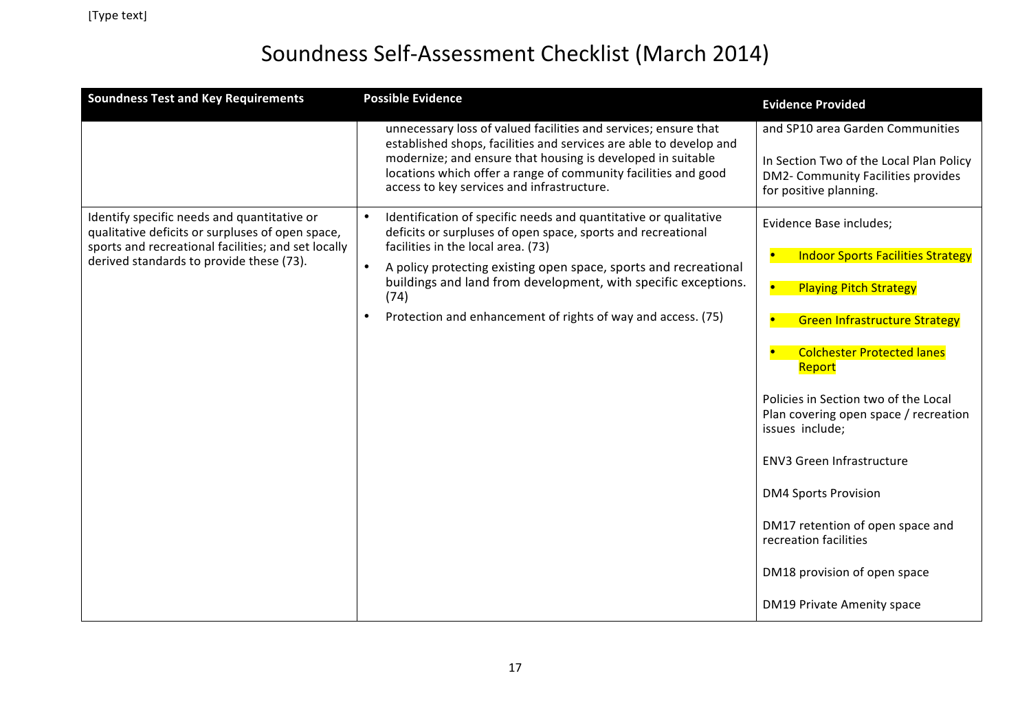| <b>Soundness Test and Key Requirements</b>                                                                                                             | <b>Possible Evidence</b>                                                                                                                                                    | <b>Evidence Provided</b>                                                                                |
|--------------------------------------------------------------------------------------------------------------------------------------------------------|-----------------------------------------------------------------------------------------------------------------------------------------------------------------------------|---------------------------------------------------------------------------------------------------------|
|                                                                                                                                                        | unnecessary loss of valued facilities and services; ensure that<br>established shops, facilities and services are able to develop and                                       | and SP10 area Garden Communities                                                                        |
|                                                                                                                                                        | modernize; and ensure that housing is developed in suitable<br>locations which offer a range of community facilities and good<br>access to key services and infrastructure. | In Section Two of the Local Plan Policy<br>DM2- Community Facilities provides<br>for positive planning. |
| Identify specific needs and quantitative or<br>qualitative deficits or surpluses of open space,<br>sports and recreational facilities; and set locally | Identification of specific needs and quantitative or qualitative<br>deficits or surpluses of open space, sports and recreational<br>facilities in the local area. (73)      | Evidence Base includes;                                                                                 |
| derived standards to provide these (73).                                                                                                               | $\bullet$<br>A policy protecting existing open space, sports and recreational                                                                                               | <b>Indoor Sports Facilities Strategy</b>                                                                |
|                                                                                                                                                        | buildings and land from development, with specific exceptions.<br>(74)                                                                                                      | <b>Playing Pitch Strategy</b><br>$\bullet$                                                              |
|                                                                                                                                                        | Protection and enhancement of rights of way and access. (75)<br>$\bullet$                                                                                                   | <b>Green Infrastructure Strategy</b>                                                                    |
|                                                                                                                                                        |                                                                                                                                                                             | <b>Colchester Protected lanes</b><br>Report                                                             |
|                                                                                                                                                        |                                                                                                                                                                             | Policies in Section two of the Local<br>Plan covering open space / recreation<br>issues include;        |
|                                                                                                                                                        |                                                                                                                                                                             | <b>ENV3 Green Infrastructure</b>                                                                        |
|                                                                                                                                                        |                                                                                                                                                                             | <b>DM4 Sports Provision</b>                                                                             |
|                                                                                                                                                        |                                                                                                                                                                             | DM17 retention of open space and<br>recreation facilities                                               |
|                                                                                                                                                        |                                                                                                                                                                             | DM18 provision of open space                                                                            |
|                                                                                                                                                        |                                                                                                                                                                             | DM19 Private Amenity space                                                                              |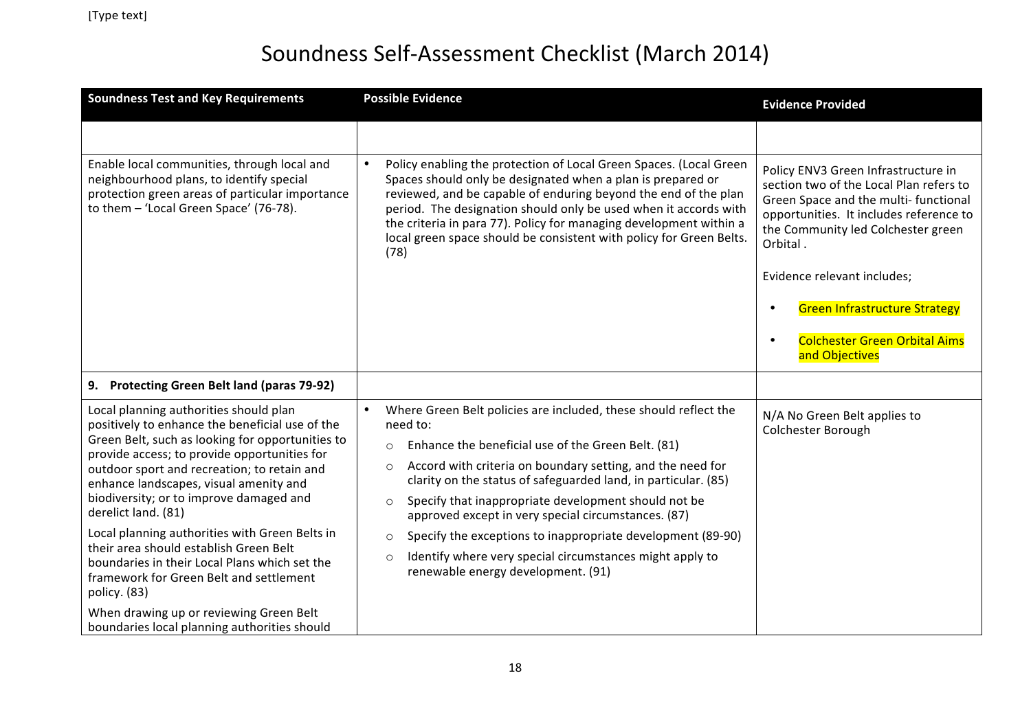| <b>Soundness Test and Key Requirements</b>                                                                                                                                                                                                                                                                                                                                                                                                                                                                                                                       | <b>Possible Evidence</b>                                                                                                                                                                                                                                                                                                                                                                                                                                                                                                                                                                                               | <b>Evidence Provided</b>                                                                                                                                                                                                                            |
|------------------------------------------------------------------------------------------------------------------------------------------------------------------------------------------------------------------------------------------------------------------------------------------------------------------------------------------------------------------------------------------------------------------------------------------------------------------------------------------------------------------------------------------------------------------|------------------------------------------------------------------------------------------------------------------------------------------------------------------------------------------------------------------------------------------------------------------------------------------------------------------------------------------------------------------------------------------------------------------------------------------------------------------------------------------------------------------------------------------------------------------------------------------------------------------------|-----------------------------------------------------------------------------------------------------------------------------------------------------------------------------------------------------------------------------------------------------|
|                                                                                                                                                                                                                                                                                                                                                                                                                                                                                                                                                                  |                                                                                                                                                                                                                                                                                                                                                                                                                                                                                                                                                                                                                        |                                                                                                                                                                                                                                                     |
| Enable local communities, through local and<br>neighbourhood plans, to identify special<br>protection green areas of particular importance<br>to them - 'Local Green Space' (76-78).                                                                                                                                                                                                                                                                                                                                                                             | Policy enabling the protection of Local Green Spaces. (Local Green<br>Spaces should only be designated when a plan is prepared or<br>reviewed, and be capable of enduring beyond the end of the plan<br>period. The designation should only be used when it accords with<br>the criteria in para 77). Policy for managing development within a<br>local green space should be consistent with policy for Green Belts.<br>(78)                                                                                                                                                                                          | Policy ENV3 Green Infrastructure in<br>section two of the Local Plan refers to<br>Green Space and the multi- functional<br>opportunities. It includes reference to<br>the Community led Colchester green<br>Orbital.<br>Evidence relevant includes; |
|                                                                                                                                                                                                                                                                                                                                                                                                                                                                                                                                                                  |                                                                                                                                                                                                                                                                                                                                                                                                                                                                                                                                                                                                                        |                                                                                                                                                                                                                                                     |
|                                                                                                                                                                                                                                                                                                                                                                                                                                                                                                                                                                  |                                                                                                                                                                                                                                                                                                                                                                                                                                                                                                                                                                                                                        | <b>Green Infrastructure Strategy</b><br>$\bullet$                                                                                                                                                                                                   |
|                                                                                                                                                                                                                                                                                                                                                                                                                                                                                                                                                                  |                                                                                                                                                                                                                                                                                                                                                                                                                                                                                                                                                                                                                        | <b>Colchester Green Orbital Aims</b><br>$\bullet$<br>and Objectives                                                                                                                                                                                 |
| 9. Protecting Green Belt land (paras 79-92)                                                                                                                                                                                                                                                                                                                                                                                                                                                                                                                      |                                                                                                                                                                                                                                                                                                                                                                                                                                                                                                                                                                                                                        |                                                                                                                                                                                                                                                     |
| Local planning authorities should plan<br>positively to enhance the beneficial use of the<br>Green Belt, such as looking for opportunities to<br>provide access; to provide opportunities for<br>outdoor sport and recreation; to retain and<br>enhance landscapes, visual amenity and<br>biodiversity; or to improve damaged and<br>derelict land. (81)<br>Local planning authorities with Green Belts in<br>their area should establish Green Belt<br>boundaries in their Local Plans which set the<br>framework for Green Belt and settlement<br>policy. (83) | Where Green Belt policies are included, these should reflect the<br>$\bullet$<br>need to:<br>Enhance the beneficial use of the Green Belt. (81)<br>$\circ$<br>Accord with criteria on boundary setting, and the need for<br>$\circ$<br>clarity on the status of safeguarded land, in particular. (85)<br>Specify that inappropriate development should not be<br>$\circ$<br>approved except in very special circumstances. (87)<br>Specify the exceptions to inappropriate development (89-90)<br>$\circ$<br>Identify where very special circumstances might apply to<br>$\circ$<br>renewable energy development. (91) | N/A No Green Belt applies to<br>Colchester Borough                                                                                                                                                                                                  |
| When drawing up or reviewing Green Belt<br>boundaries local planning authorities should                                                                                                                                                                                                                                                                                                                                                                                                                                                                          |                                                                                                                                                                                                                                                                                                                                                                                                                                                                                                                                                                                                                        |                                                                                                                                                                                                                                                     |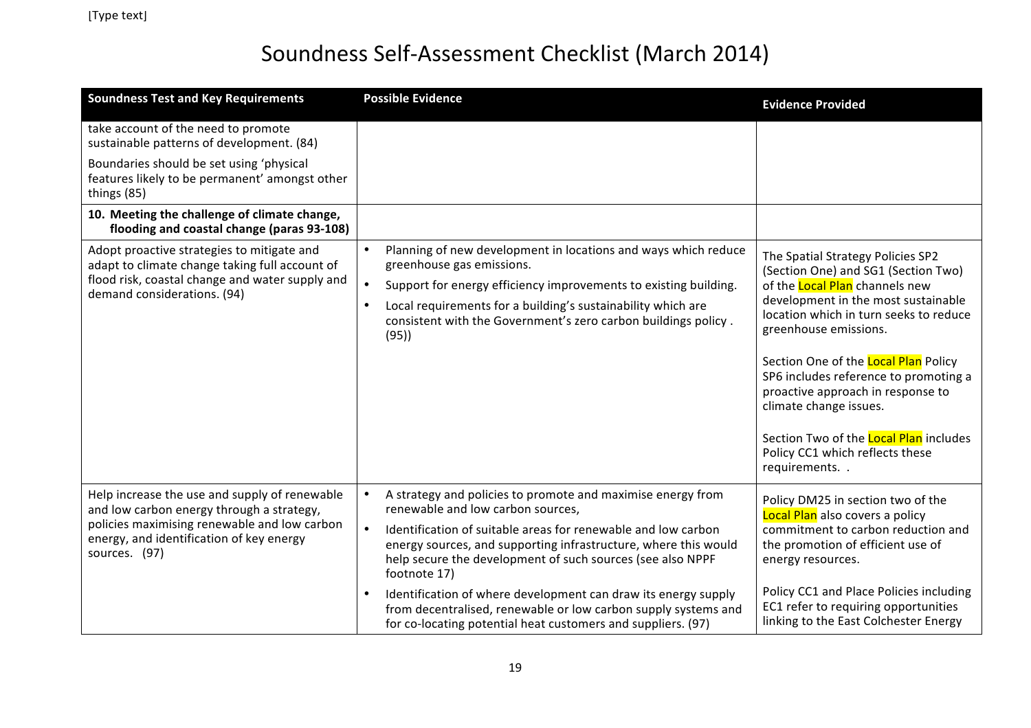| <b>Soundness Test and Key Requirements</b>                                                                                                                                                              | <b>Possible Evidence</b>                                                                                                                                                                                                                                                                                                            | <b>Evidence Provided</b>                                                                                                                                                                                                                                                                                                                                                                                                                                                        |
|---------------------------------------------------------------------------------------------------------------------------------------------------------------------------------------------------------|-------------------------------------------------------------------------------------------------------------------------------------------------------------------------------------------------------------------------------------------------------------------------------------------------------------------------------------|---------------------------------------------------------------------------------------------------------------------------------------------------------------------------------------------------------------------------------------------------------------------------------------------------------------------------------------------------------------------------------------------------------------------------------------------------------------------------------|
| take account of the need to promote<br>sustainable patterns of development. (84)                                                                                                                        |                                                                                                                                                                                                                                                                                                                                     |                                                                                                                                                                                                                                                                                                                                                                                                                                                                                 |
| Boundaries should be set using 'physical<br>features likely to be permanent' amongst other<br>things (85)                                                                                               |                                                                                                                                                                                                                                                                                                                                     |                                                                                                                                                                                                                                                                                                                                                                                                                                                                                 |
| 10. Meeting the challenge of climate change,<br>flooding and coastal change (paras 93-108)                                                                                                              |                                                                                                                                                                                                                                                                                                                                     |                                                                                                                                                                                                                                                                                                                                                                                                                                                                                 |
| Adopt proactive strategies to mitigate and<br>adapt to climate change taking full account of<br>flood risk, coastal change and water supply and<br>demand considerations. (94)                          | Planning of new development in locations and ways which reduce<br>greenhouse gas emissions.<br>$\bullet$<br>Support for energy efficiency improvements to existing building.<br>Local requirements for a building's sustainability which are<br>$\bullet$<br>consistent with the Government's zero carbon buildings policy.<br>(95) | The Spatial Strategy Policies SP2<br>(Section One) and SG1 (Section Two)<br>of the <b>Local Plan</b> channels new<br>development in the most sustainable<br>location which in turn seeks to reduce<br>greenhouse emissions.<br>Section One of the Local Plan Policy<br>SP6 includes reference to promoting a<br>proactive approach in response to<br>climate change issues.<br>Section Two of the <b>Local Plan</b> includes<br>Policy CC1 which reflects these<br>requirements |
| Help increase the use and supply of renewable<br>and low carbon energy through a strategy,<br>policies maximising renewable and low carbon<br>energy, and identification of key energy<br>sources. (97) | A strategy and policies to promote and maximise energy from<br>renewable and low carbon sources,<br>Identification of suitable areas for renewable and low carbon<br>energy sources, and supporting infrastructure, where this would<br>help secure the development of such sources (see also NPPF<br>footnote 17)                  | Policy DM25 in section two of the<br>Local Plan also covers a policy<br>commitment to carbon reduction and<br>the promotion of efficient use of<br>energy resources.                                                                                                                                                                                                                                                                                                            |
|                                                                                                                                                                                                         | Identification of where development can draw its energy supply<br>from decentralised, renewable or low carbon supply systems and<br>for co-locating potential heat customers and suppliers. (97)                                                                                                                                    | Policy CC1 and Place Policies including<br>EC1 refer to requiring opportunities<br>linking to the East Colchester Energy                                                                                                                                                                                                                                                                                                                                                        |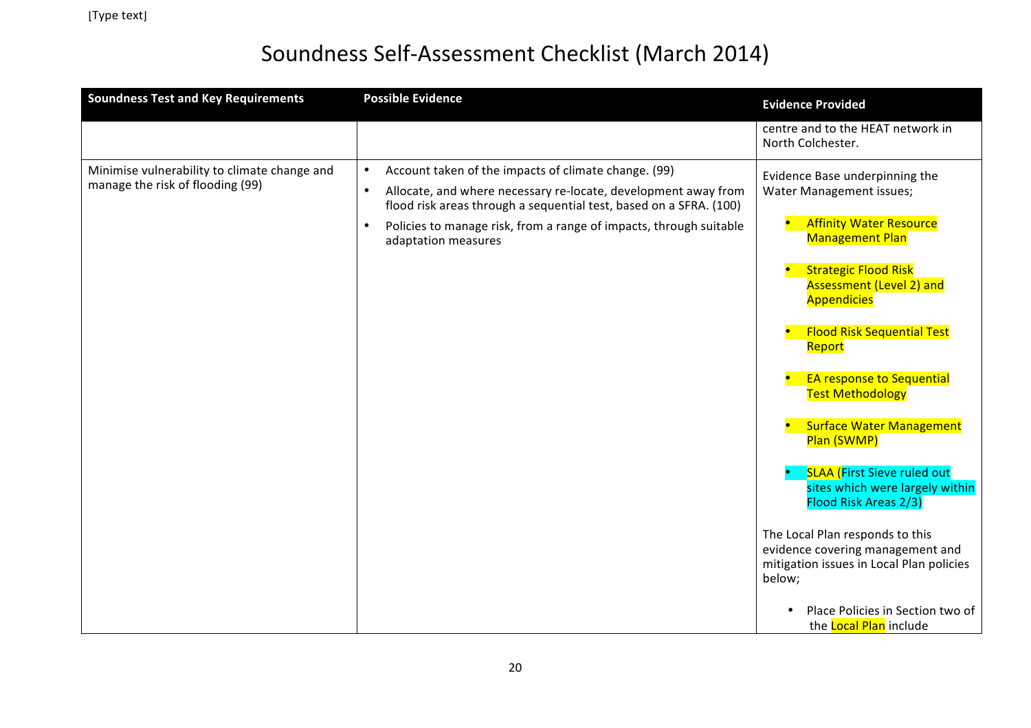| <b>Soundness Test and Key Requirements</b>                                       | <b>Possible Evidence</b>                                                                                                                                                                                                                                                                                                         | <b>Evidence Provided</b>                                                                                                                                                                                                                                                                                                     |
|----------------------------------------------------------------------------------|----------------------------------------------------------------------------------------------------------------------------------------------------------------------------------------------------------------------------------------------------------------------------------------------------------------------------------|------------------------------------------------------------------------------------------------------------------------------------------------------------------------------------------------------------------------------------------------------------------------------------------------------------------------------|
|                                                                                  |                                                                                                                                                                                                                                                                                                                                  | centre and to the HEAT network in<br>North Colchester.                                                                                                                                                                                                                                                                       |
| Minimise vulnerability to climate change and<br>manage the risk of flooding (99) | Account taken of the impacts of climate change. (99)<br>$\bullet$<br>Allocate, and where necessary re-locate, development away from<br>$\bullet$<br>flood risk areas through a sequential test, based on a SFRA. (100)<br>Policies to manage risk, from a range of impacts, through suitable<br>$\bullet$<br>adaptation measures | Evidence Base underpinning the<br>Water Management issues;<br><b>Affinity Water Resource</b><br><b>Management Plan</b><br><b>Strategic Flood Risk</b><br><b>Assessment (Level 2) and</b><br><b>Appendicies</b><br><b>Flood Risk Sequential Test</b><br>Report<br><b>EA response to Sequential</b><br><b>Test Methodology</b> |
|                                                                                  |                                                                                                                                                                                                                                                                                                                                  | <b>Surface Water Management</b><br>Plan (SWMP)<br><b>SLAA (First Sieve ruled out</b><br>sites which were largely within<br>Flood Risk Areas 2/3)<br>The Local Plan responds to this<br>evidence covering management and<br>mitigation issues in Local Plan policies<br>below;<br>Place Policies in Section two of            |
|                                                                                  |                                                                                                                                                                                                                                                                                                                                  | the <b>Local Plan</b> include                                                                                                                                                                                                                                                                                                |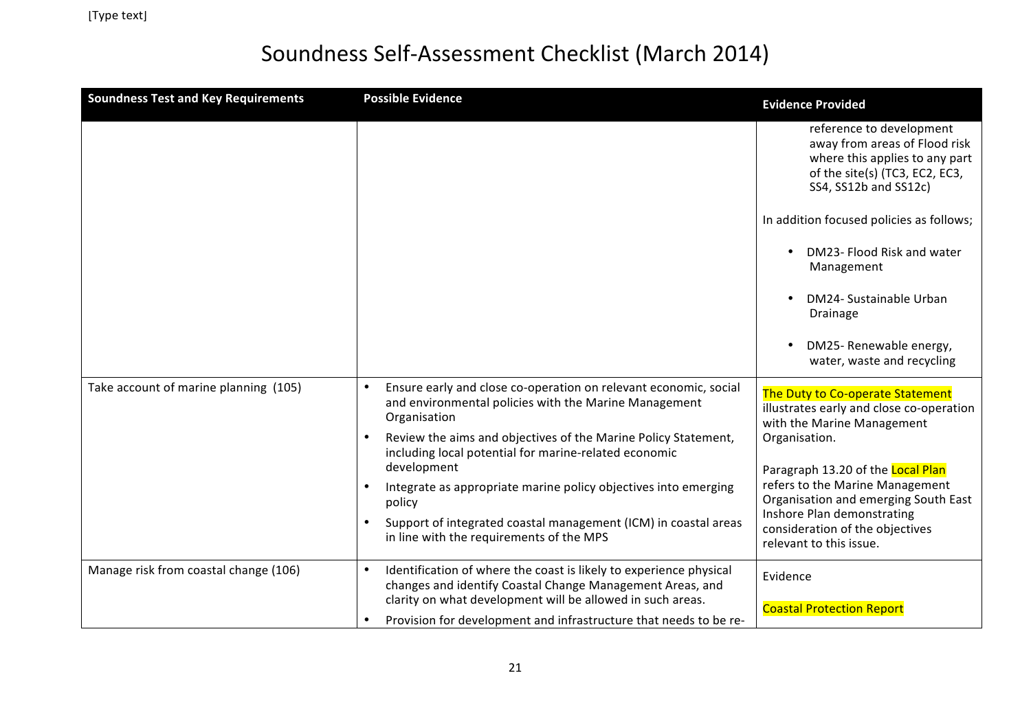| <b>Soundness Test and Key Requirements</b> | <b>Possible Evidence</b>                                                                                                                                                                                   | <b>Evidence Provided</b>                                                                                                                               |
|--------------------------------------------|------------------------------------------------------------------------------------------------------------------------------------------------------------------------------------------------------------|--------------------------------------------------------------------------------------------------------------------------------------------------------|
|                                            |                                                                                                                                                                                                            | reference to development<br>away from areas of Flood risk<br>where this applies to any part<br>of the site(s) (TC3, EC2, EC3,<br>SS4, SS12b and SS12c) |
|                                            |                                                                                                                                                                                                            | In addition focused policies as follows;                                                                                                               |
|                                            |                                                                                                                                                                                                            | DM23- Flood Risk and water<br>Management                                                                                                               |
|                                            |                                                                                                                                                                                                            | DM24- Sustainable Urban<br>Drainage                                                                                                                    |
|                                            |                                                                                                                                                                                                            | DM25- Renewable energy,<br>water, waste and recycling                                                                                                  |
| Take account of marine planning (105)      | Ensure early and close co-operation on relevant economic, social<br>$\bullet$<br>and environmental policies with the Marine Management<br>Organisation                                                     | The Duty to Co-operate Statement<br>illustrates early and close co-operation<br>with the Marine Management                                             |
|                                            | Review the aims and objectives of the Marine Policy Statement,<br>$\bullet$<br>including local potential for marine-related economic                                                                       | Organisation.                                                                                                                                          |
|                                            | development                                                                                                                                                                                                | Paragraph 13.20 of the Local Plan                                                                                                                      |
|                                            | Integrate as appropriate marine policy objectives into emerging<br>$\bullet$<br>policy                                                                                                                     | refers to the Marine Management<br>Organisation and emerging South East<br>Inshore Plan demonstrating                                                  |
|                                            | Support of integrated coastal management (ICM) in coastal areas<br>in line with the requirements of the MPS                                                                                                | consideration of the objectives<br>relevant to this issue.                                                                                             |
| Manage risk from coastal change (106)      | Identification of where the coast is likely to experience physical<br>$\bullet$<br>changes and identify Coastal Change Management Areas, and<br>clarity on what development will be allowed in such areas. | Evidence                                                                                                                                               |
|                                            | Provision for development and infrastructure that needs to be re-<br>$\bullet$                                                                                                                             | <b>Coastal Protection Report</b>                                                                                                                       |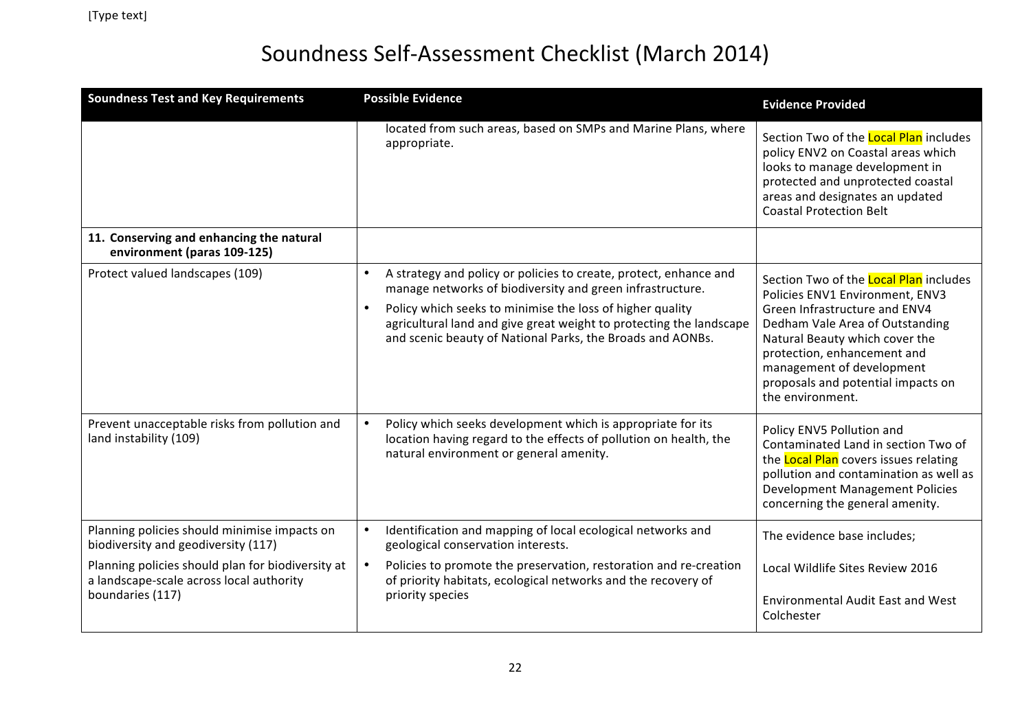| <b>Soundness Test and Key Requirements</b>                                                                        | <b>Possible Evidence</b>                                                                                                                                                                                                                                                                                                         | <b>Evidence Provided</b>                                                                                                                                                                                                                                                                                     |
|-------------------------------------------------------------------------------------------------------------------|----------------------------------------------------------------------------------------------------------------------------------------------------------------------------------------------------------------------------------------------------------------------------------------------------------------------------------|--------------------------------------------------------------------------------------------------------------------------------------------------------------------------------------------------------------------------------------------------------------------------------------------------------------|
|                                                                                                                   | located from such areas, based on SMPs and Marine Plans, where<br>appropriate.                                                                                                                                                                                                                                                   | Section Two of the <b>Local Plan</b> includes<br>policy ENV2 on Coastal areas which<br>looks to manage development in<br>protected and unprotected coastal<br>areas and designates an updated<br><b>Coastal Protection Belt</b>                                                                              |
| 11. Conserving and enhancing the natural<br>environment (paras 109-125)                                           |                                                                                                                                                                                                                                                                                                                                  |                                                                                                                                                                                                                                                                                                              |
| Protect valued landscapes (109)                                                                                   | A strategy and policy or policies to create, protect, enhance and<br>manage networks of biodiversity and green infrastructure.<br>Policy which seeks to minimise the loss of higher quality<br>agricultural land and give great weight to protecting the landscape<br>and scenic beauty of National Parks, the Broads and AONBs. | Section Two of the <b>Local Plan</b> includes<br>Policies ENV1 Environment, ENV3<br>Green Infrastructure and ENV4<br>Dedham Vale Area of Outstanding<br>Natural Beauty which cover the<br>protection, enhancement and<br>management of development<br>proposals and potential impacts on<br>the environment. |
| Prevent unacceptable risks from pollution and<br>land instability (109)                                           | Policy which seeks development which is appropriate for its<br>location having regard to the effects of pollution on health, the<br>natural environment or general amenity.                                                                                                                                                      | Policy ENV5 Pollution and<br>Contaminated Land in section Two of<br>the <b>Local Plan</b> covers issues relating<br>pollution and contamination as well as<br><b>Development Management Policies</b><br>concerning the general amenity.                                                                      |
| Planning policies should minimise impacts on<br>biodiversity and geodiversity (117)                               | Identification and mapping of local ecological networks and<br>geological conservation interests.                                                                                                                                                                                                                                | The evidence base includes;                                                                                                                                                                                                                                                                                  |
| Planning policies should plan for biodiversity at<br>a landscape-scale across local authority<br>boundaries (117) | Policies to promote the preservation, restoration and re-creation<br>of priority habitats, ecological networks and the recovery of<br>priority species                                                                                                                                                                           | Local Wildlife Sites Review 2016<br><b>Environmental Audit East and West</b>                                                                                                                                                                                                                                 |
|                                                                                                                   |                                                                                                                                                                                                                                                                                                                                  | Colchester                                                                                                                                                                                                                                                                                                   |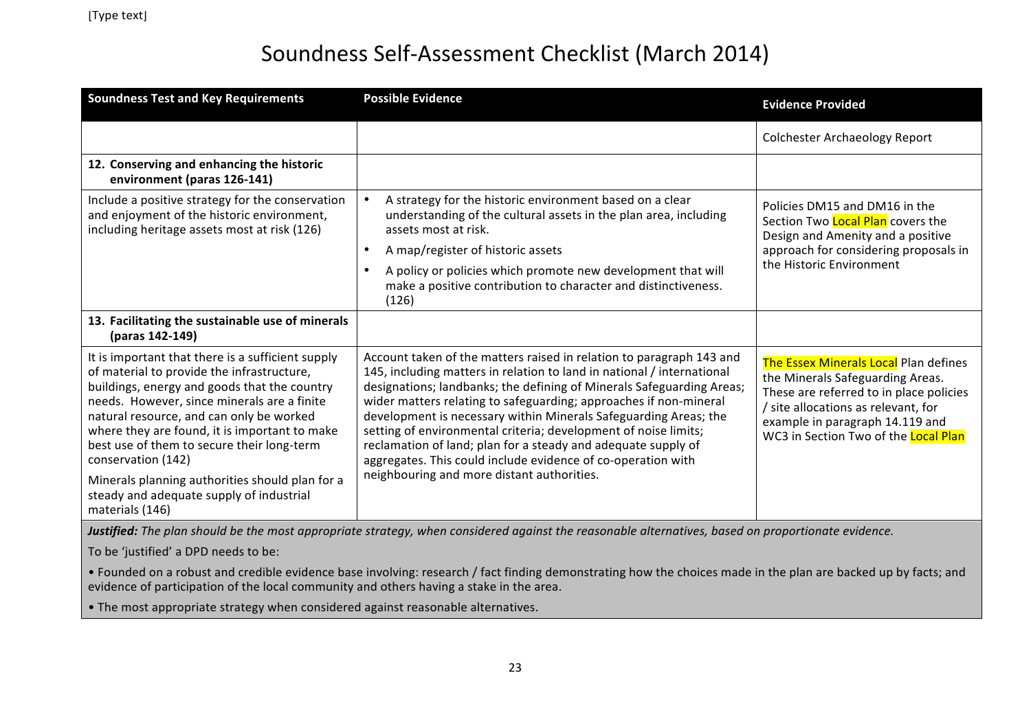| <b>Soundness Test and Key Requirements</b>                                                                                                                                                                                                                                                                                                                                                                                                                                                             | <b>Possible Evidence</b>                                                                                                                                                                                                                                                                                                                                                                                                                                                                                                                                                                                           | <b>Evidence Provided</b>                                                                                                                                                                                                               |
|--------------------------------------------------------------------------------------------------------------------------------------------------------------------------------------------------------------------------------------------------------------------------------------------------------------------------------------------------------------------------------------------------------------------------------------------------------------------------------------------------------|--------------------------------------------------------------------------------------------------------------------------------------------------------------------------------------------------------------------------------------------------------------------------------------------------------------------------------------------------------------------------------------------------------------------------------------------------------------------------------------------------------------------------------------------------------------------------------------------------------------------|----------------------------------------------------------------------------------------------------------------------------------------------------------------------------------------------------------------------------------------|
|                                                                                                                                                                                                                                                                                                                                                                                                                                                                                                        |                                                                                                                                                                                                                                                                                                                                                                                                                                                                                                                                                                                                                    | <b>Colchester Archaeology Report</b>                                                                                                                                                                                                   |
| 12. Conserving and enhancing the historic<br>environment (paras 126-141)                                                                                                                                                                                                                                                                                                                                                                                                                               |                                                                                                                                                                                                                                                                                                                                                                                                                                                                                                                                                                                                                    |                                                                                                                                                                                                                                        |
| Include a positive strategy for the conservation<br>and enjoyment of the historic environment,<br>including heritage assets most at risk (126)                                                                                                                                                                                                                                                                                                                                                         | A strategy for the historic environment based on a clear<br>understanding of the cultural assets in the plan area, including<br>assets most at risk.<br>A map/register of historic assets<br>A policy or policies which promote new development that will<br>make a positive contribution to character and distinctiveness.<br>(126)                                                                                                                                                                                                                                                                               | Policies DM15 and DM16 in the<br>Section Two <b>Local Plan</b> covers the<br>Design and Amenity and a positive<br>approach for considering proposals in<br>the Historic Environment                                                    |
| 13. Facilitating the sustainable use of minerals<br>(paras 142-149)                                                                                                                                                                                                                                                                                                                                                                                                                                    |                                                                                                                                                                                                                                                                                                                                                                                                                                                                                                                                                                                                                    |                                                                                                                                                                                                                                        |
| It is important that there is a sufficient supply<br>of material to provide the infrastructure,<br>buildings, energy and goods that the country<br>needs. However, since minerals are a finite<br>natural resource, and can only be worked<br>where they are found, it is important to make<br>best use of them to secure their long-term<br>conservation (142)                                                                                                                                        | Account taken of the matters raised in relation to paragraph 143 and<br>145, including matters in relation to land in national / international<br>designations; landbanks; the defining of Minerals Safeguarding Areas;<br>wider matters relating to safeguarding; approaches if non-mineral<br>development is necessary within Minerals Safeguarding Areas; the<br>setting of environmental criteria; development of noise limits;<br>reclamation of land; plan for a steady and adequate supply of<br>aggregates. This could include evidence of co-operation with<br>neighbouring and more distant authorities. | The Essex Minerals Local Plan defines<br>the Minerals Safeguarding Areas.<br>These are referred to in place policies<br>/ site allocations as relevant, for<br>example in paragraph 14.119 and<br>WC3 in Section Two of the Local Plan |
| Minerals planning authorities should plan for a<br>steady and adequate supply of industrial<br>materials (146)<br>$\overline{a}$ $\overline{a}$ $\overline{a}$ $\overline{a}$ $\overline{a}$ $\overline{a}$ $\overline{a}$ $\overline{a}$ $\overline{a}$ $\overline{a}$ $\overline{a}$ $\overline{a}$ $\overline{a}$ $\overline{a}$ $\overline{a}$ $\overline{a}$ $\overline{a}$ $\overline{a}$ $\overline{a}$ $\overline{a}$ $\overline{a}$ $\overline{a}$ $\overline{a}$ $\overline{a}$ $\overline{$ | $\sim$ $\sim$ $\sim$ $\sim$ $\sim$ $\sim$ $\sim$                                                                                                                                                                                                                                                                                                                                                                                                                                                                                                                                                                   |                                                                                                                                                                                                                                        |

**Justified:** The plan should be the most appropriate strategy, when considered against the reasonable alternatives, based on proportionate evidence.

To be 'justified' a DPD needs to be:

• Founded on a robust and credible evidence base involving: research / fact finding demonstrating how the choices made in the plan are backed up by facts; and evidence of participation of the local community and others having a stake in the area.

• The most appropriate strategy when considered against reasonable alternatives.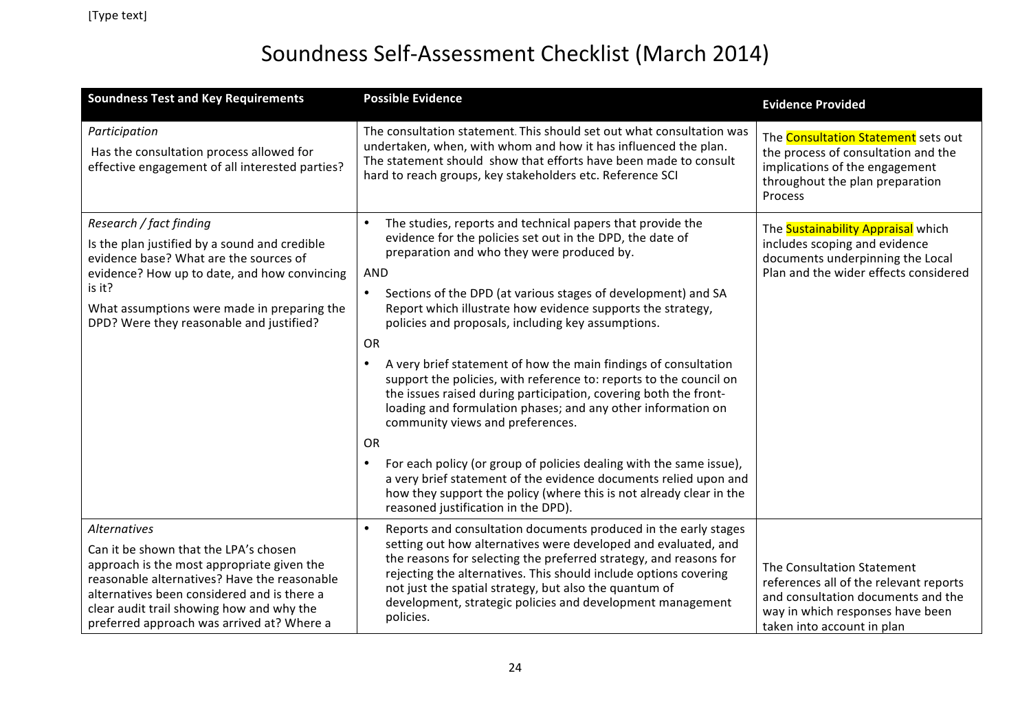| <b>Soundness Test and Key Requirements</b>                                                                                                                                                                                                                                                           | <b>Possible Evidence</b>                                                                                                                                                                                                                                                                                                                                                                                                                                                                                                                                                                                                                                                                                                                                                                                                                                                                                                                                                                        | <b>Evidence Provided</b>                                                                                                                                                     |
|------------------------------------------------------------------------------------------------------------------------------------------------------------------------------------------------------------------------------------------------------------------------------------------------------|-------------------------------------------------------------------------------------------------------------------------------------------------------------------------------------------------------------------------------------------------------------------------------------------------------------------------------------------------------------------------------------------------------------------------------------------------------------------------------------------------------------------------------------------------------------------------------------------------------------------------------------------------------------------------------------------------------------------------------------------------------------------------------------------------------------------------------------------------------------------------------------------------------------------------------------------------------------------------------------------------|------------------------------------------------------------------------------------------------------------------------------------------------------------------------------|
| Participation<br>Has the consultation process allowed for<br>effective engagement of all interested parties?                                                                                                                                                                                         | The consultation statement. This should set out what consultation was<br>undertaken, when, with whom and how it has influenced the plan.<br>The statement should show that efforts have been made to consult<br>hard to reach groups, key stakeholders etc. Reference SCI                                                                                                                                                                                                                                                                                                                                                                                                                                                                                                                                                                                                                                                                                                                       | The <b>Consultation Statement</b> sets out<br>the process of consultation and the<br>implications of the engagement<br>throughout the plan preparation<br>Process            |
| Research / fact finding<br>Is the plan justified by a sound and credible<br>evidence base? What are the sources of<br>evidence? How up to date, and how convincing<br>is it?<br>What assumptions were made in preparing the<br>DPD? Were they reasonable and justified?                              | The studies, reports and technical papers that provide the<br>$\bullet$<br>evidence for the policies set out in the DPD, the date of<br>preparation and who they were produced by.<br>AND<br>Sections of the DPD (at various stages of development) and SA<br>$\bullet$<br>Report which illustrate how evidence supports the strategy,<br>policies and proposals, including key assumptions.<br>OR<br>A very brief statement of how the main findings of consultation<br>$\bullet$<br>support the policies, with reference to: reports to the council on<br>the issues raised during participation, covering both the front-<br>loading and formulation phases; and any other information on<br>community views and preferences.<br>OR<br>For each policy (or group of policies dealing with the same issue),<br>a very brief statement of the evidence documents relied upon and<br>how they support the policy (where this is not already clear in the<br>reasoned justification in the DPD). | The <b>Sustainability Appraisal</b> which<br>includes scoping and evidence<br>documents underpinning the Local<br>Plan and the wider effects considered                      |
| <b>Alternatives</b><br>Can it be shown that the LPA's chosen<br>approach is the most appropriate given the<br>reasonable alternatives? Have the reasonable<br>alternatives been considered and is there a<br>clear audit trail showing how and why the<br>preferred approach was arrived at? Where a | Reports and consultation documents produced in the early stages<br>setting out how alternatives were developed and evaluated, and<br>the reasons for selecting the preferred strategy, and reasons for<br>rejecting the alternatives. This should include options covering<br>not just the spatial strategy, but also the quantum of<br>development, strategic policies and development management<br>policies.                                                                                                                                                                                                                                                                                                                                                                                                                                                                                                                                                                                 | The Consultation Statement<br>references all of the relevant reports<br>and consultation documents and the<br>way in which responses have been<br>taken into account in plan |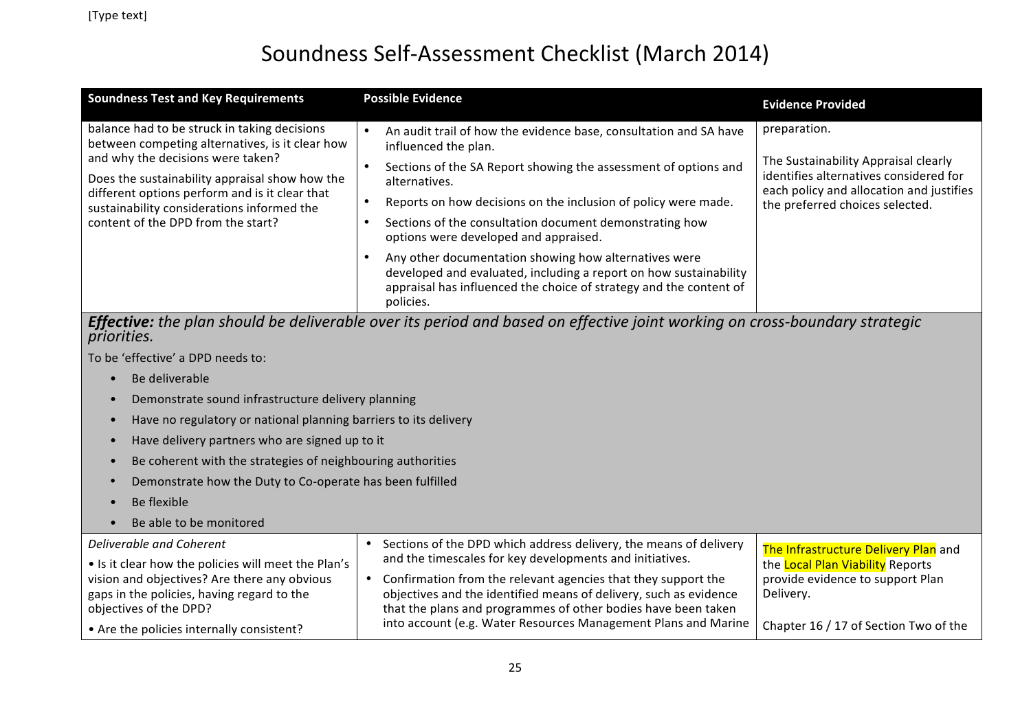| <b>Soundness Test and Key Requirements</b>                                                                                                                                                                                                                                                                                   | <b>Possible Evidence</b>                                                                                                                                                                                                                                                                                                                                                                                                                                                                                                                                                                                                 | <b>Evidence Provided</b>                                                                                                                                                      |
|------------------------------------------------------------------------------------------------------------------------------------------------------------------------------------------------------------------------------------------------------------------------------------------------------------------------------|--------------------------------------------------------------------------------------------------------------------------------------------------------------------------------------------------------------------------------------------------------------------------------------------------------------------------------------------------------------------------------------------------------------------------------------------------------------------------------------------------------------------------------------------------------------------------------------------------------------------------|-------------------------------------------------------------------------------------------------------------------------------------------------------------------------------|
| balance had to be struck in taking decisions<br>between competing alternatives, is it clear how<br>and why the decisions were taken?<br>Does the sustainability appraisal show how the<br>different options perform and is it clear that<br>sustainability considerations informed the<br>content of the DPD from the start? | An audit trail of how the evidence base, consultation and SA have<br>$\bullet$<br>influenced the plan.<br>Sections of the SA Report showing the assessment of options and<br>$\bullet$<br>alternatives.<br>Reports on how decisions on the inclusion of policy were made.<br>Sections of the consultation document demonstrating how<br>$\bullet$<br>options were developed and appraised.<br>$\bullet$<br>Any other documentation showing how alternatives were<br>developed and evaluated, including a report on how sustainability<br>appraisal has influenced the choice of strategy and the content of<br>policies. | preparation.<br>The Sustainability Appraisal clearly<br>identifies alternatives considered for<br>each policy and allocation and justifies<br>the preferred choices selected. |
| priorities.                                                                                                                                                                                                                                                                                                                  | Effective: the plan should be deliverable over its period and based on effective joint working on cross-boundary strategic                                                                                                                                                                                                                                                                                                                                                                                                                                                                                               |                                                                                                                                                                               |
| To be 'effective' a DPD needs to:                                                                                                                                                                                                                                                                                            |                                                                                                                                                                                                                                                                                                                                                                                                                                                                                                                                                                                                                          |                                                                                                                                                                               |
| Be deliverable                                                                                                                                                                                                                                                                                                               |                                                                                                                                                                                                                                                                                                                                                                                                                                                                                                                                                                                                                          |                                                                                                                                                                               |
| Demonstrate sound infrastructure delivery planning                                                                                                                                                                                                                                                                           |                                                                                                                                                                                                                                                                                                                                                                                                                                                                                                                                                                                                                          |                                                                                                                                                                               |
| Have no regulatory or national planning barriers to its delivery                                                                                                                                                                                                                                                             |                                                                                                                                                                                                                                                                                                                                                                                                                                                                                                                                                                                                                          |                                                                                                                                                                               |
| Have delivery partners who are signed up to it<br>$\bullet$                                                                                                                                                                                                                                                                  |                                                                                                                                                                                                                                                                                                                                                                                                                                                                                                                                                                                                                          |                                                                                                                                                                               |
| Be coherent with the strategies of neighbouring authorities<br>$\bullet$                                                                                                                                                                                                                                                     |                                                                                                                                                                                                                                                                                                                                                                                                                                                                                                                                                                                                                          |                                                                                                                                                                               |
| Demonstrate how the Duty to Co-operate has been fulfilled<br>$\bullet$                                                                                                                                                                                                                                                       |                                                                                                                                                                                                                                                                                                                                                                                                                                                                                                                                                                                                                          |                                                                                                                                                                               |
| Be flexible                                                                                                                                                                                                                                                                                                                  |                                                                                                                                                                                                                                                                                                                                                                                                                                                                                                                                                                                                                          |                                                                                                                                                                               |
| Be able to be monitored                                                                                                                                                                                                                                                                                                      |                                                                                                                                                                                                                                                                                                                                                                                                                                                                                                                                                                                                                          |                                                                                                                                                                               |
| Deliverable and Coherent<br>• Is it clear how the policies will meet the Plan's<br>vision and objectives? Are there any obvious<br>gaps in the policies, having regard to the<br>objectives of the DPD?                                                                                                                      | Sections of the DPD which address delivery, the means of delivery<br>and the timescales for key developments and initiatives.<br>• Confirmation from the relevant agencies that they support the<br>objectives and the identified means of delivery, such as evidence<br>that the plans and programmes of other bodies have been taken                                                                                                                                                                                                                                                                                   | The Infrastructure Delivery Plan and<br>the Local Plan Viability Reports<br>provide evidence to support Plan<br>Delivery.                                                     |
| • Are the policies internally consistent?                                                                                                                                                                                                                                                                                    | into account (e.g. Water Resources Management Plans and Marine                                                                                                                                                                                                                                                                                                                                                                                                                                                                                                                                                           | Chapter 16 / 17 of Section Two of the                                                                                                                                         |

• Are the policies internally consistent?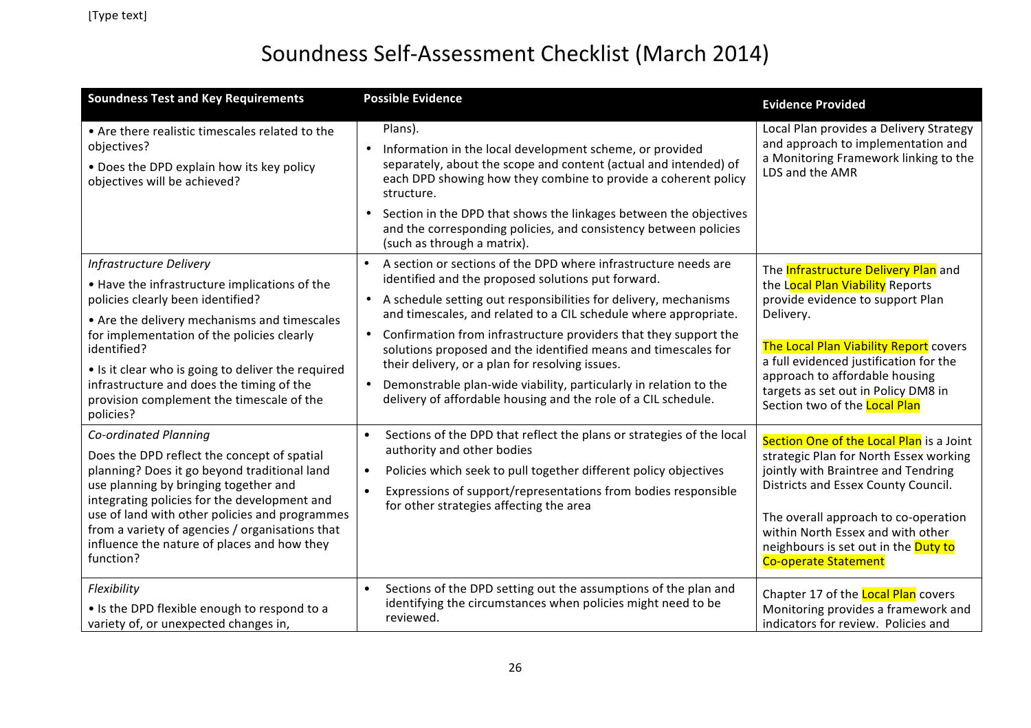| <b>Soundness Test and Key Requirements</b>                                                                                                                                                                                                                                                                                                                                                     | <b>Possible Evidence</b>                                                                                                                                                                                                                                                                                                                                                                                                                                                                                                                                                                                       | <b>Evidence Provided</b>                                                                                                                                                                                                                                                                                                              |
|------------------------------------------------------------------------------------------------------------------------------------------------------------------------------------------------------------------------------------------------------------------------------------------------------------------------------------------------------------------------------------------------|----------------------------------------------------------------------------------------------------------------------------------------------------------------------------------------------------------------------------------------------------------------------------------------------------------------------------------------------------------------------------------------------------------------------------------------------------------------------------------------------------------------------------------------------------------------------------------------------------------------|---------------------------------------------------------------------------------------------------------------------------------------------------------------------------------------------------------------------------------------------------------------------------------------------------------------------------------------|
| • Are there realistic timescales related to the<br>objectives?<br>• Does the DPD explain how its key policy<br>objectives will be achieved?                                                                                                                                                                                                                                                    | Plans).<br>• Information in the local development scheme, or provided<br>separately, about the scope and content (actual and intended) of<br>each DPD showing how they combine to provide a coherent policy<br>structure.<br>Section in the DPD that shows the linkages between the objectives<br>and the corresponding policies, and consistency between policies<br>(such as through a matrix).                                                                                                                                                                                                              | Local Plan provides a Delivery Strategy<br>and approach to implementation and<br>a Monitoring Framework linking to the<br>LDS and the AMR                                                                                                                                                                                             |
| <b>Infrastructure Delivery</b><br>• Have the infrastructure implications of the<br>policies clearly been identified?<br>• Are the delivery mechanisms and timescales<br>for implementation of the policies clearly<br>identified?<br>• Is it clear who is going to deliver the required<br>infrastructure and does the timing of the<br>provision complement the timescale of the<br>policies? | A section or sections of the DPD where infrastructure needs are<br>identified and the proposed solutions put forward.<br>A schedule setting out responsibilities for delivery, mechanisms<br>$\bullet$<br>and timescales, and related to a CIL schedule where appropriate.<br>• Confirmation from infrastructure providers that they support the<br>solutions proposed and the identified means and timescales for<br>their delivery, or a plan for resolving issues.<br>• Demonstrable plan-wide viability, particularly in relation to the<br>delivery of affordable housing and the role of a CIL schedule. | The <b>Infrastructure Delivery Plan</b> and<br>the Local Plan Viability Reports<br>provide evidence to support Plan<br>Delivery.<br>The Local Plan Viability Report covers<br>a full evidenced justification for the<br>approach to affordable housing<br>targets as set out in Policy DM8 in<br>Section two of the <b>Local Plan</b> |
| Co-ordinated Planning<br>Does the DPD reflect the concept of spatial<br>planning? Does it go beyond traditional land<br>use planning by bringing together and<br>integrating policies for the development and<br>use of land with other policies and programmes<br>from a variety of agencies / organisations that<br>influence the nature of places and how they<br>function?                 | Sections of the DPD that reflect the plans or strategies of the local<br>$\bullet$<br>authority and other bodies<br>Policies which seek to pull together different policy objectives<br>$\bullet$<br>Expressions of support/representations from bodies responsible<br>for other strategies affecting the area                                                                                                                                                                                                                                                                                                 | Section One of the Local Plan is a Joint<br>strategic Plan for North Essex working<br>jointly with Braintree and Tendring<br>Districts and Essex County Council.<br>The overall approach to co-operation<br>within North Essex and with other<br>neighbours is set out in the Duty to<br><b>Co-operate Statement</b>                  |
| Flexibility<br>• Is the DPD flexible enough to respond to a<br>variety of, or unexpected changes in,                                                                                                                                                                                                                                                                                           | Sections of the DPD setting out the assumptions of the plan and<br>$\bullet$<br>identifying the circumstances when policies might need to be<br>reviewed.                                                                                                                                                                                                                                                                                                                                                                                                                                                      | Chapter 17 of the Local Plan covers<br>Monitoring provides a framework and<br>indicators for review. Policies and                                                                                                                                                                                                                     |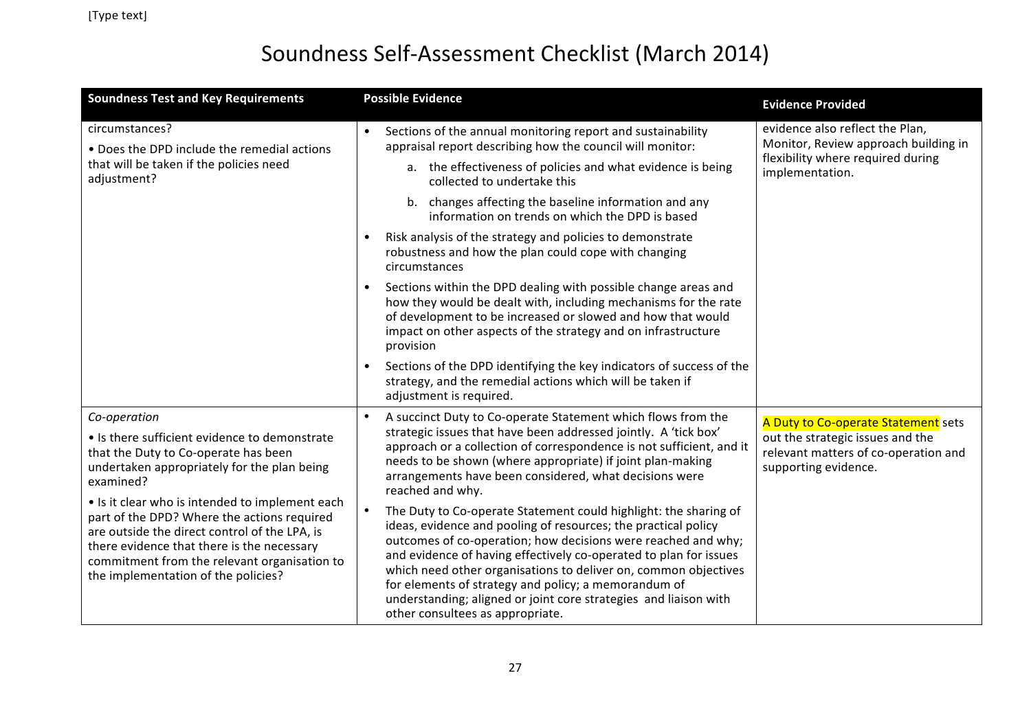| <b>Soundness Test and Key Requirements</b>                                                                                                                                                                                                                                           | <b>Possible Evidence</b>                                                                                                                                                                                                                                                                                                                                                                                                                                                                                    | <b>Evidence Provided</b>                                                                                                        |
|--------------------------------------------------------------------------------------------------------------------------------------------------------------------------------------------------------------------------------------------------------------------------------------|-------------------------------------------------------------------------------------------------------------------------------------------------------------------------------------------------------------------------------------------------------------------------------------------------------------------------------------------------------------------------------------------------------------------------------------------------------------------------------------------------------------|---------------------------------------------------------------------------------------------------------------------------------|
| circumstances?<br>• Does the DPD include the remedial actions<br>that will be taken if the policies need<br>adjustment?                                                                                                                                                              | Sections of the annual monitoring report and sustainability<br>appraisal report describing how the council will monitor:                                                                                                                                                                                                                                                                                                                                                                                    | evidence also reflect the Plan,<br>Monitor, Review approach building in<br>flexibility where required during<br>implementation. |
|                                                                                                                                                                                                                                                                                      | a. the effectiveness of policies and what evidence is being<br>collected to undertake this                                                                                                                                                                                                                                                                                                                                                                                                                  |                                                                                                                                 |
|                                                                                                                                                                                                                                                                                      | b. changes affecting the baseline information and any<br>information on trends on which the DPD is based                                                                                                                                                                                                                                                                                                                                                                                                    |                                                                                                                                 |
|                                                                                                                                                                                                                                                                                      | Risk analysis of the strategy and policies to demonstrate<br>robustness and how the plan could cope with changing<br>circumstances                                                                                                                                                                                                                                                                                                                                                                          |                                                                                                                                 |
|                                                                                                                                                                                                                                                                                      | Sections within the DPD dealing with possible change areas and<br>$\bullet$<br>how they would be dealt with, including mechanisms for the rate<br>of development to be increased or slowed and how that would<br>impact on other aspects of the strategy and on infrastructure<br>provision                                                                                                                                                                                                                 |                                                                                                                                 |
|                                                                                                                                                                                                                                                                                      | Sections of the DPD identifying the key indicators of success of the<br>strategy, and the remedial actions which will be taken if<br>adjustment is required.                                                                                                                                                                                                                                                                                                                                                |                                                                                                                                 |
| Co-operation                                                                                                                                                                                                                                                                         | A succinct Duty to Co-operate Statement which flows from the<br>$\bullet$                                                                                                                                                                                                                                                                                                                                                                                                                                   | A Duty to Co-operate Statement sets                                                                                             |
| • Is there sufficient evidence to demonstrate<br>that the Duty to Co-operate has been<br>undertaken appropriately for the plan being<br>examined?                                                                                                                                    | strategic issues that have been addressed jointly. A 'tick box'<br>approach or a collection of correspondence is not sufficient, and it<br>needs to be shown (where appropriate) if joint plan-making<br>arrangements have been considered, what decisions were<br>reached and why.                                                                                                                                                                                                                         | out the strategic issues and the<br>relevant matters of co-operation and<br>supporting evidence.                                |
| • Is it clear who is intended to implement each<br>part of the DPD? Where the actions required<br>are outside the direct control of the LPA, is<br>there evidence that there is the necessary<br>commitment from the relevant organisation to<br>the implementation of the policies? | The Duty to Co-operate Statement could highlight: the sharing of<br>ideas, evidence and pooling of resources; the practical policy<br>outcomes of co-operation; how decisions were reached and why;<br>and evidence of having effectively co-operated to plan for issues<br>which need other organisations to deliver on, common objectives<br>for elements of strategy and policy; a memorandum of<br>understanding; aligned or joint core strategies and liaison with<br>other consultees as appropriate. |                                                                                                                                 |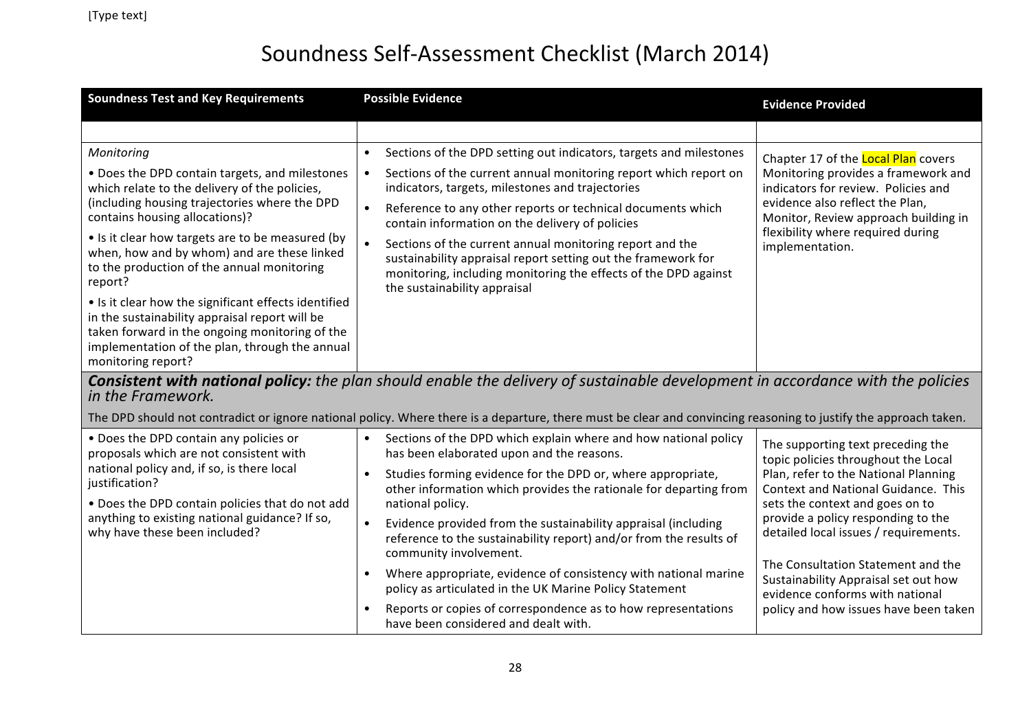| <b>Soundness Test and Key Requirements</b>                                                                                                                                                                                                                                                                                                                                                                                                                                                                                                                                 | <b>Possible Evidence</b>                                                                                                                                                                                                                                                                                                                                                                                                                                                                                                                                               | <b>Evidence Provided</b>                                                                                                                                                                                                                             |
|----------------------------------------------------------------------------------------------------------------------------------------------------------------------------------------------------------------------------------------------------------------------------------------------------------------------------------------------------------------------------------------------------------------------------------------------------------------------------------------------------------------------------------------------------------------------------|------------------------------------------------------------------------------------------------------------------------------------------------------------------------------------------------------------------------------------------------------------------------------------------------------------------------------------------------------------------------------------------------------------------------------------------------------------------------------------------------------------------------------------------------------------------------|------------------------------------------------------------------------------------------------------------------------------------------------------------------------------------------------------------------------------------------------------|
|                                                                                                                                                                                                                                                                                                                                                                                                                                                                                                                                                                            |                                                                                                                                                                                                                                                                                                                                                                                                                                                                                                                                                                        |                                                                                                                                                                                                                                                      |
| Monitoring<br>• Does the DPD contain targets, and milestones<br>which relate to the delivery of the policies,<br>(including housing trajectories where the DPD<br>contains housing allocations)?<br>• Is it clear how targets are to be measured (by<br>when, how and by whom) and are these linked<br>to the production of the annual monitoring<br>report?<br>• Is it clear how the significant effects identified<br>in the sustainability appraisal report will be<br>taken forward in the ongoing monitoring of the<br>implementation of the plan, through the annual | Sections of the DPD setting out indicators, targets and milestones<br>$\bullet$<br>Sections of the current annual monitoring report which report on<br>indicators, targets, milestones and trajectories<br>$\bullet$<br>Reference to any other reports or technical documents which<br>contain information on the delivery of policies<br>Sections of the current annual monitoring report and the<br>sustainability appraisal report setting out the framework for<br>monitoring, including monitoring the effects of the DPD against<br>the sustainability appraisal | Chapter 17 of the Local Plan covers<br>Monitoring provides a framework and<br>indicators for review. Policies and<br>evidence also reflect the Plan,<br>Monitor, Review approach building in<br>flexibility where required during<br>implementation. |
| monitoring report?                                                                                                                                                                                                                                                                                                                                                                                                                                                                                                                                                         | Consistent with national policy: the plan should enable the delivery of sustainable development in accordance with the policies                                                                                                                                                                                                                                                                                                                                                                                                                                        |                                                                                                                                                                                                                                                      |
| in the Framework.                                                                                                                                                                                                                                                                                                                                                                                                                                                                                                                                                          |                                                                                                                                                                                                                                                                                                                                                                                                                                                                                                                                                                        |                                                                                                                                                                                                                                                      |
|                                                                                                                                                                                                                                                                                                                                                                                                                                                                                                                                                                            | The DPD should not contradict or ignore national policy. Where there is a departure, there must be clear and convincing reasoning to justify the approach taken.                                                                                                                                                                                                                                                                                                                                                                                                       |                                                                                                                                                                                                                                                      |
| • Does the DPD contain any policies or<br>proposals which are not consistent with<br>national policy and, if so, is there local<br>justification?<br>. Does the DPD contain policies that do not add                                                                                                                                                                                                                                                                                                                                                                       | Sections of the DPD which explain where and how national policy<br>$\bullet$<br>has been elaborated upon and the reasons.<br>Studies forming evidence for the DPD or, where appropriate,<br>other information which provides the rationale for departing from<br>national policy.                                                                                                                                                                                                                                                                                      | The supporting text preceding the<br>topic policies throughout the Local<br>Plan, refer to the National Planning<br>Context and National Guidance. This                                                                                              |
| anything to existing national guidance? If so,<br>why have these been included?                                                                                                                                                                                                                                                                                                                                                                                                                                                                                            | Evidence provided from the sustainability appraisal (including<br>$\bullet$<br>reference to the sustainability report) and/or from the results of<br>community involvement.                                                                                                                                                                                                                                                                                                                                                                                            | sets the context and goes on to<br>provide a policy responding to the<br>detailed local issues / requirements.                                                                                                                                       |
|                                                                                                                                                                                                                                                                                                                                                                                                                                                                                                                                                                            | Where appropriate, evidence of consistency with national marine<br>$\bullet$<br>policy as articulated in the UK Marine Policy Statement<br>Reports or copies of correspondence as to how representations<br>$\bullet$                                                                                                                                                                                                                                                                                                                                                  | The Consultation Statement and the<br>Sustainability Appraisal set out how<br>evidence conforms with national<br>policy and how issues have been taken                                                                                               |
|                                                                                                                                                                                                                                                                                                                                                                                                                                                                                                                                                                            | have been considered and dealt with.                                                                                                                                                                                                                                                                                                                                                                                                                                                                                                                                   |                                                                                                                                                                                                                                                      |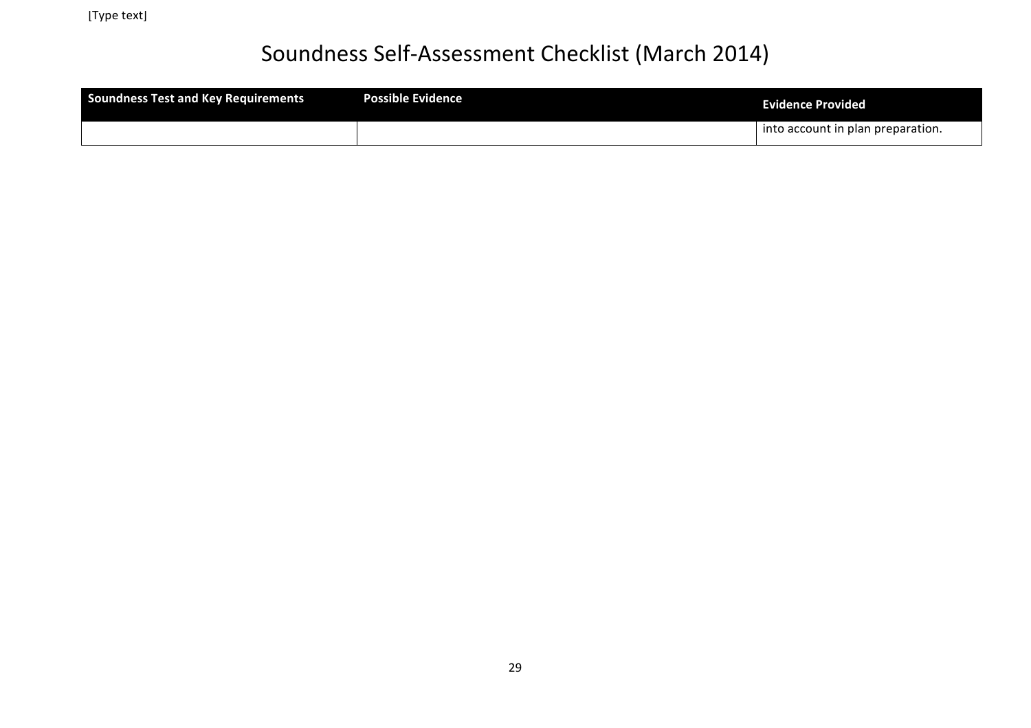| Soundness Test and Key Requirements | <b>Possible Evidence</b> | <b>Evidence Provided</b>          |
|-------------------------------------|--------------------------|-----------------------------------|
|                                     |                          | into account in plan preparation. |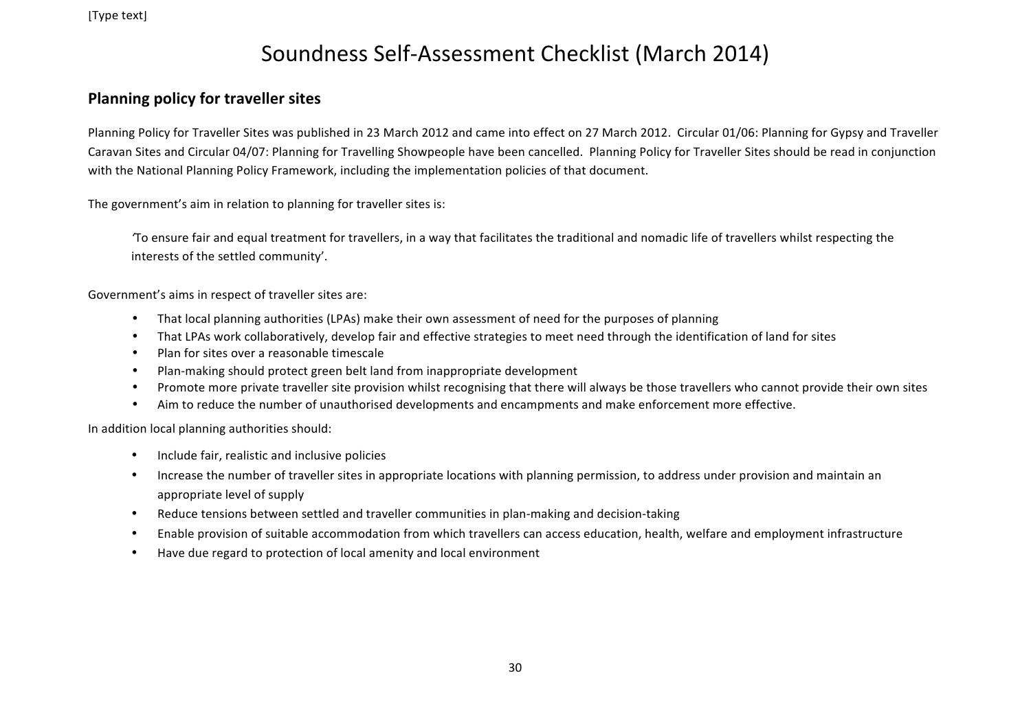#### **Planning policy for traveller sites**

Planning Policy for Traveller Sites was published in 23 March 2012 and came into effect on 27 March 2012. Circular 01/06: Planning for Gypsy and Traveller Caravan Sites and Circular 04/07: Planning for Travelling Showpeople have been cancelled. Planning Policy for Traveller Sites should be read in conjunction with the National Planning Policy Framework, including the implementation policies of that document.

The government's aim in relation to planning for traveller sites is:

To ensure fair and equal treatment for travellers, in a way that facilitates the traditional and nomadic life of travellers whilst respecting the interests of the settled community'.

Government's aims in respect of traveller sites are:

- That local planning authorities (LPAs) make their own assessment of need for the purposes of planning
- That LPAs work collaboratively, develop fair and effective strategies to meet need through the identification of land for sites
- Plan for sites over a reasonable timescale
- Plan-making should protect green belt land from inappropriate development
- Promote more private traveller site provision whilst recognising that there will always be those travellers who cannot provide their own sites
- Aim to reduce the number of unauthorised developments and encampments and make enforcement more effective.

In addition local planning authorities should:

- Include fair, realistic and inclusive policies
- Increase the number of traveller sites in appropriate locations with planning permission, to address under provision and maintain an appropriate level of supply
- Reduce tensions between settled and traveller communities in plan-making and decision-taking
- Enable provision of suitable accommodation from which travellers can access education, health, welfare and employment infrastructure
- Have due regard to protection of local amenity and local environment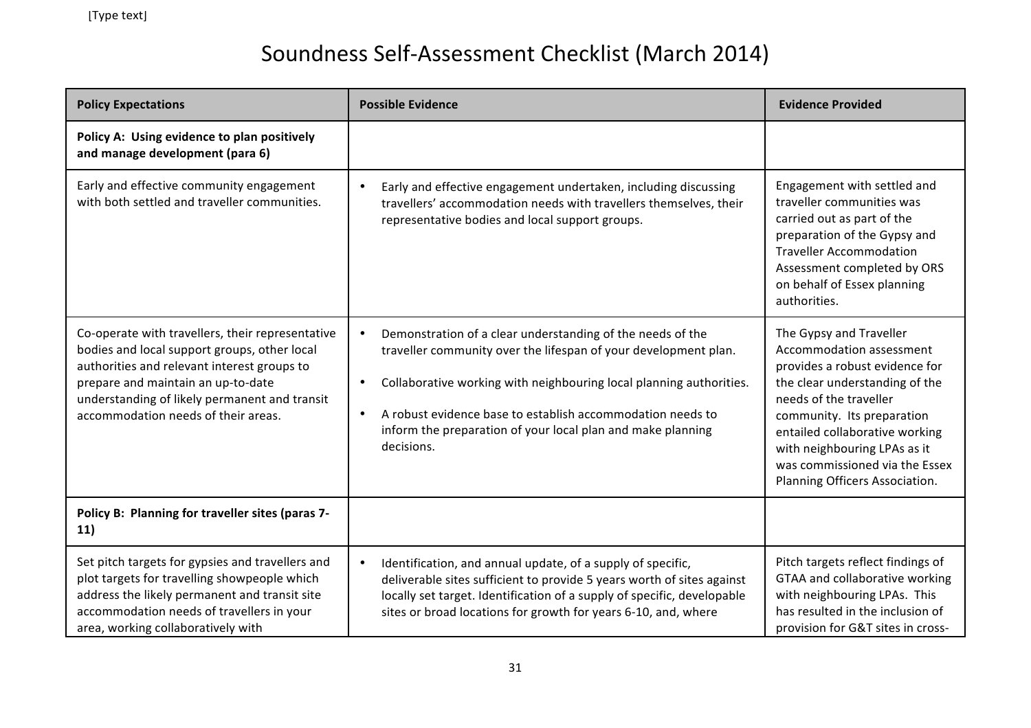| <b>Policy Expectations</b>                                                                                                                                                                                                                                                    | <b>Possible Evidence</b>                                                                                                                                                                                                                                                                                                                                     | <b>Evidence Provided</b>                                                                                                                                                                                                                                                                                              |
|-------------------------------------------------------------------------------------------------------------------------------------------------------------------------------------------------------------------------------------------------------------------------------|--------------------------------------------------------------------------------------------------------------------------------------------------------------------------------------------------------------------------------------------------------------------------------------------------------------------------------------------------------------|-----------------------------------------------------------------------------------------------------------------------------------------------------------------------------------------------------------------------------------------------------------------------------------------------------------------------|
| Policy A: Using evidence to plan positively<br>and manage development (para 6)                                                                                                                                                                                                |                                                                                                                                                                                                                                                                                                                                                              |                                                                                                                                                                                                                                                                                                                       |
| Early and effective community engagement<br>with both settled and traveller communities.                                                                                                                                                                                      | Early and effective engagement undertaken, including discussing<br>travellers' accommodation needs with travellers themselves, their<br>representative bodies and local support groups.                                                                                                                                                                      | Engagement with settled and<br>traveller communities was<br>carried out as part of the<br>preparation of the Gypsy and<br><b>Traveller Accommodation</b><br>Assessment completed by ORS<br>on behalf of Essex planning<br>authorities.                                                                                |
| Co-operate with travellers, their representative<br>bodies and local support groups, other local<br>authorities and relevant interest groups to<br>prepare and maintain an up-to-date<br>understanding of likely permanent and transit<br>accommodation needs of their areas. | Demonstration of a clear understanding of the needs of the<br>traveller community over the lifespan of your development plan.<br>Collaborative working with neighbouring local planning authorities.<br>$\bullet$<br>A robust evidence base to establish accommodation needs to<br>inform the preparation of your local plan and make planning<br>decisions. | The Gypsy and Traveller<br>Accommodation assessment<br>provides a robust evidence for<br>the clear understanding of the<br>needs of the traveller<br>community. Its preparation<br>entailed collaborative working<br>with neighbouring LPAs as it<br>was commissioned via the Essex<br>Planning Officers Association. |
| Policy B: Planning for traveller sites (paras 7-<br>11)                                                                                                                                                                                                                       |                                                                                                                                                                                                                                                                                                                                                              |                                                                                                                                                                                                                                                                                                                       |
| Set pitch targets for gypsies and travellers and<br>plot targets for travelling showpeople which<br>address the likely permanent and transit site<br>accommodation needs of travellers in your<br>area, working collaboratively with                                          | Identification, and annual update, of a supply of specific,<br>$\bullet$<br>deliverable sites sufficient to provide 5 years worth of sites against<br>locally set target. Identification of a supply of specific, developable<br>sites or broad locations for growth for years 6-10, and, where                                                              | Pitch targets reflect findings of<br>GTAA and collaborative working<br>with neighbouring LPAs. This<br>has resulted in the inclusion of<br>provision for G&T sites in cross-                                                                                                                                          |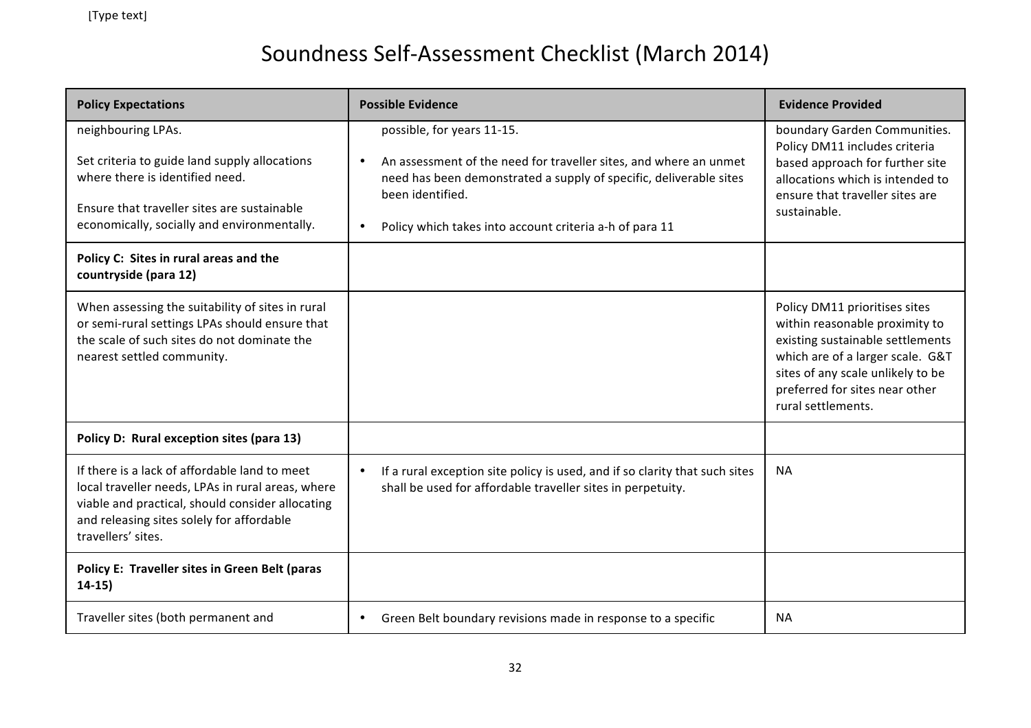| <b>Policy Expectations</b>                                                                                                                                                                                                | <b>Possible Evidence</b>                                                                                                                                                                                                                                                       | <b>Evidence Provided</b>                                                                                                                                                                                                             |
|---------------------------------------------------------------------------------------------------------------------------------------------------------------------------------------------------------------------------|--------------------------------------------------------------------------------------------------------------------------------------------------------------------------------------------------------------------------------------------------------------------------------|--------------------------------------------------------------------------------------------------------------------------------------------------------------------------------------------------------------------------------------|
| neighbouring LPAs.<br>Set criteria to guide land supply allocations<br>where there is identified need.<br>Ensure that traveller sites are sustainable<br>economically, socially and environmentally.                      | possible, for years 11-15.<br>An assessment of the need for traveller sites, and where an unmet<br>$\bullet$<br>need has been demonstrated a supply of specific, deliverable sites<br>been identified.<br>Policy which takes into account criteria a-h of para 11<br>$\bullet$ | boundary Garden Communities.<br>Policy DM11 includes criteria<br>based approach for further site<br>allocations which is intended to<br>ensure that traveller sites are<br>sustainable.                                              |
| Policy C: Sites in rural areas and the<br>countryside (para 12)                                                                                                                                                           |                                                                                                                                                                                                                                                                                |                                                                                                                                                                                                                                      |
| When assessing the suitability of sites in rural<br>or semi-rural settings LPAs should ensure that<br>the scale of such sites do not dominate the<br>nearest settled community.                                           |                                                                                                                                                                                                                                                                                | Policy DM11 prioritises sites<br>within reasonable proximity to<br>existing sustainable settlements<br>which are of a larger scale. G&T<br>sites of any scale unlikely to be<br>preferred for sites near other<br>rural settlements. |
| Policy D: Rural exception sites (para 13)                                                                                                                                                                                 |                                                                                                                                                                                                                                                                                |                                                                                                                                                                                                                                      |
| If there is a lack of affordable land to meet<br>local traveller needs, LPAs in rural areas, where<br>viable and practical, should consider allocating<br>and releasing sites solely for affordable<br>travellers' sites. | If a rural exception site policy is used, and if so clarity that such sites<br>$\bullet$<br>shall be used for affordable traveller sites in perpetuity.                                                                                                                        | <b>NA</b>                                                                                                                                                                                                                            |
| Policy E: Traveller sites in Green Belt (paras<br>$14-15)$                                                                                                                                                                |                                                                                                                                                                                                                                                                                |                                                                                                                                                                                                                                      |
| Traveller sites (both permanent and                                                                                                                                                                                       | Green Belt boundary revisions made in response to a specific<br>$\bullet$                                                                                                                                                                                                      | <b>NA</b>                                                                                                                                                                                                                            |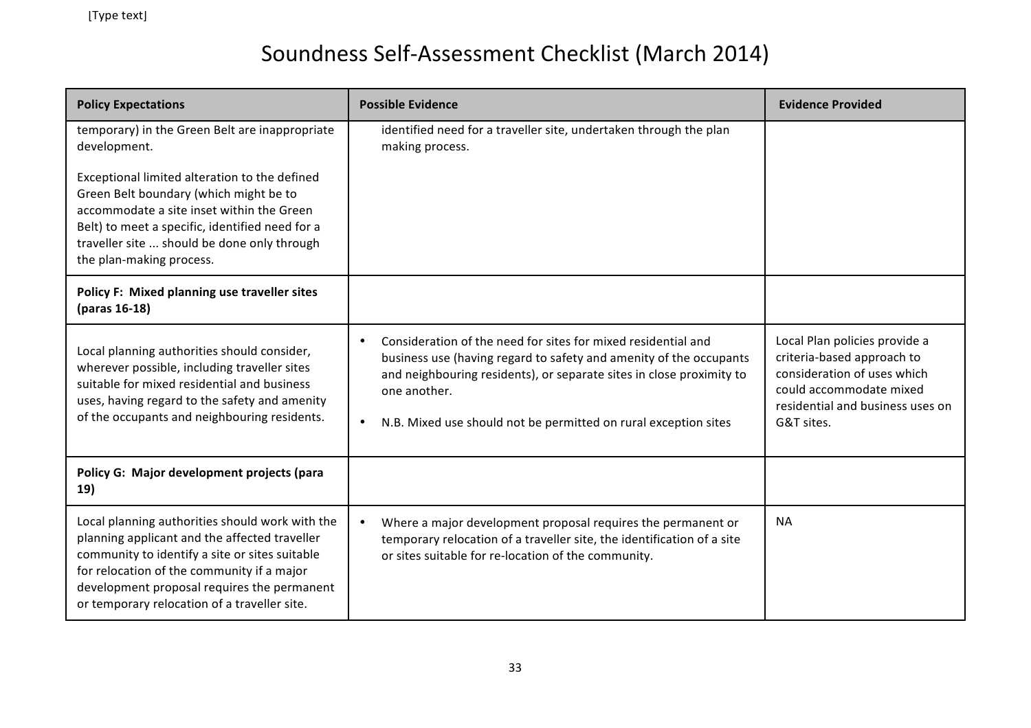| <b>Policy Expectations</b>                                                                                                                                                                                                                                                                      | <b>Possible Evidence</b>                                                                                                                                                                                                                                                                                                 | <b>Evidence Provided</b>                                                                                                                                                |
|-------------------------------------------------------------------------------------------------------------------------------------------------------------------------------------------------------------------------------------------------------------------------------------------------|--------------------------------------------------------------------------------------------------------------------------------------------------------------------------------------------------------------------------------------------------------------------------------------------------------------------------|-------------------------------------------------------------------------------------------------------------------------------------------------------------------------|
| temporary) in the Green Belt are inappropriate<br>development.                                                                                                                                                                                                                                  | identified need for a traveller site, undertaken through the plan<br>making process.                                                                                                                                                                                                                                     |                                                                                                                                                                         |
| Exceptional limited alteration to the defined<br>Green Belt boundary (which might be to<br>accommodate a site inset within the Green<br>Belt) to meet a specific, identified need for a<br>traveller site  should be done only through<br>the plan-making process.                              |                                                                                                                                                                                                                                                                                                                          |                                                                                                                                                                         |
| Policy F: Mixed planning use traveller sites<br>(paras 16-18)                                                                                                                                                                                                                                   |                                                                                                                                                                                                                                                                                                                          |                                                                                                                                                                         |
| Local planning authorities should consider,<br>wherever possible, including traveller sites<br>suitable for mixed residential and business<br>uses, having regard to the safety and amenity<br>of the occupants and neighbouring residents.                                                     | Consideration of the need for sites for mixed residential and<br>$\bullet$<br>business use (having regard to safety and amenity of the occupants<br>and neighbouring residents), or separate sites in close proximity to<br>one another.<br>N.B. Mixed use should not be permitted on rural exception sites<br>$\bullet$ | Local Plan policies provide a<br>criteria-based approach to<br>consideration of uses which<br>could accommodate mixed<br>residential and business uses on<br>G&T sites. |
| Policy G: Major development projects (para<br>19)                                                                                                                                                                                                                                               |                                                                                                                                                                                                                                                                                                                          |                                                                                                                                                                         |
| Local planning authorities should work with the<br>planning applicant and the affected traveller<br>community to identify a site or sites suitable<br>for relocation of the community if a major<br>development proposal requires the permanent<br>or temporary relocation of a traveller site. | Where a major development proposal requires the permanent or<br>temporary relocation of a traveller site, the identification of a site<br>or sites suitable for re-location of the community.                                                                                                                            | <b>NA</b>                                                                                                                                                               |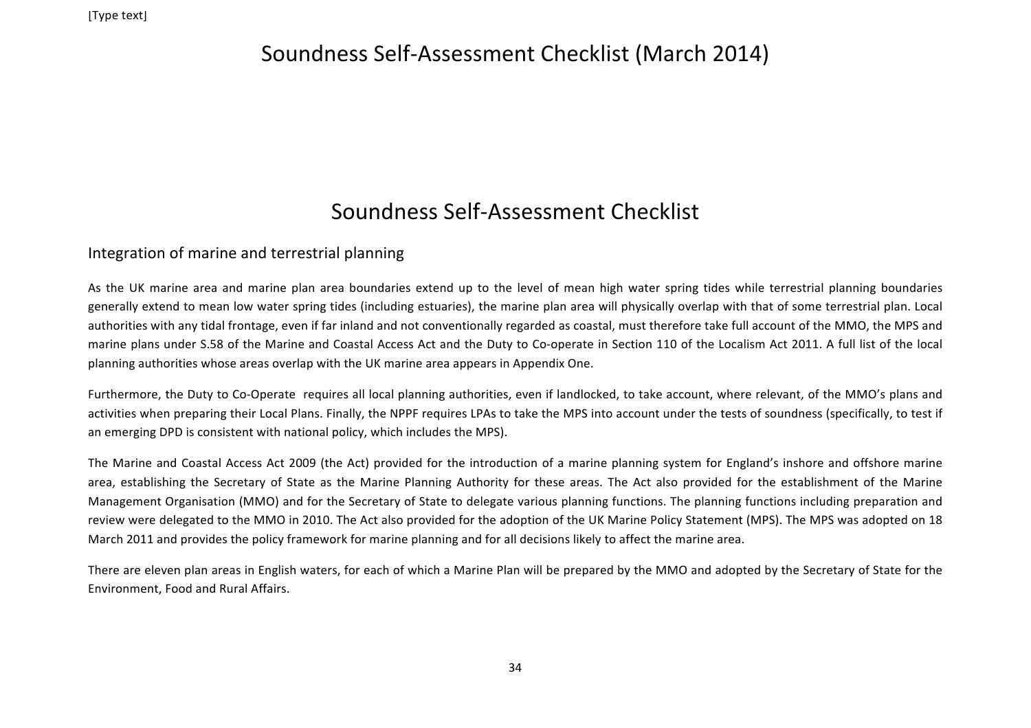#### Soundness Self-Assessment Checklist

#### Integration of marine and terrestrial planning

As the UK marine area and marine plan area boundaries extend up to the level of mean high water spring tides while terrestrial planning boundaries generally extend to mean low water spring tides (including estuaries), the marine plan area will physically overlap with that of some terrestrial plan. Local authorities with any tidal frontage, even if far inland and not conventionally regarded as coastal, must therefore take full account of the MMO, the MPS and marine plans under S.58 of the Marine and Coastal Access Act and the Duty to Co-operate in Section 110 of the Localism Act 2011. A full list of the local planning authorities whose areas overlap with the UK marine area appears in Appendix One.

Furthermore, the Duty to Co-Operate requires all local planning authorities, even if landlocked, to take account, where relevant, of the MMO's plans and activities when preparing their Local Plans. Finally, the NPPF requires LPAs to take the MPS into account under the tests of soundness (specifically, to test if an emerging DPD is consistent with national policy, which includes the MPS).

The Marine and Coastal Access Act 2009 (the Act) provided for the introduction of a marine planning system for England's inshore and offshore marine area, establishing the Secretary of State as the Marine Planning Authority for these areas. The Act also provided for the establishment of the Marine Management Organisation (MMO) and for the Secretary of State to delegate various planning functions. The planning functions including preparation and review were delegated to the MMO in 2010. The Act also provided for the adoption of the UK Marine Policy Statement (MPS). The MPS was adopted on 18 March 2011 and provides the policy framework for marine planning and for all decisions likely to affect the marine area.

There are eleven plan areas in English waters, for each of which a Marine Plan will be prepared by the MMO and adopted by the Secretary of State for the Environment, Food and Rural Affairs.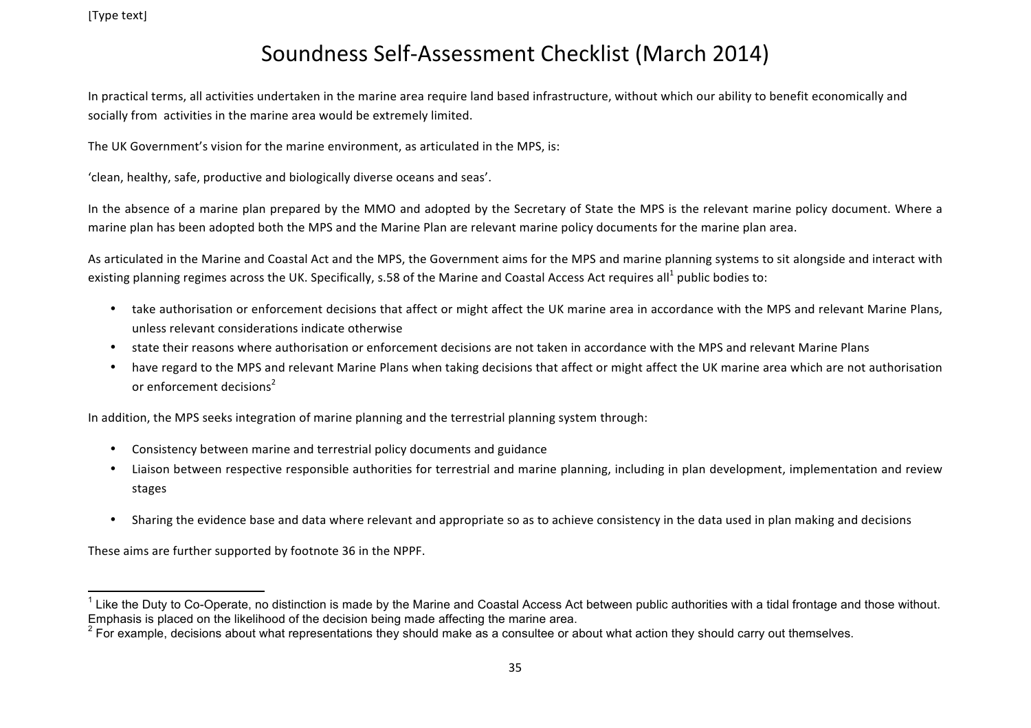In practical terms, all activities undertaken in the marine area require land based infrastructure, without which our ability to benefit economically and socially from activities in the marine area would be extremely limited.

The UK Government's vision for the marine environment, as articulated in the MPS, is:

'clean, healthy, safe, productive and biologically diverse oceans and seas'.

In the absence of a marine plan prepared by the MMO and adopted by the Secretary of State the MPS is the relevant marine policy document. Where a marine plan has been adopted both the MPS and the Marine Plan are relevant marine policy documents for the marine plan area.

As articulated in the Marine and Coastal Act and the MPS, the Government aims for the MPS and marine planning systems to sit alongside and interact with existing planning regimes across the UK. Specifically, s.58 of the Marine and Coastal Access Act requires all<sup>1</sup> public bodies to:

- take authorisation or enforcement decisions that affect or might affect the UK marine area in accordance with the MPS and relevant Marine Plans, unless relevant considerations indicate otherwise
- state their reasons where authorisation or enforcement decisions are not taken in accordance with the MPS and relevant Marine Plans
- have regard to the MPS and relevant Marine Plans when taking decisions that affect or might affect the UK marine area which are not authorisation or enforcement decisions<sup>2</sup>

In addition, the MPS seeks integration of marine planning and the terrestrial planning system through:

- Consistency between marine and terrestrial policy documents and guidance
- Liaison between respective responsible authorities for terrestrial and marine planning, including in plan development, implementation and review stages
- Sharing the evidence base and data where relevant and appropriate so as to achieve consistency in the data used in plan making and decisions

These aims are further supported by footnote 36 in the NPPF.

 $1$  Like the Duty to Co-Operate, no distinction is made by the Marine and Coastal Access Act between public authorities with a tidal frontage and those without. Emphasis is placed on the likelihood of the decision being made affecting the marine area.

<sup>&</sup>lt;sup>2</sup> For example, decisions about what representations they should make as a consultee or about what action they should carry out themselves.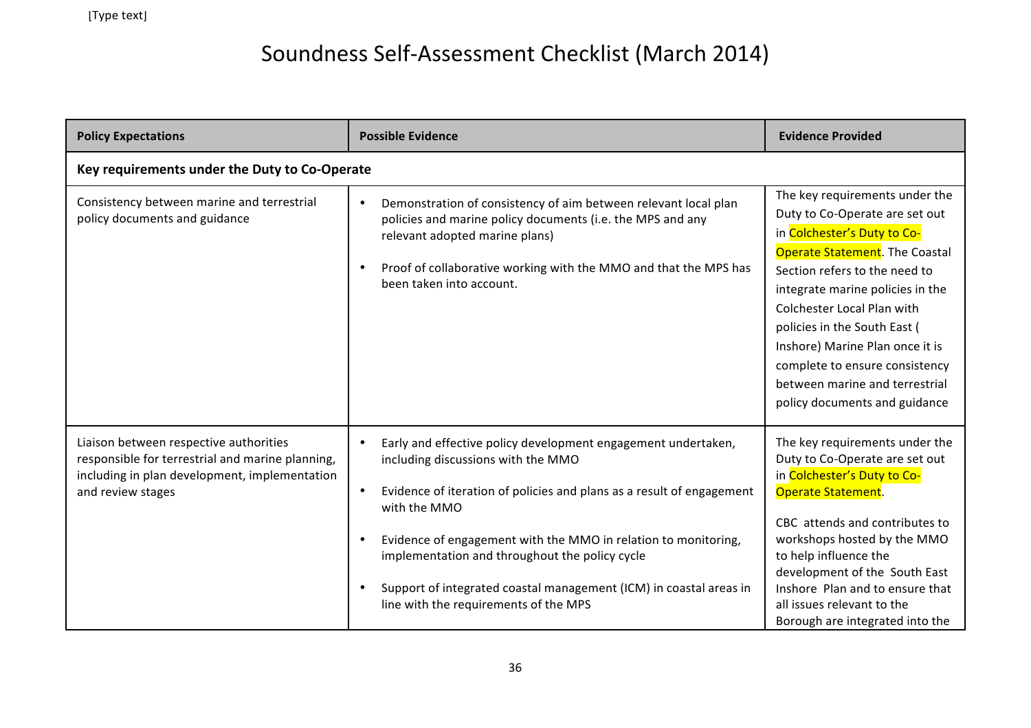| <b>Policy Expectations</b>                                                                                                                                       | <b>Possible Evidence</b>                                                                                                                                                                                                                                                                                                                                                                                                                                                            | <b>Evidence Provided</b>                                                                                                                                                                                                                                                                                                                                                                                            |
|------------------------------------------------------------------------------------------------------------------------------------------------------------------|-------------------------------------------------------------------------------------------------------------------------------------------------------------------------------------------------------------------------------------------------------------------------------------------------------------------------------------------------------------------------------------------------------------------------------------------------------------------------------------|---------------------------------------------------------------------------------------------------------------------------------------------------------------------------------------------------------------------------------------------------------------------------------------------------------------------------------------------------------------------------------------------------------------------|
| Key requirements under the Duty to Co-Operate                                                                                                                    |                                                                                                                                                                                                                                                                                                                                                                                                                                                                                     |                                                                                                                                                                                                                                                                                                                                                                                                                     |
| Consistency between marine and terrestrial<br>policy documents and guidance                                                                                      | Demonstration of consistency of aim between relevant local plan<br>$\bullet$<br>policies and marine policy documents (i.e. the MPS and any<br>relevant adopted marine plans)<br>Proof of collaborative working with the MMO and that the MPS has<br>$\bullet$<br>been taken into account.                                                                                                                                                                                           | The key requirements under the<br>Duty to Co-Operate are set out<br>in Colchester's Duty to Co-<br>Operate Statement. The Coastal<br>Section refers to the need to<br>integrate marine policies in the<br><b>Colchester Local Plan with</b><br>policies in the South East (<br>Inshore) Marine Plan once it is<br>complete to ensure consistency<br>between marine and terrestrial<br>policy documents and guidance |
| Liaison between respective authorities<br>responsible for terrestrial and marine planning,<br>including in plan development, implementation<br>and review stages | Early and effective policy development engagement undertaken,<br>$\bullet$<br>including discussions with the MMO<br>Evidence of iteration of policies and plans as a result of engagement<br>$\bullet$<br>with the MMO<br>Evidence of engagement with the MMO in relation to monitoring,<br>$\bullet$<br>implementation and throughout the policy cycle<br>Support of integrated coastal management (ICM) in coastal areas in<br>$\bullet$<br>line with the requirements of the MPS | The key requirements under the<br>Duty to Co-Operate are set out<br>in Colchester's Duty to Co-<br><b>Operate Statement.</b><br>CBC attends and contributes to<br>workshops hosted by the MMO<br>to help influence the<br>development of the South East<br>Inshore Plan and to ensure that<br>all issues relevant to the<br>Borough are integrated into the                                                         |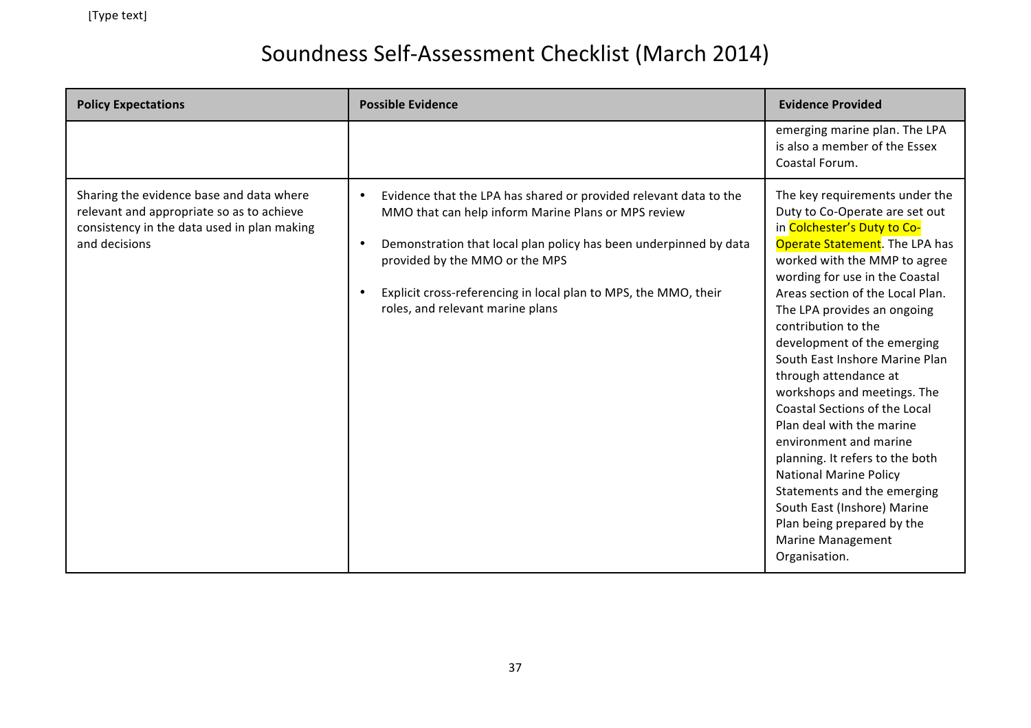| <b>Policy Expectations</b>                                                                                                                            | <b>Possible Evidence</b>                                                                                                                                                                                                                                                                                                                                                      | <b>Evidence Provided</b>                                                                                                                                                                                                                                                                                                                                                                                                                                                                                                                                                                                                                                                                                                    |
|-------------------------------------------------------------------------------------------------------------------------------------------------------|-------------------------------------------------------------------------------------------------------------------------------------------------------------------------------------------------------------------------------------------------------------------------------------------------------------------------------------------------------------------------------|-----------------------------------------------------------------------------------------------------------------------------------------------------------------------------------------------------------------------------------------------------------------------------------------------------------------------------------------------------------------------------------------------------------------------------------------------------------------------------------------------------------------------------------------------------------------------------------------------------------------------------------------------------------------------------------------------------------------------------|
|                                                                                                                                                       |                                                                                                                                                                                                                                                                                                                                                                               | emerging marine plan. The LPA<br>is also a member of the Essex<br>Coastal Forum.                                                                                                                                                                                                                                                                                                                                                                                                                                                                                                                                                                                                                                            |
| Sharing the evidence base and data where<br>relevant and appropriate so as to achieve<br>consistency in the data used in plan making<br>and decisions | Evidence that the LPA has shared or provided relevant data to the<br>$\bullet$<br>MMO that can help inform Marine Plans or MPS review<br>Demonstration that local plan policy has been underpinned by data<br>$\bullet$<br>provided by the MMO or the MPS<br>Explicit cross-referencing in local plan to MPS, the MMO, their<br>$\bullet$<br>roles, and relevant marine plans | The key requirements under the<br>Duty to Co-Operate are set out<br>in Colchester's Duty to Co-<br>Operate Statement. The LPA has<br>worked with the MMP to agree<br>wording for use in the Coastal<br>Areas section of the Local Plan.<br>The LPA provides an ongoing<br>contribution to the<br>development of the emerging<br>South East Inshore Marine Plan<br>through attendance at<br>workshops and meetings. The<br>Coastal Sections of the Local<br>Plan deal with the marine<br>environment and marine<br>planning. It refers to the both<br><b>National Marine Policy</b><br>Statements and the emerging<br>South East (Inshore) Marine<br>Plan being prepared by the<br><b>Marine Management</b><br>Organisation. |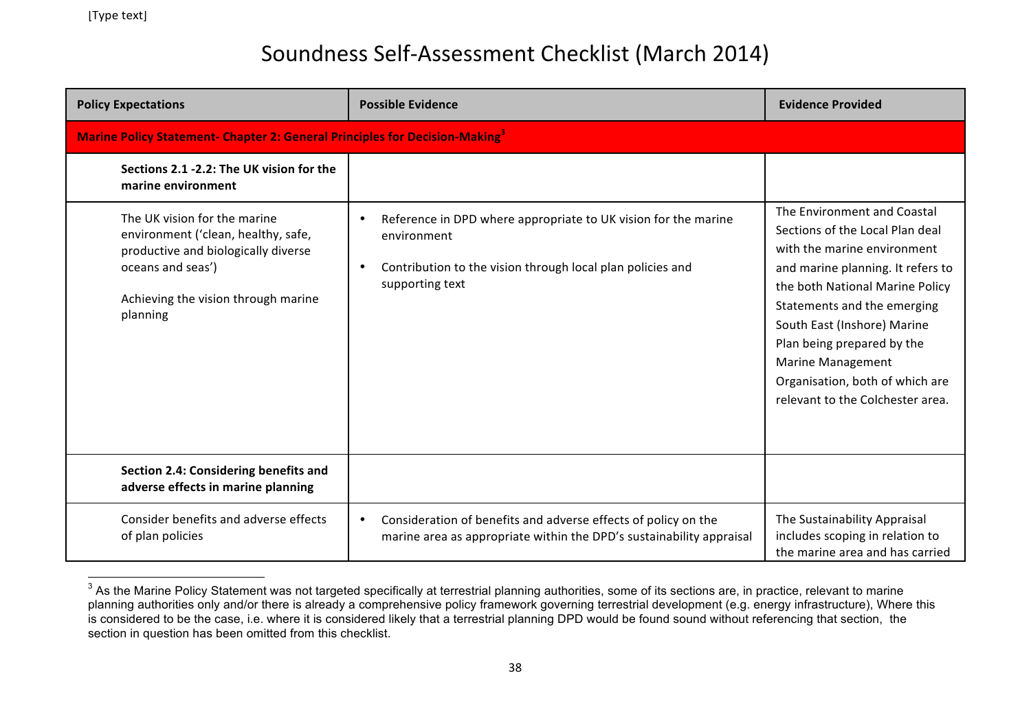| <b>Policy Expectations</b>                                                                                                                                                         | <b>Possible Evidence</b>                                                                                                                                       | <b>Evidence Provided</b>                                                                                                                                                                                                                                                                                                                                             |
|------------------------------------------------------------------------------------------------------------------------------------------------------------------------------------|----------------------------------------------------------------------------------------------------------------------------------------------------------------|----------------------------------------------------------------------------------------------------------------------------------------------------------------------------------------------------------------------------------------------------------------------------------------------------------------------------------------------------------------------|
| <b>Marine Policy Statement- Chapter 2: General Principles for Decision-Making</b> <sup>3</sup>                                                                                     |                                                                                                                                                                |                                                                                                                                                                                                                                                                                                                                                                      |
| Sections 2.1 -2.2: The UK vision for the<br>marine environment                                                                                                                     |                                                                                                                                                                |                                                                                                                                                                                                                                                                                                                                                                      |
| The UK vision for the marine<br>environment ('clean, healthy, safe,<br>productive and biologically diverse<br>oceans and seas')<br>Achieving the vision through marine<br>planning | Reference in DPD where appropriate to UK vision for the marine<br>environment<br>Contribution to the vision through local plan policies and<br>supporting text | The Environment and Coastal<br>Sections of the Local Plan deal<br>with the marine environment<br>and marine planning. It refers to<br>the both National Marine Policy<br>Statements and the emerging<br>South East (Inshore) Marine<br>Plan being prepared by the<br><b>Marine Management</b><br>Organisation, both of which are<br>relevant to the Colchester area. |
| Section 2.4: Considering benefits and<br>adverse effects in marine planning                                                                                                        |                                                                                                                                                                |                                                                                                                                                                                                                                                                                                                                                                      |
| Consider benefits and adverse effects<br>of plan policies                                                                                                                          | Consideration of benefits and adverse effects of policy on the<br>marine area as appropriate within the DPD's sustainability appraisal                         | The Sustainability Appraisal<br>includes scoping in relation to<br>the marine area and has carried                                                                                                                                                                                                                                                                   |

<sup>&</sup>lt;sup>3</sup> As the Marine Policy Statement was not targeted specifically at terrestrial planning authorities, some of its sections are, in practice, relevant to marine planning authorities only and/or there is already a comprehensive policy framework governing terrestrial development (e.g. energy infrastructure), Where this is considered to be the case, i.e. where it is considered likely that a terrestrial planning DPD would be found sound without referencing that section, the section in question has been omitted from this checklist.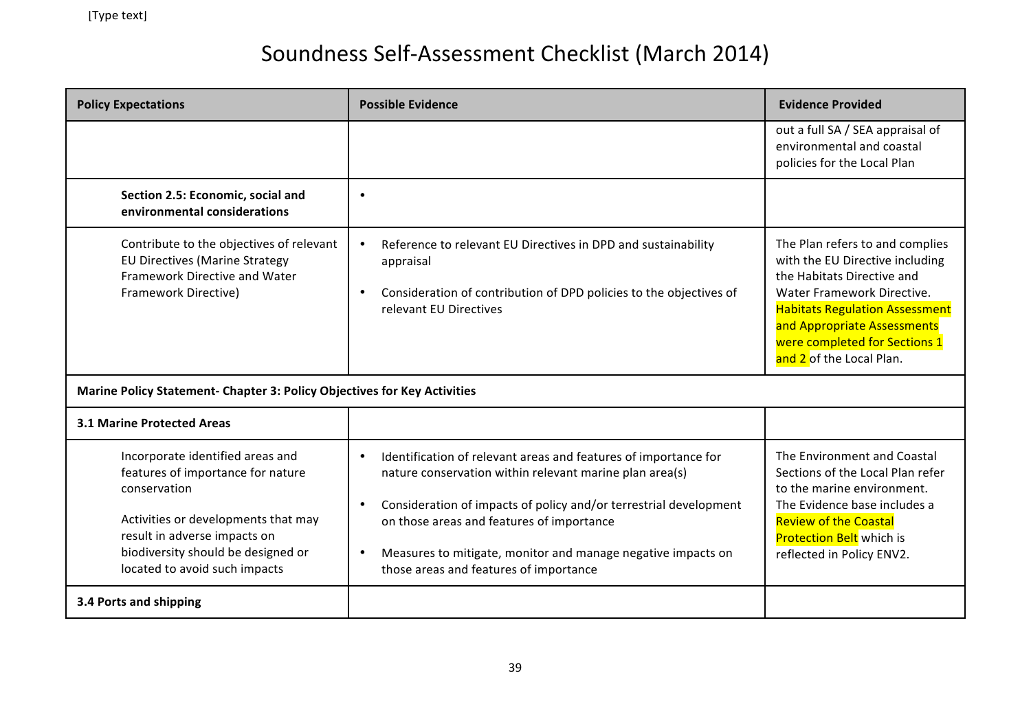| <b>Policy Expectations</b>                                                                                                                                                                                                          | <b>Possible Evidence</b>                                                                                                                                                                                                                                                                                                                                                                      | <b>Evidence Provided</b>                                                                                                                                                                                                                                            |
|-------------------------------------------------------------------------------------------------------------------------------------------------------------------------------------------------------------------------------------|-----------------------------------------------------------------------------------------------------------------------------------------------------------------------------------------------------------------------------------------------------------------------------------------------------------------------------------------------------------------------------------------------|---------------------------------------------------------------------------------------------------------------------------------------------------------------------------------------------------------------------------------------------------------------------|
|                                                                                                                                                                                                                                     |                                                                                                                                                                                                                                                                                                                                                                                               | out a full SA / SEA appraisal of<br>environmental and coastal<br>policies for the Local Plan                                                                                                                                                                        |
| Section 2.5: Economic, social and<br>environmental considerations                                                                                                                                                                   | $\bullet$                                                                                                                                                                                                                                                                                                                                                                                     |                                                                                                                                                                                                                                                                     |
| Contribute to the objectives of relevant<br><b>EU Directives (Marine Strategy</b><br>Framework Directive and Water<br>Framework Directive)                                                                                          | Reference to relevant EU Directives in DPD and sustainability<br>appraisal<br>Consideration of contribution of DPD policies to the objectives of<br>relevant EU Directives                                                                                                                                                                                                                    | The Plan refers to and complies<br>with the EU Directive including<br>the Habitats Directive and<br>Water Framework Directive.<br><b>Habitats Regulation Assessment</b><br>and Appropriate Assessments<br>were completed for Sections 1<br>and 2 of the Local Plan. |
| Marine Policy Statement- Chapter 3: Policy Objectives for Key Activities                                                                                                                                                            |                                                                                                                                                                                                                                                                                                                                                                                               |                                                                                                                                                                                                                                                                     |
| <b>3.1 Marine Protected Areas</b>                                                                                                                                                                                                   |                                                                                                                                                                                                                                                                                                                                                                                               |                                                                                                                                                                                                                                                                     |
| Incorporate identified areas and<br>features of importance for nature<br>conservation<br>Activities or developments that may<br>result in adverse impacts on<br>biodiversity should be designed or<br>located to avoid such impacts | Identification of relevant areas and features of importance for<br>$\bullet$<br>nature conservation within relevant marine plan area(s)<br>Consideration of impacts of policy and/or terrestrial development<br>$\bullet$<br>on those areas and features of importance<br>Measures to mitigate, monitor and manage negative impacts on<br>$\bullet$<br>those areas and features of importance | The Environment and Coastal<br>Sections of the Local Plan refer<br>to the marine environment.<br>The Evidence base includes a<br><b>Review of the Coastal</b><br><b>Protection Belt</b> which is<br>reflected in Policy ENV2.                                       |
| 3.4 Ports and shipping                                                                                                                                                                                                              |                                                                                                                                                                                                                                                                                                                                                                                               |                                                                                                                                                                                                                                                                     |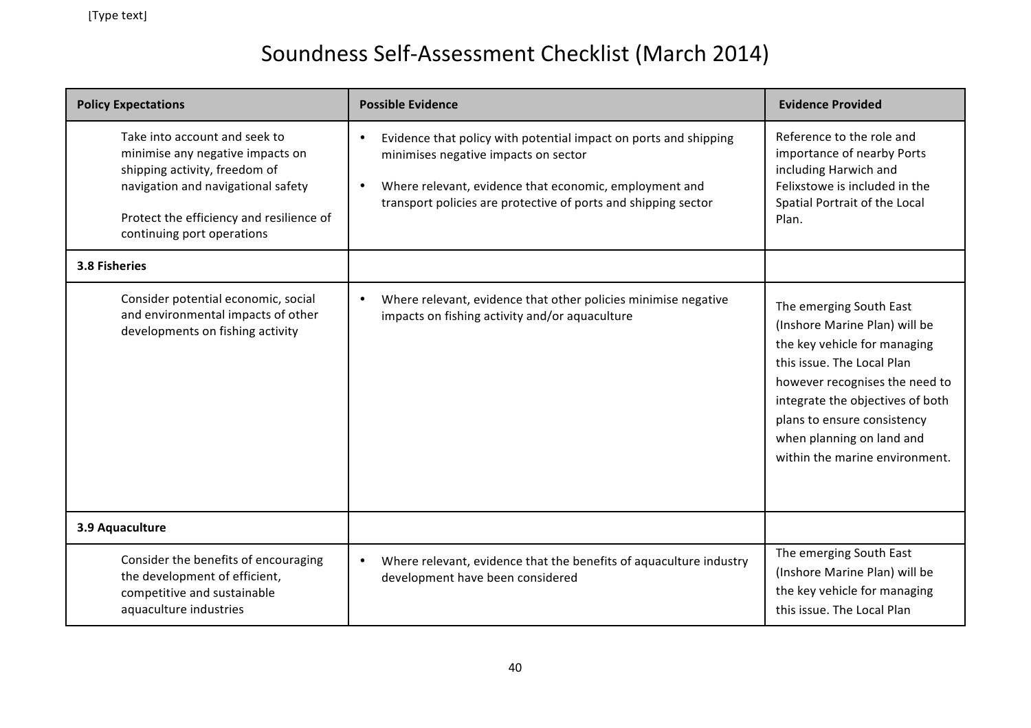| <b>Policy Expectations</b>                                                                                                                                                                                         | <b>Possible Evidence</b>                                                                                                                                                                                                                                       | <b>Evidence Provided</b>                                                                                                                                                                                                                                                                   |
|--------------------------------------------------------------------------------------------------------------------------------------------------------------------------------------------------------------------|----------------------------------------------------------------------------------------------------------------------------------------------------------------------------------------------------------------------------------------------------------------|--------------------------------------------------------------------------------------------------------------------------------------------------------------------------------------------------------------------------------------------------------------------------------------------|
| Take into account and seek to<br>minimise any negative impacts on<br>shipping activity, freedom of<br>navigation and navigational safety<br>Protect the efficiency and resilience of<br>continuing port operations | Evidence that policy with potential impact on ports and shipping<br>$\bullet$<br>minimises negative impacts on sector<br>Where relevant, evidence that economic, employment and<br>$\bullet$<br>transport policies are protective of ports and shipping sector | Reference to the role and<br>importance of nearby Ports<br>including Harwich and<br>Felixstowe is included in the<br>Spatial Portrait of the Local<br>Plan.                                                                                                                                |
| 3.8 Fisheries                                                                                                                                                                                                      |                                                                                                                                                                                                                                                                |                                                                                                                                                                                                                                                                                            |
| Consider potential economic, social<br>and environmental impacts of other<br>developments on fishing activity                                                                                                      | Where relevant, evidence that other policies minimise negative<br>$\bullet$<br>impacts on fishing activity and/or aquaculture                                                                                                                                  | The emerging South East<br>(Inshore Marine Plan) will be<br>the key vehicle for managing<br>this issue. The Local Plan<br>however recognises the need to<br>integrate the objectives of both<br>plans to ensure consistency<br>when planning on land and<br>within the marine environment. |
| 3.9 Aquaculture                                                                                                                                                                                                    |                                                                                                                                                                                                                                                                |                                                                                                                                                                                                                                                                                            |
| Consider the benefits of encouraging<br>the development of efficient,<br>competitive and sustainable<br>aquaculture industries                                                                                     | Where relevant, evidence that the benefits of aquaculture industry<br>$\bullet$<br>development have been considered                                                                                                                                            | The emerging South East<br>(Inshore Marine Plan) will be<br>the key vehicle for managing<br>this issue. The Local Plan                                                                                                                                                                     |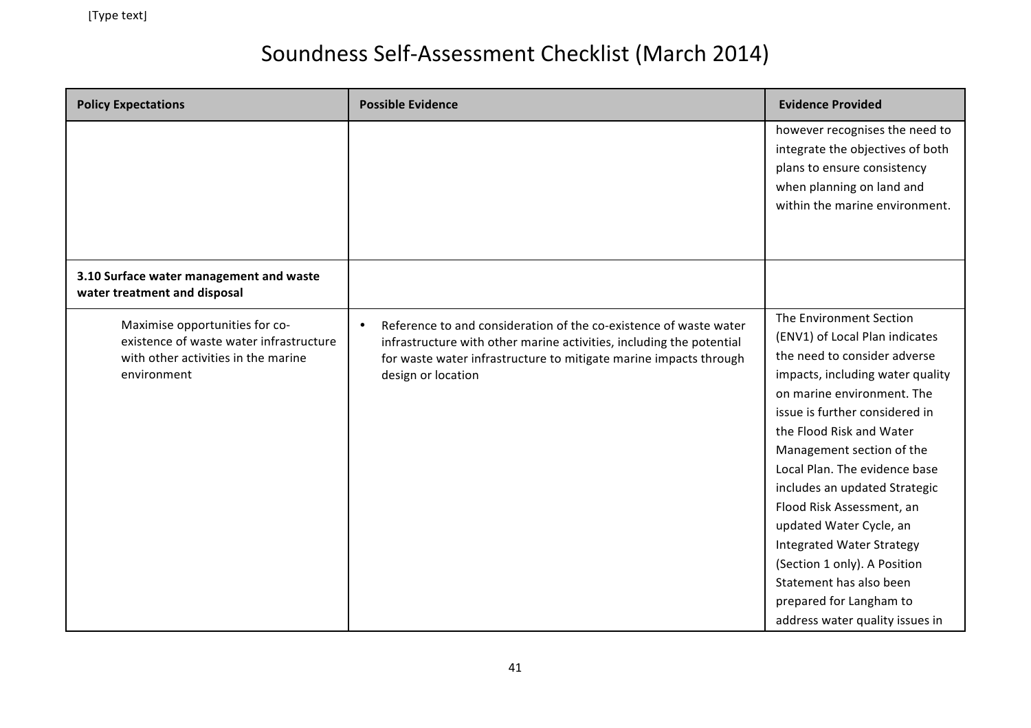| <b>Policy Expectations</b>                                                                                                      | <b>Possible Evidence</b>                                                                                                                                                                                                             | <b>Evidence Provided</b>                                                                                                                                                                                                                                                                                                                                                                                                                                                                                                                      |
|---------------------------------------------------------------------------------------------------------------------------------|--------------------------------------------------------------------------------------------------------------------------------------------------------------------------------------------------------------------------------------|-----------------------------------------------------------------------------------------------------------------------------------------------------------------------------------------------------------------------------------------------------------------------------------------------------------------------------------------------------------------------------------------------------------------------------------------------------------------------------------------------------------------------------------------------|
|                                                                                                                                 |                                                                                                                                                                                                                                      | however recognises the need to<br>integrate the objectives of both<br>plans to ensure consistency<br>when planning on land and<br>within the marine environment.                                                                                                                                                                                                                                                                                                                                                                              |
| 3.10 Surface water management and waste<br>water treatment and disposal                                                         |                                                                                                                                                                                                                                      |                                                                                                                                                                                                                                                                                                                                                                                                                                                                                                                                               |
| Maximise opportunities for co-<br>existence of waste water infrastructure<br>with other activities in the marine<br>environment | Reference to and consideration of the co-existence of waste water<br>infrastructure with other marine activities, including the potential<br>for waste water infrastructure to mitigate marine impacts through<br>design or location | The Environment Section<br>(ENV1) of Local Plan indicates<br>the need to consider adverse<br>impacts, including water quality<br>on marine environment. The<br>issue is further considered in<br>the Flood Risk and Water<br>Management section of the<br>Local Plan. The evidence base<br>includes an updated Strategic<br>Flood Risk Assessment, an<br>updated Water Cycle, an<br><b>Integrated Water Strategy</b><br>(Section 1 only). A Position<br>Statement has also been<br>prepared for Langham to<br>address water quality issues in |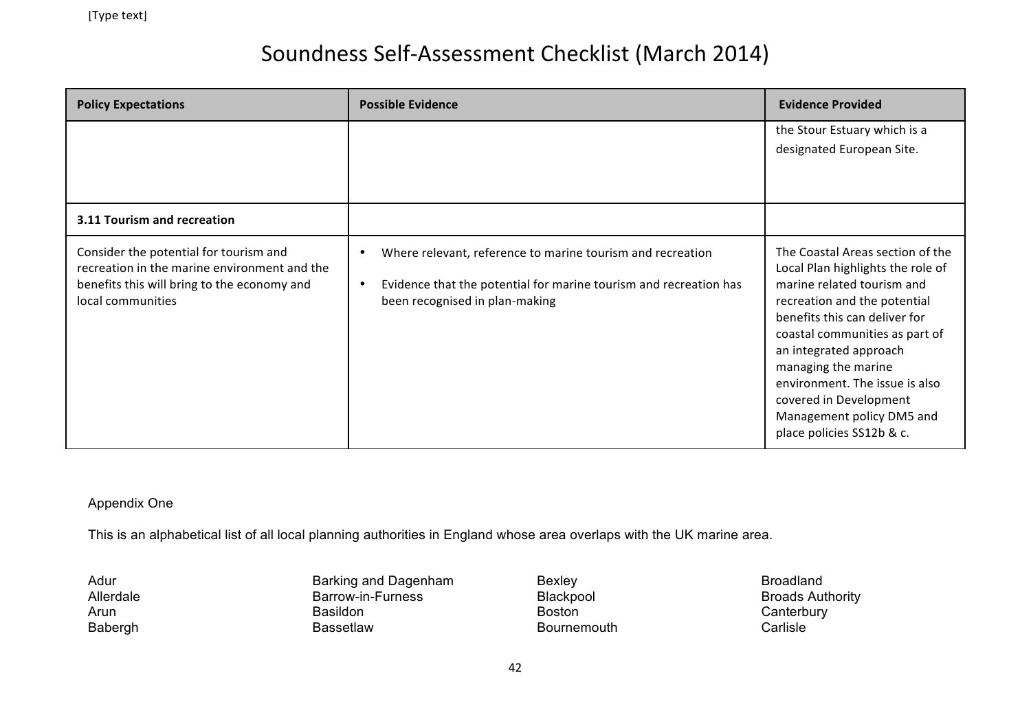| <b>Policy Expectations</b>                                                                                                                                 | <b>Possible Evidence</b>                                                                                                                                                       | <b>Evidence Provided</b>                                                                                                                                                                                                                                                                                                                                                      |
|------------------------------------------------------------------------------------------------------------------------------------------------------------|--------------------------------------------------------------------------------------------------------------------------------------------------------------------------------|-------------------------------------------------------------------------------------------------------------------------------------------------------------------------------------------------------------------------------------------------------------------------------------------------------------------------------------------------------------------------------|
|                                                                                                                                                            |                                                                                                                                                                                | the Stour Estuary which is a<br>designated European Site.                                                                                                                                                                                                                                                                                                                     |
| 3.11 Tourism and recreation                                                                                                                                |                                                                                                                                                                                |                                                                                                                                                                                                                                                                                                                                                                               |
| Consider the potential for tourism and<br>recreation in the marine environment and the<br>benefits this will bring to the economy and<br>local communities | Where relevant, reference to marine tourism and recreation<br>Evidence that the potential for marine tourism and recreation has<br>$\bullet$<br>been recognised in plan-making | The Coastal Areas section of the<br>Local Plan highlights the role of<br>marine related tourism and<br>recreation and the potential<br>benefits this can deliver for<br>coastal communities as part of<br>an integrated approach<br>managing the marine<br>environment. The issue is also<br>covered in Development<br>Management policy DM5 and<br>place policies SS12b & c. |

#### Appendix One

This is an alphabetical list of all local planning authorities in England whose area overlaps with the UK marine area.

Adur Allerdale Arun Babergh Barking and Dagenham Barrow-in-Furness Basildon Bassetlaw

Bexley Blackpool Boston Bournemouth Broadland Broads Authority **Canterbury Carlisle**